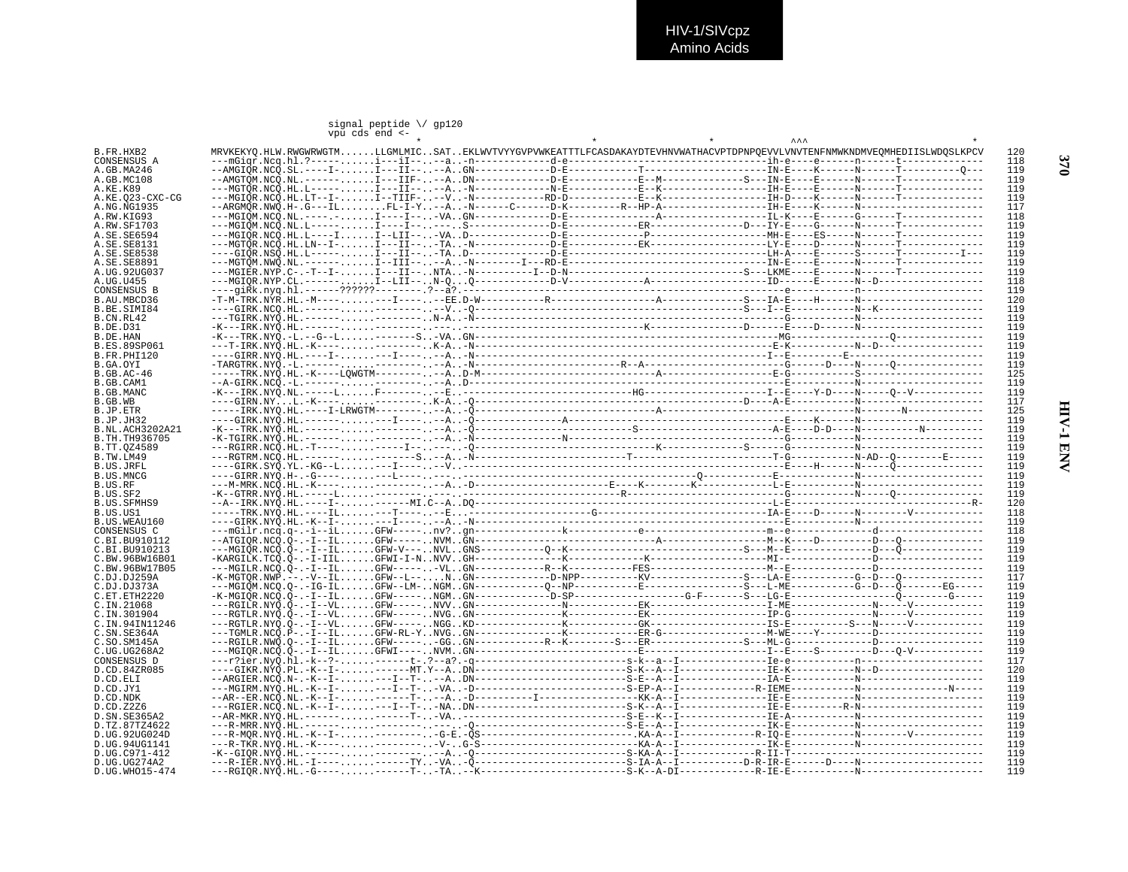## signal peptide  $\setminus$  gp120<br>vpu cds end <-

| B.FR.HXB2                  |  |  |  |  | MRVKEKYO.HLW.RWGWRWGTMLLGMLMICSATEKLWVTVYYGVPVWKEATTTLFCASDAKAYDTEVHNVWATHACVPTDPNPOEVVLVNVTENFNMWKNDMVEOMHEDIISLWDOSLKPCV | 120        |
|----------------------------|--|--|--|--|----------------------------------------------------------------------------------------------------------------------------|------------|
| CONSENSUS A                |  |  |  |  |                                                                                                                            | 118        |
| A.GB.MA246                 |  |  |  |  |                                                                                                                            | 119        |
| A.GB.MC108                 |  |  |  |  |                                                                                                                            | 119        |
| A.KE.K89                   |  |  |  |  |                                                                                                                            | 119        |
| A.KE.Q23-CXC-CG            |  |  |  |  |                                                                                                                            | 119<br>117 |
| A.NG.NG1935                |  |  |  |  |                                                                                                                            |            |
| A.RW.KIG93                 |  |  |  |  |                                                                                                                            | 118<br>119 |
| A.RW.SF1703<br>A.SE.SE6594 |  |  |  |  |                                                                                                                            | 119        |
| A.SE.SE8131                |  |  |  |  |                                                                                                                            | 119        |
| A.SE.SE8538                |  |  |  |  |                                                                                                                            | 119        |
| A.SE.SE8891                |  |  |  |  |                                                                                                                            | 119        |
| A.UG.92UG037               |  |  |  |  |                                                                                                                            | 119        |
| A.UG.U455                  |  |  |  |  |                                                                                                                            | 118        |
| <b>CONSENSUS B</b>         |  |  |  |  |                                                                                                                            | 119        |
| B.AU.MBCD36                |  |  |  |  |                                                                                                                            | 120        |
| B.BE.SIMI84                |  |  |  |  |                                                                                                                            | 119        |
| B.CN.RL42                  |  |  |  |  |                                                                                                                            | 119        |
| <b>B.DE.D31</b>            |  |  |  |  |                                                                                                                            | 119        |
| B.DE.HAN                   |  |  |  |  |                                                                                                                            | 119        |
| <b>B.ES.89SP061</b>        |  |  |  |  |                                                                                                                            | 119        |
| B.FR.PHI120                |  |  |  |  |                                                                                                                            | 119        |
| B.GA.OYI                   |  |  |  |  |                                                                                                                            | 119        |
| B.GB.AC-46                 |  |  |  |  |                                                                                                                            | 125        |
| B.GB.CAM1                  |  |  |  |  |                                                                                                                            | 119        |
| B.GB.MANC                  |  |  |  |  |                                                                                                                            | 119        |
| B.GB.WB                    |  |  |  |  |                                                                                                                            | 117        |
| B.JP.ETR                   |  |  |  |  |                                                                                                                            | 125        |
| B.JP.JH32                  |  |  |  |  |                                                                                                                            | 119        |
| B.NL.ACH3202A21            |  |  |  |  |                                                                                                                            | 119        |
| B.TH.TH936705              |  |  |  |  |                                                                                                                            | 119        |
| B.TT.0Z4589                |  |  |  |  |                                                                                                                            | 119        |
| B.TW.LM49                  |  |  |  |  |                                                                                                                            | 119        |
| B.US.JRFL                  |  |  |  |  |                                                                                                                            | 119        |
| B.US.MNCG                  |  |  |  |  |                                                                                                                            | 119        |
| B.US.RF                    |  |  |  |  |                                                                                                                            | 119        |
| B.US.SF2                   |  |  |  |  |                                                                                                                            | 119        |
| B.US.SFMHS9                |  |  |  |  |                                                                                                                            | 120        |
| B.US.US1                   |  |  |  |  |                                                                                                                            | 118        |
| B.US.WEAU160               |  |  |  |  |                                                                                                                            | 119        |
| CONSENSUS C                |  |  |  |  |                                                                                                                            | 118        |
| C.BI.BU910112              |  |  |  |  |                                                                                                                            | 119        |
| C.BI.BU910213              |  |  |  |  |                                                                                                                            | 119        |
| C.BW.96BW16B01             |  |  |  |  |                                                                                                                            | 119        |
| C.BW.96BW17B05             |  |  |  |  |                                                                                                                            | 119        |
| C.DJ.DJ259A                |  |  |  |  |                                                                                                                            | 117        |
| C.DJ.DJ373A                |  |  |  |  |                                                                                                                            | 119        |
| C.ET.ETH2220               |  |  |  |  |                                                                                                                            | 119        |
| C.IN.21068                 |  |  |  |  |                                                                                                                            | 119        |
| C.IN.301904                |  |  |  |  |                                                                                                                            | 119        |
| C.IN.94IN11246             |  |  |  |  |                                                                                                                            | 119        |
| C.SN.SE364A                |  |  |  |  |                                                                                                                            | 119        |
| C.SO.SM145A                |  |  |  |  |                                                                                                                            | 119        |
| C.UG.UG268A2               |  |  |  |  |                                                                                                                            | 119        |
| CONSENSUS D                |  |  |  |  |                                                                                                                            | 117        |
| D.CD.84ZR085               |  |  |  |  |                                                                                                                            | 120        |
| D.CD.ELI                   |  |  |  |  |                                                                                                                            | 119        |
| D.CD.JY1                   |  |  |  |  | ---MGIRM.NYO.HL.-K--I----I--T--VA-D------------------------S-EP-A--I----------R-IEME-------------N--------N-------N-----   | 119        |
| D.CD.NDK                   |  |  |  |  |                                                                                                                            | 119        |
| D.CD.Z2Z6                  |  |  |  |  |                                                                                                                            | 119<br>119 |
| D. SN. SE365A2             |  |  |  |  |                                                                                                                            |            |
| D.TZ.87TZ4622              |  |  |  |  |                                                                                                                            | 119        |
| D.UG.92UG024D              |  |  |  |  |                                                                                                                            | 119        |
| D.UG.94UG1141              |  |  |  |  |                                                                                                                            | 119        |
| D.UG.C971-412              |  |  |  |  |                                                                                                                            | 119        |
| D.UG.UG274A2               |  |  |  |  |                                                                                                                            | 119        |
| D.UG.WHO15-474             |  |  |  |  |                                                                                                                            | 119        |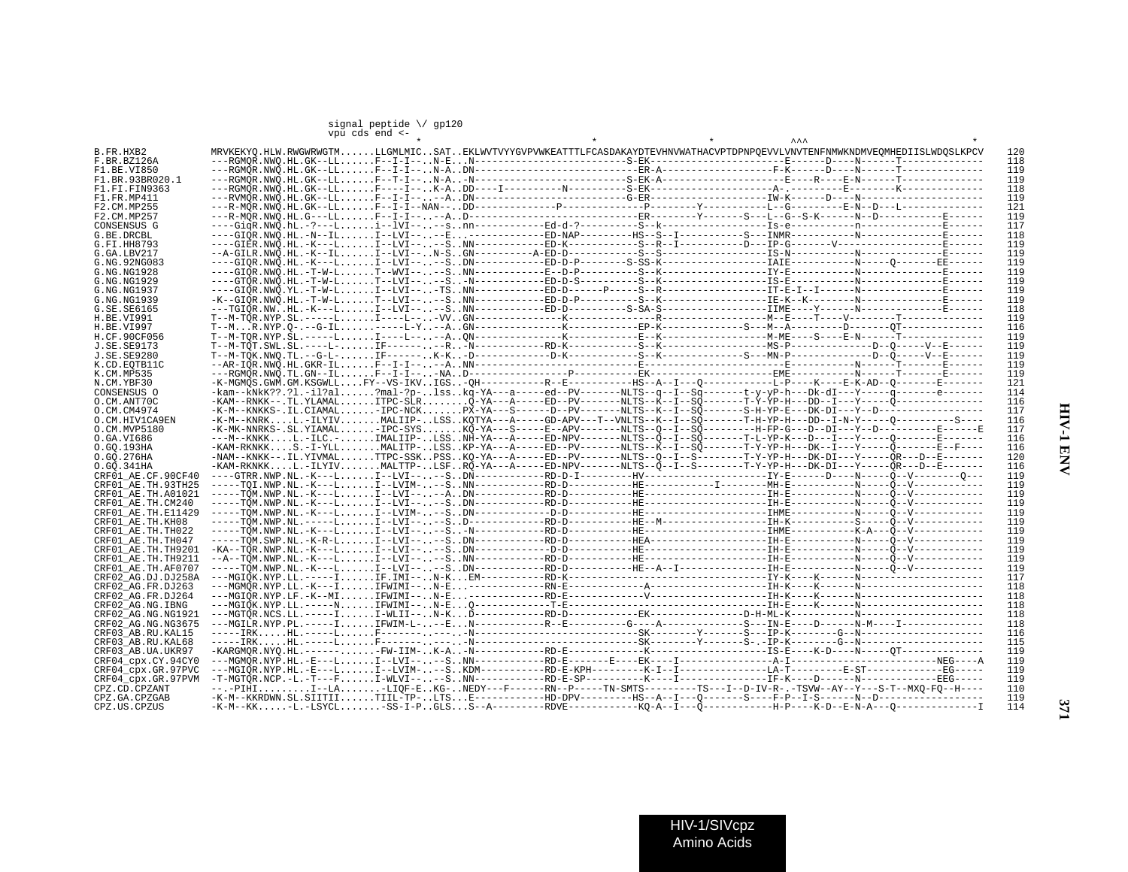## signal peptide \/ gp120 vpu cds end <-

| B.FR.HXB2          | MRVKEKYO.HLW.RWGWRWGTMLLGMLMICSATEKLWVTVYYGVPVWKEATTTLFCASDAKAYDTEVHNVWATHACVPTDPNPOEVVLVNVTENFNMWKNDMVEOMHEDIISLWDOSLKPCV                                                                                                                                                                                                                                                      |  |  |  |  |
|--------------------|---------------------------------------------------------------------------------------------------------------------------------------------------------------------------------------------------------------------------------------------------------------------------------------------------------------------------------------------------------------------------------|--|--|--|--|
| F.BR.BZ126A        |                                                                                                                                                                                                                                                                                                                                                                                 |  |  |  |  |
| F1.BE.VI850        |                                                                                                                                                                                                                                                                                                                                                                                 |  |  |  |  |
| F1.BR.93BR020.1    |                                                                                                                                                                                                                                                                                                                                                                                 |  |  |  |  |
| F1.FI.FIN9363      |                                                                                                                                                                                                                                                                                                                                                                                 |  |  |  |  |
| F1.FR.MP411        |                                                                                                                                                                                                                                                                                                                                                                                 |  |  |  |  |
| F2.CM.MP255        |                                                                                                                                                                                                                                                                                                                                                                                 |  |  |  |  |
| F2.CM.MP257        |                                                                                                                                                                                                                                                                                                                                                                                 |  |  |  |  |
| CONSENSUS G        |                                                                                                                                                                                                                                                                                                                                                                                 |  |  |  |  |
| G.BE.DRCBL         |                                                                                                                                                                                                                                                                                                                                                                                 |  |  |  |  |
| G.FI.HH8793        |                                                                                                                                                                                                                                                                                                                                                                                 |  |  |  |  |
| G.GA.LBV217        |                                                                                                                                                                                                                                                                                                                                                                                 |  |  |  |  |
| G.NG.92NG083       |                                                                                                                                                                                                                                                                                                                                                                                 |  |  |  |  |
| G.NG.NG1928        |                                                                                                                                                                                                                                                                                                                                                                                 |  |  |  |  |
| G.NG.NG1929        |                                                                                                                                                                                                                                                                                                                                                                                 |  |  |  |  |
| G.NG.NG1937        |                                                                                                                                                                                                                                                                                                                                                                                 |  |  |  |  |
| G.NG.NG1939        |                                                                                                                                                                                                                                                                                                                                                                                 |  |  |  |  |
|                    |                                                                                                                                                                                                                                                                                                                                                                                 |  |  |  |  |
| G.SE.SE6165        |                                                                                                                                                                                                                                                                                                                                                                                 |  |  |  |  |
| H.BE.VI991         |                                                                                                                                                                                                                                                                                                                                                                                 |  |  |  |  |
| H.BE.VI997         |                                                                                                                                                                                                                                                                                                                                                                                 |  |  |  |  |
| H.CF.90CF056       |                                                                                                                                                                                                                                                                                                                                                                                 |  |  |  |  |
| <b>J.SE.SE9173</b> |                                                                                                                                                                                                                                                                                                                                                                                 |  |  |  |  |
| J.SE.SE9280        |                                                                                                                                                                                                                                                                                                                                                                                 |  |  |  |  |
| K.CD.EOTB11C       |                                                                                                                                                                                                                                                                                                                                                                                 |  |  |  |  |
| K.CM.MP535         |                                                                                                                                                                                                                                                                                                                                                                                 |  |  |  |  |
| N.CM.YBF30         | -K-MGMOS.GWM.GM.KSGWLLFY--VS-IKVIGS-OH----------R-E---------HS--A--I---O------------------------E-K-AD--O--------E--------                                                                                                                                                                                                                                                      |  |  |  |  |
| CONSENSUS O        | -kam--KNkK??.?l.-il?al?mal-?p-lsskq-YA---a----ed--PV-------NLTS--q--I-Sq-------t-y-yP-h---Dk-dI---Y-----q-------e-------                                                                                                                                                                                                                                                        |  |  |  |  |
| O.CM.ANT70C        |                                                                                                                                                                                                                                                                                                                                                                                 |  |  |  |  |
| O.CM.CM4974        |                                                                                                                                                                                                                                                                                                                                                                                 |  |  |  |  |
| O.CM.HIV1CA9EN     | $-K-M--KNRK. L.-ILYIV. MALIIP-. . LSS. . KOTYA---A---GD-APV---T--VNLTS--K--I--SÕ------T-H-YP-H---DD--I-N-Y---O------S---S---S---S$                                                                                                                                                                                                                                              |  |  |  |  |
| O.CM.MVP5180       | -K-MK-NNRKS-.SL.YIAMAL-IPC-SYSKO-YA---S-----E--APV-------NLTS--0--I--SO--------H-FP-G---DI---Y--D-------E------E------E                                                                                                                                                                                                                                                         |  |  |  |  |
| 0.GA.VI686         | ---M--KNKKL.-ILC.-IMALIIP-LSSNH-YA---A-----ED-NPV-------NLTS--0--I--S0-------T-L-YP-K---D---I---Y-----O-------E-------                                                                                                                                                                                                                                                          |  |  |  |  |
| O.GO.193HA         | -KAM-RKNKKS.-I-YLLMALITP-LSSKP-YA---A-----ED--PV-------NLTS--K--I--SO------T-Y-YP-H---DK--I---Y-----O-------E--F---                                                                                                                                                                                                                                                             |  |  |  |  |
| O.GQ.276HA         | $-NAM--KNKK--\\.~IL.~YIVMAL.\;.\;.\;.\;.\;TTPC-SSK.\;.\;PSS\;.\;KQ-YA---A---E D--PV-----NLTS--Q--I--\tilde{S---I---T-Y-YP-H---DK-DI---Y---Y---X---\tilde{R}---\tilde{S}-\tilde{S}---\tilde{S}-\tilde{S}-\tilde{S}-\tilde{S}-\tilde{S}-\tilde{S}-\tilde{S}-\tilde{S}-\tilde{S}-\tilde{S}-\tilde{S}-\tilde{S}-\tilde{S}-\tilde{S}-\tilde{S}-\tilde{S}-\tilde{S}-\tilde{S}-\tilde$ |  |  |  |  |
| 0.GO.341HA         | -KAM-RKNKKL.-ILYIVMALTTP-LSFRO-YA---A-----ED-NPV------NLTS--O--I--S-------T-Y-YP-H---DK-DI---Y------OR---D--E-------                                                                                                                                                                                                                                                            |  |  |  |  |
| CRF01 AE.CF.90CF40 |                                                                                                                                                                                                                                                                                                                                                                                 |  |  |  |  |
| CRF01 AE.TH.93TH25 |                                                                                                                                                                                                                                                                                                                                                                                 |  |  |  |  |
| CRF01 AE.TH.A01021 |                                                                                                                                                                                                                                                                                                                                                                                 |  |  |  |  |
| CRF01 AE.TH.CM240  |                                                                                                                                                                                                                                                                                                                                                                                 |  |  |  |  |
| CRF01 AE.TH.E11429 |                                                                                                                                                                                                                                                                                                                                                                                 |  |  |  |  |
| CRF01 AE.TH.KH08   |                                                                                                                                                                                                                                                                                                                                                                                 |  |  |  |  |
| CRF01 AE.TH.TH022  |                                                                                                                                                                                                                                                                                                                                                                                 |  |  |  |  |
| CRF01 AE.TH.TH047  |                                                                                                                                                                                                                                                                                                                                                                                 |  |  |  |  |
| CRF01 AE.TH.TH9201 |                                                                                                                                                                                                                                                                                                                                                                                 |  |  |  |  |
| CRF01 AE.TH.TH9211 |                                                                                                                                                                                                                                                                                                                                                                                 |  |  |  |  |
| CRF01 AE.TH.AF0707 |                                                                                                                                                                                                                                                                                                                                                                                 |  |  |  |  |
| CRF02 AG.DJ.DJ258A |                                                                                                                                                                                                                                                                                                                                                                                 |  |  |  |  |
| CRF02 AG.FR.DJ263  |                                                                                                                                                                                                                                                                                                                                                                                 |  |  |  |  |
| CRF02_AG.FR.DJ264  |                                                                                                                                                                                                                                                                                                                                                                                 |  |  |  |  |
|                    |                                                                                                                                                                                                                                                                                                                                                                                 |  |  |  |  |
| CRF02 AG.NG.IBNG   |                                                                                                                                                                                                                                                                                                                                                                                 |  |  |  |  |
| CRF02 AG.NG.NG1921 |                                                                                                                                                                                                                                                                                                                                                                                 |  |  |  |  |
| CRF02 AG.NG.NG3675 |                                                                                                                                                                                                                                                                                                                                                                                 |  |  |  |  |
| CRF03 AB.RU.KAL15  |                                                                                                                                                                                                                                                                                                                                                                                 |  |  |  |  |
| CRF03 AB.RU.KAL68  |                                                                                                                                                                                                                                                                                                                                                                                 |  |  |  |  |
| CRF03_AB.UA.UKR97  |                                                                                                                                                                                                                                                                                                                                                                                 |  |  |  |  |
| CRF04 cpx.CY.94CY0 |                                                                                                                                                                                                                                                                                                                                                                                 |  |  |  |  |
| CRF04 cpx.GR.97PVC |                                                                                                                                                                                                                                                                                                                                                                                 |  |  |  |  |
| CRF04 cpx.GR.97PVM |                                                                                                                                                                                                                                                                                                                                                                                 |  |  |  |  |
| CPZ.CD.CPZANT      | --.-PIHII--LA-LIOF-EKG-NEDY---F------RN--P-----TN-SMTS--------TS---I--D-IV-R-.-TSVW--AY--Y---S-T--MXO-FO--H----                                                                                                                                                                                                                                                                 |  |  |  |  |
| CPZ.GA.CPZGAB      | -K-M--KKRDWN.SL.SIITIITIIL-TP-LTSE-----------HD-DPV---------HS--A--I---Q-------S----F-P--I-S------N--D----------------------                                                                                                                                                                                                                                                    |  |  |  |  |
| CPZ.US.CPZUS       |                                                                                                                                                                                                                                                                                                                                                                                 |  |  |  |  |

HIV-1/SIVcpz Amino Acids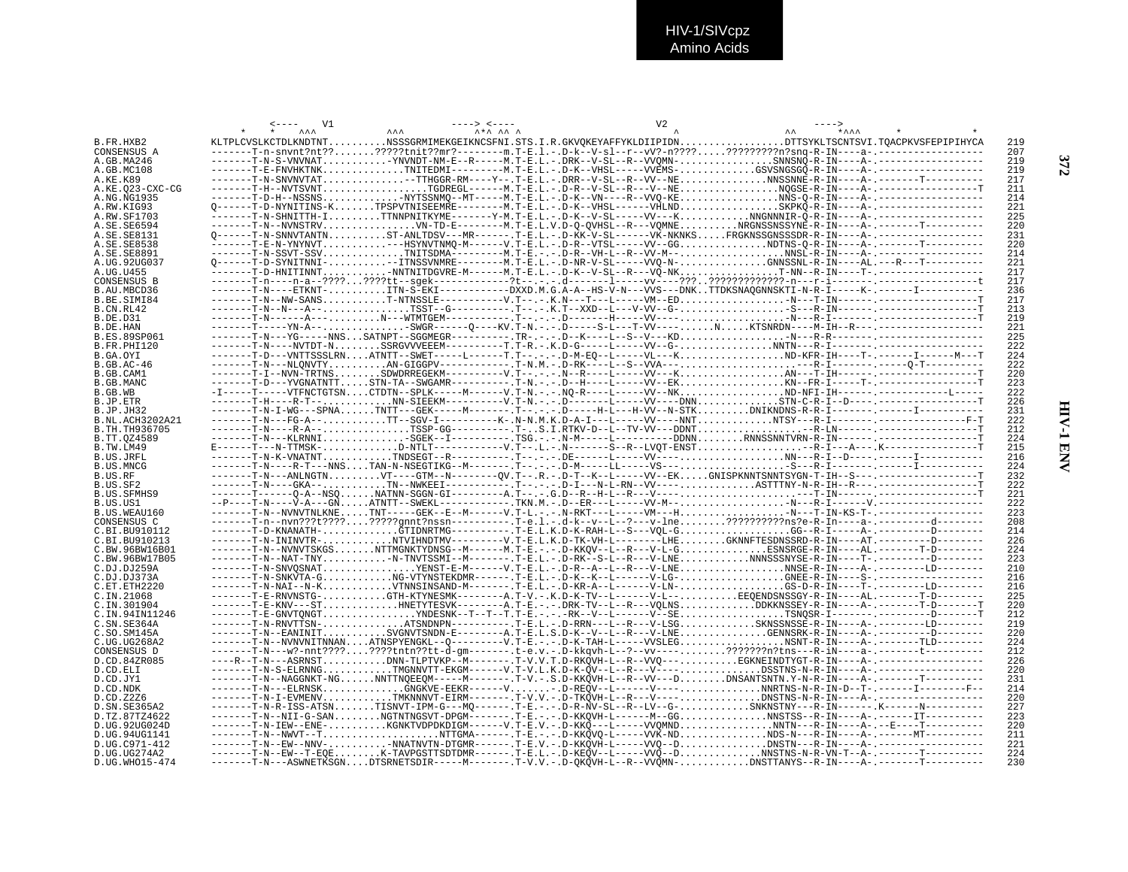|                                | V1 |                                                                                                                                                                                                                                           | V2 |            |
|--------------------------------|----|-------------------------------------------------------------------------------------------------------------------------------------------------------------------------------------------------------------------------------------------|----|------------|
|                                |    |                                                                                                                                                                                                                                           |    |            |
| B.FR.HXB2                      |    | KLTPLCVSLKCTDLKNDTNTNSSSGRMIMEKGEIKNCSFNI.STS.I.R.GKVOKEYAFFYKLDIIPIDNDTTSYKLTSCNTSVI.TOACPKVSFEPIPIHYCA                                                                                                                                  |    | 219        |
| CONSENSUS A                    |    | -------T-n-snvnt?nt???????tnit??mr?-------m.T-E.l.-.D-k--V-sl--r--vV?-n?????????????n?snq-R-IN----a-.---------------------                                                                                                                |    | 207        |
| A.GB.MA246                     |    | -------T-N-S-VNVNAT-YNVNDT-NM-E--R-----M.T-E.L.-.DRK--V-SL--R--VVOMN-SNNSNO-R-IN----A-.----------------<br>-------T-E-FNVHKTNKTNITEDMI---------M.T-E.L.-.D-K--VHSL-----VVEMS-GSVSNGSGÖ-R-IN----A-.----------------                        |    | 219<br>219 |
| A.GB.MC108<br>A.KE.K89         |    | ------T-N-SNVNVTAT--TTHGGR-RM----Y--.T-E.L.-.DRR--V-SL--R--VV--NENNSSNNĒ-R-IN----A-.-------T---------                                                                                                                                     |    | 217        |
| A.KE.Q23-CXC-CG                |    |                                                                                                                                                                                                                                           |    | 211        |
| A.NG.NG1935                    |    | -------T-D-H--NSSNSPNYTSSNMQ--MT-----M.T-E.L.-.D-K--VN----R--VVQ-KENNS-Q-R-IN----A-.----------------                                                                                                                                      |    | 214        |
| A.RW.KIG93                     |    | Q------T-D-NYNITINS-KTPSPVTNISEEMRE--------M.T-E.L.-.D-K--VHSL------VHLNDSKPKQ-R-IN----A-.-----------------                                                                                                                               |    | 221        |
| A.RW.SF1703                    |    | -------T-N-SHNITTH-ITTNNPNITKYME-------Y-M.T-E.L.-.D-K--V-SL-----VV---KNNGNNNIR-O-R-IN----A-.----------------                                                                                                                             |    | 225        |
| A.SE.SE6594                    |    |                                                                                                                                                                                                                                           |    | 220        |
| A.SE.SE8131                    |    | 0------T-N-SNNVTANTNST-ANLTDSV---MR------.T-E.L.-.D-KK-V-SL------VK-NKNKSFRGKNSSGNSSSDR-R-IN----A-.----------------                                                                                                                       |    | 231        |
| A.SE.SE8538                    |    |                                                                                                                                                                                                                                           |    | 220        |
| A.SE.SE8891                    |    | -------T-N-SSVT-SSVTNITSDMA----------M.T-E.-.-.D-R--VH-L--R--VV-M--NNSL-R-IN----A-.-------------------                                                                                                                                    |    | 214        |
| A.UG.92UG037                   |    | Q------T-D-SYNITNNI---ITNSSVNMRE--------M.T-E.L.-.D-NR-V-SL-----VVQ-N-GNNSSNL-R-IN----AL.---R---T---------<br>-------T-D-HNITINNTTNNTNITDGVRE-M------M.T-E.L.-.D-K--V-SL--R---VO-NKT-NN--R-IN----T-.-----------------                     |    | 221        |
| A.UG.U455<br>CONSENSUS B       |    |                                                                                                                                                                                                                                           |    | 217<br>217 |
| B.AU.MBCD36                    |    | ------T-N----ETKNT-TTN-S-EKI------------DXXD.M.G.A-A--HS-V-N---VVS---DNKTTDKSNAOGNNSKTI-N-R-I-----K-.------I--------------                                                                                                                |    | 236        |
| B.BE.SIMI84                    |    |                                                                                                                                                                                                                                           |    | 217        |
| B.CN.RL42                      |    |                                                                                                                                                                                                                                           |    | 213        |
| B.DE.D31                       |    |                                                                                                                                                                                                                                           |    | 219        |
| B.DE.HAN                       |    |                                                                                                                                                                                                                                           |    | 221        |
| B.ES.89SP061                   |    |                                                                                                                                                                                                                                           |    | 225        |
| B.FR.PHI120                    |    |                                                                                                                                                                                                                                           |    | 222        |
| B.GA.OYI                       |    |                                                                                                                                                                                                                                           |    | 224        |
| $B.GB.AC-46$                   |    |                                                                                                                                                                                                                                           |    | 222<br>220 |
| B.GB.CAM1<br>B.GB.MANC         |    |                                                                                                                                                                                                                                           |    | 223        |
| B.GB.WB                        |    | $-1---T---VTRNCTGTSNCTDTN--SPLK---M---V.T-N.---N0-R---L---VV--NKND-NFI-IH------C-T------L---L---V-$                                                                                                                                       |    | 222        |
| B.JP.ETR                       |    |                                                                                                                                                                                                                                           |    | 226        |
| B.JP.JH32                      |    | -------T-N-I-WG---SPNATNTT---GEK------M-------.T--.--.D-----H-L---H-VV--N-STKDNIKNDNS-R-R-I----------------------------                                                                                                                   |    | 231        |
| <b>B.NL.ACH3202A21</b>         |    |                                                                                                                                                                                                                                           |    | 222        |
| B.TH.TH936705                  |    |                                                                                                                                                                                                                                           |    | 212        |
| B.TT.0Z4589                    |    | -------T-N---KLRNNISGEK--I----------.TSG.-.-.N-M-----L---------DDNNRNNSSNNTVRN-R-IN------------------------T                                                                                                                              |    | 224        |
| B.TW.LM49                      |    | E------T---N-TTMSK-D-NTLT------------V.T--.L.-.N-------S--R--LVOT-ENST-R-I---A---.K----------------T                                                                                                                                      |    | 215        |
| B.US.JRFL                      |    | ------T-N-K-VNATNTTNDSEGT--R----------.T--.-.DE------L-----VV----NN---R-I--D----.---------                                                                                                                                                |    | 216        |
| B.US.MNCG<br>B.US.RF           |    |                                                                                                                                                                                                                                           |    | 224<br>232 |
| B.US.SF2                       |    | -------T-N----GKA--TN--NWKEEI-----------------D-I---N-L-RN--VV----ASTTTNY-N-R-IH--R---.----------------T                                                                                                                                  |    | 222        |
| <b>B.US.SFMHS9</b>             |    |                                                                                                                                                                                                                                           |    | 221        |
| B.US.US1                       |    |                                                                                                                                                                                                                                           |    | 222        |
| B.US.WEAU160                   |    |                                                                                                                                                                                                                                           |    | 223        |
| CONSENSUS C                    |    | ------T-n--nvn???t?????????gnnt?nssn---------.T-e.l.-.d-k--v--L--?---v-lne?????????ns?e-R-In----a-.-----------d--------                                                                                                                   |    | 208        |
| C.BI.BU910112                  |    | ------T-D-KNANATH-GTIDNRTMG---------.T-E.L.K.D-K-RAH-L--S---VOL-GGG--R-I-----A-.-----------D--------                                                                                                                                      |    | 214        |
| C.BI.BU910213                  |    | -------T-N-ININVTR-NTVIHNDTMV---------V.T-E.L.K.D-TK-VH-L--------LHEGKNNFTESDNSSRD-R-IN----AT.--------D-------                                                                                                                            |    | 226        |
| C.BW.96BW16B01                 |    | ------T-N--NVNVTSKGSNTTMGNKTYDNSG--M------M.T-E.-.-.D-KKQV--L--R---V-L-GESNSRGE-R-IN----AL.-------T-D-------                                                                                                                              |    | 224        |
| C.BW.96BW17B05<br>C.DJ.DJ259A  |    | -------T-N--NAT-TNY-N-TNVTSSMI--M-------.T-E.L.-.D-RK--S-L--R---V-LNENNNSSSNYSE-R-IN----T-.---------D-------                                                                                                                              |    | 223<br>210 |
| C.DJ.DJ373A                    |    | -------T-N-SNKVTA-GNG-VTYNSTEKDMR------.T-E.L.-.D-K--K--L------V-LG-GNEE-R-IN----S-.-----------------                                                                                                                                     |    | 216        |
| C.ET.ETH2220                   |    |                                                                                                                                                                                                                                           |    | 216        |
| C.IN.21068                     |    | ------T-E-RNVNSTG-GTH-KTYNESMK--------A.T-V.-.K.D-K-TV--L------V-L--EEQENDSNSSGY-R-IN----AL.-------T-D-------                                                                                                                             |    | 225        |
| C.IN.301904                    |    | ------T-E-KNV---STHNETYTESVK--------A.T-E.-.-.DRK-TV--L--R---VOLNSDDKKNSSEY-R-IN----A-.-------T-D-------T                                                                                                                                 |    | 220        |
| C.IN.94IN11246                 |    | -------T-E-GNVTONGTYNDESNK--T--T--T.T-E.-.-.-RK--V--L------V--SETSNOSR-I-------,----------D-------T                                                                                                                                       |    | 212        |
| C.SN.SE364A                    |    | ------T-N-RNVTTSN-ATSNDNPN----------T-E.L.-.D-RRN---L-R---V-LSGSKNSSNSSE-R-IN----A-.--------LD-------                                                                                                                                     |    | 219        |
| C.SO.SM145A                    |    | ------T-N--EANINITSVGNVTSNDN-E--------A.T-E.L.S.D-K--V--L--R---V-LNEGENNSRK-R-IN----A-.----------D-------                                                                                                                                 |    | 220        |
| C.UG.UG268A2                   |    |                                                                                                                                                                                                                                           |    | 224        |
| CONSENSUS D                    |    | -------T-N---w?-nnt????????tntn??tt-d-qm-------.t-e.v.-.D-kkgvh-L--?--vv----???????n?tns---R-iN----a-.-------t---------<br>----R--T-N---ASRNSTDNN-TLPTVKP--M-------.T-V.V.T.D-RKOVH-L--R--VVO---EGKNEINDTYGT-R-IN----A-.----------------- |    | 212        |
| D.CD.84ZR085<br>D.CD.ELI       |    | ------T-N-S-ELRNNGTMGNNVTT-EKGM------V.T-V.L.K.D-K-QV--L--R---V----DSSTNS-N-R-IN----A-.-----------------------                                                                                                                            |    | 226<br>220 |
| D.CD.JY1                       |    | -------T-N--NAGGNKT-NGNNTTNOEEOM-----M-------.T-V.-.S.D-KKOVH-L--R--VV---DDNSANTSNTN.Y-N-R-IN----A-.-------T--------                                                                                                                      |    | 231        |
| D.CD.NDK                       |    |                                                                                                                                                                                                                                           |    | 214        |
| D.CD.Z2Z6                      |    | ------T-N-I-EVMENVTMKNNNVT-EIRM-------.T-V.V.-.D-TKQVH-L--R---V----DNSTNS-N-R-IN----A-.-------------------------                                                                                                                          |    | 220        |
| D.SN.SE365A2                   |    |                                                                                                                                                                                                                                           |    | 227        |
| D.TZ.87TZ4622                  |    | ------T-N--NII-G-SANNGTNTNGSVT-DPGM-------.T-E.-.-D-KKOVH-L------M--GGNNSTSS--R-IN----A-.-------IT----------                                                                                                                              |    | 223        |
| D.UG.92UG024D                  |    |                                                                                                                                                                                                                                           |    | 220        |
| D.UG.94UG1141                  |    |                                                                                                                                                                                                                                           |    | 211        |
| D.UG.C971-412                  |    |                                                                                                                                                                                                                                           |    | 221        |
| D.UG.UG274A2<br>D.UG.WHO15-474 |    | -------T-N--EW--T-EOEK-TAVPGSTTSDTDMR------.T-E.L.-.D-KEÕV--L-----VVÕ--DNNSTNS-N-R-VN-T--A-.--------T---------<br>-------T-N---ASWNETKSGNDTSRNETSDIR-----M-------.T-V.V.-.D-OKOVH-L--R--VVOMN-DNSTTANYS--R-IN----A-.-------T--------      |    | 224<br>230 |
|                                |    |                                                                                                                                                                                                                                           |    |            |

**HIV-1 ENV 372** HIV-1 ENV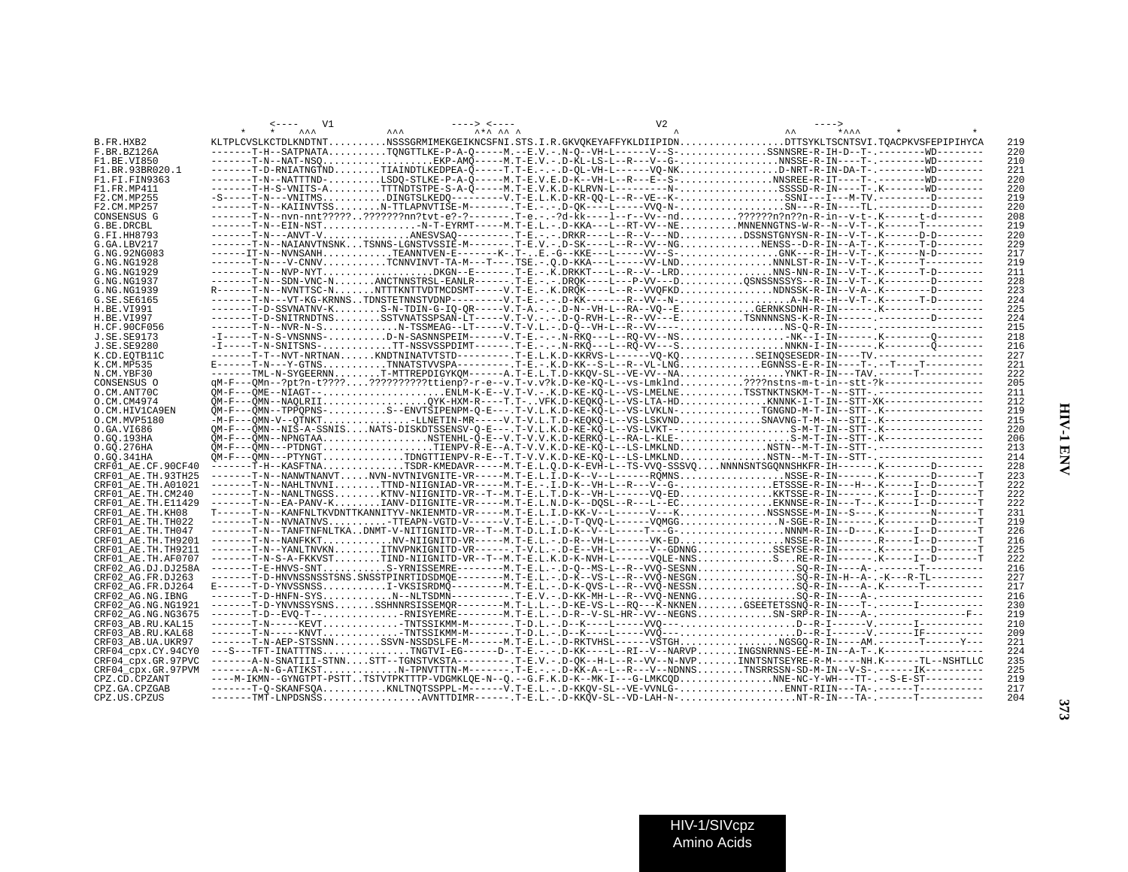|                    | AA | <b>AAA</b><br>$\lambda + \lambda$ $\lambda$ $\lambda$ |  | ****                                                                                                                                                                                                                                                                                                                              |     |
|--------------------|----|-------------------------------------------------------|--|-----------------------------------------------------------------------------------------------------------------------------------------------------------------------------------------------------------------------------------------------------------------------------------------------------------------------------------|-----|
| B.FR.HXB2          |    |                                                       |  | KLTPLCVSLKCTDLKNDTNTNSSSGRMIMEKGEIKNCSFNI.STS.I.R.GKVOKEYAFFYKLDIIPIDNDTTSYKLTSCNTSVI.TOACPKVSFEPIPIHYCA                                                                                                                                                                                                                          | 219 |
| F.BR.BZ126A        |    |                                                       |  | -------T-H--SATPNATATONGTTLKE-P-A-O-----M.--E.V.-.N-O--VH-L------V--S-SSNNSRE-R-IH-D--T-.-------WD-------                                                                                                                                                                                                                         | 220 |
| F1.BE.VI850        |    |                                                       |  | -------T-N--NAT-NSOEKP-AMO-----M.T-E.V.-.D-KL-LS-L--R---V--G-NNSSE-R-IN----T-.--------WD-------                                                                                                                                                                                                                                   | 210 |
|                    |    |                                                       |  | -------T-D-RNIATNGTNDTIAINDTLKEDPEA-O-----T.T-E.-.-.D-OL-VH-L------VO-NKD-NRT-R-IN-DA-T-.--------WD-------                                                                                                                                                                                                                        | 221 |
| F1.BR.93BR020.1    |    |                                                       |  |                                                                                                                                                                                                                                                                                                                                   |     |
| F1.FI.FIN9363      |    |                                                       |  | -------T-N--NATTTND-LSDO-STLKE-P-A-Õ-----M.T-E.V.E.D-K--VH-L--R---E-S-NNSREE-R-IT----T-.---------WD-------                                                                                                                                                                                                                        | 220 |
| F1.FR.MP411        |    |                                                       |  | ------T-H-S-VNITS-ATTTNDTSTPE-S-A-O-----M.T-E.V.K.D-KLRVN-L---------N-SSSSD-R-IN----T-.K-------WD-------                                                                                                                                                                                                                          | 220 |
| F2.CM.MP255        |    |                                                       |  | $-S$ -----T-N---VNITMSDINGTSLKEDO--------V.T-E.L.K.D-KR-00-L--R--VE--K-SSNI---I---M-TV.---------D--------                                                                                                                                                                                                                         | 219 |
| F2.CM.MP257        |    |                                                       |  | -------T-N--KAIINVTSSN-TTLAPNVTIŠE-M-------.T-E.-.-.D-OK----L------VVO-N-SN---R-IN----TL.---------D--------                                                                                                                                                                                                                       | 220 |
| CONSENSUS G        |    |                                                       |  | ------T-N--nvn-nnt????????????nn?tvt-e?-?------.T-e.-.-?d-kk----1--r--Vv--nd??????n?n??n-R-in--v-t-.K-------t-d--------                                                                                                                                                                                                           | 208 |
| G.BE.DRCBL         |    |                                                       |  | -------T-N--EIN-NST-N-T-EYRMT-----M.T-E.L.-.D-KKA---L--RT-VV--NEMNNENNGTNS-W-R--N--V-T-.K------T---------                                                                                                                                                                                                                         | 219 |
| G.FI.HH8793        |    |                                                       |  | -------T-N---ANVT-VANESVSAO---------.T-E.-.-.DRKR----L--R--V---NDDSSNSTGNYSN-R-IN--V-T-.K------D-D--------                                                                                                                                                                                                                        | 220 |
|                    |    |                                                       |  |                                                                                                                                                                                                                                                                                                                                   |     |
| G.GA.LBV217        |    |                                                       |  | -------T-N--NAIANVTNSNKTSNNS-LGNSTVSSIE-M-------.T-E.V.-.D-SK----L--R--VV--NGNENSS--D-R-IN--A-T-.K------T-D-------                                                                                                                                                                                                                | 229 |
| G.NG.92NG083       |    |                                                       |  | ------IT-N--NVNSANHTEANNTVEN-E-------K-.T-E.-G--KKE---L-----VV--S-GNK---R-IH--V-T-.K-------N-D--------                                                                                                                                                                                                                            | 217 |
| G.NG.NG1928        |    |                                                       |  | -------T-N---V-CNNVTCNNVINVT-TA-M---T---.TSE.-.O.D-KKA---L-----VV-LNDNNNLST-R-IN--V-T-.K------T---------                                                                                                                                                                                                                          | 219 |
| G.NG.NG1929        |    |                                                       |  |                                                                                                                                                                                                                                                                                                                                   | 211 |
| G.NG.NG1937        |    |                                                       |  | -------T-N--SDN-VNC-NANCTNNSTRSL-EANLR------.T-E.-.-.DROK----L---P-VV---DOSNSSNSSYS--R-IN--V-T-.K--------D-------                                                                                                                                                                                                                 | 228 |
| G.NG.NG1939        |    |                                                       |  | R------T-N--NVNTTSC-NNTTTKNTTVDTMCDSMT-----V.T-E.-.K.DROK----L--R--VVOFKDNDNSSK-R-IN--V-A-.K--------D-------                                                                                                                                                                                                                      | 223 |
|                    |    |                                                       |  | -------T-N---VT-KG-KRNNSTDNSTETNNSTVDNP---------V.T-E.-.-.D-KK-------R--VV--N-A-N-R--H--V-T-.K-------T-D-------                                                                                                                                                                                                                   |     |
| G.SE.SE6165        |    |                                                       |  |                                                                                                                                                                                                                                                                                                                                   | 224 |
| H.BE.VI991         |    |                                                       |  |                                                                                                                                                                                                                                                                                                                                   | 225 |
| H.BE.VI997         |    |                                                       |  | ------T-D-SNITRNDTNSSSTVNATSSPSAÑ-L̃T-----V.T-V.-.-.D-Q-RVH-L--R--VV---ETSNNNNSNS-K-R-IN---------------D-------                                                                                                                                                                                                                   | 224 |
| H.CF.90CF056       |    |                                                       |  |                                                                                                                                                                                                                                                                                                                                   | 215 |
| <b>J.SE.SE9173</b> |    |                                                       |  |                                                                                                                                                                                                                                                                                                                                   | 218 |
| J.SE.SE9280        |    |                                                       |  | -I-----T-N-SNITSNS-TT-NSSVSSPDIMT------.T-E.-.-.N-RKO---L--RO-VV---SNNKN-I-IN------.K--------O--------                                                                                                                                                                                                                            | 216 |
| K.CD.EOTB11C       |    |                                                       |  | -------T-T--NVT-NRTNANKNDTNINATVTSTD--------.T-E.L.K.D-KKRVS-L------VO-KOSEINOSESEDR-IN----TV.------------------                                                                                                                                                                                                                  | 227 |
| K.CM.MP535         |    |                                                       |  | E------T-N---Y-GTNSTNNATSTVVSPA---------.T-E.-.K.D-KK--S-L--R--VL-LNGEGNÑSS-E-R-IN----T-.--T----T----------                                                                                                                                                                                                                       | 221 |
|                    |    |                                                       |  |                                                                                                                                                                                                                                                                                                                                   |     |
| N.CM.YBF30         |    |                                                       |  |                                                                                                                                                                                                                                                                                                                                   | 222 |
| CONSENSUS O        |    |                                                       |  | qM-F---QMn--?pt?n-t?????????????ttienp?-r-e--v.T-v.v?k.D-Ke-KQ-L--vs-Lmklnd????nstns-m-t-in--stt-?k-----------------                                                                                                                                                                                                              | 205 |
| O.CM.ANT70C        |    |                                                       |  |                                                                                                                                                                                                                                                                                                                                   | 211 |
| O.CM.CM4974        |    |                                                       |  | QM-F---QMN--NAQLRIIQYK-HXM-R----T.T-VFK.D-KEQKQ-L--VS-LTA-HDKNNNK-I-T-IN--STT-XK---------------                                                                                                                                                                                                                                   | 212 |
| O.CM.HIV1CA9EN     |    |                                                       |  | QM-F---QMN--TPPQPNS-S--ENVTSIPENPM-Q-E---.T-V.L.K.D-KE-KQ-L--VS-LVKLN-TGNGND-M-T-IN--STT-.K---------------                                                                                                                                                                                                                        | 219 |
| O.CM.MVP5180       |    |                                                       |  |                                                                                                                                                                                                                                                                                                                                   | 215 |
| 0.GA.VI686         |    |                                                       |  | QM-F---QMN--NIS-A-SSNISNATS-DISKDTSSENSV-Q-E---.T-V.L.K.D-KE-KQ-L--VS-LVKT--S-M-T-IN--STT-.K----------------                                                                                                                                                                                                                      | 220 |
|                    |    |                                                       |  | OM-F---OMN--NPNGTAANSTENHL-O-E--V.V.V.K.D-KERKO-L--RA-L-KLE-S-M-T-IN--STT-.K----------------                                                                                                                                                                                                                                      |     |
| O.GO.193HA         |    |                                                       |  |                                                                                                                                                                                                                                                                                                                                   | 206 |
| 0.GO.276HA         |    |                                                       |  | QM-F---QMN---PTDNGTTIENPV-R-E--A.T-V.V.K.D-KE-KQ-L--LS-LMKLNDNSTN--M-T-IN--STT-.----------------                                                                                                                                                                                                                                  | 213 |
| 0.GO.341HA         |    |                                                       |  | QM-F---QMN---PTYNGTTDNGTTIENPV-R-E--T.T-V.V.K.D-KE-KQ-L--LS-LMKLNDNSTN--M-T-IN--STT-.---------------                                                                                                                                                                                                                              | 214 |
| CRF01 AE.CF.90CF40 |    |                                                       |  | ------T-H--KASFTNATSDR-KMEDAVR-----M.T-E.L.Q.D-K-EVH-L--TS-VVQ-SSSVQNNNNSNTSGQNNSHKFR-IH------.K--------D-------                                                                                                                                                                                                                  | 228 |
| CRF01 AE.TH.93TH25 |    |                                                       |  | -------T-N--NANWTNANVTNVN-NVTNIVGNITE-VR-----M.T-E.L.I.D-K--V--L------RÕMNSNSSE-R-IN------.K--------D-------T                                                                                                                                                                                                                     | 223 |
| CRF01 AE.TH.A01021 |    |                                                       |  | -------T-N--NAHLTNVNITTND-NIIGNIAD-VR-----M.T-E.-.I.D-K--VH-L--R---V--G-ETSSSE-R-IN---H--.K-----I--D-------T                                                                                                                                                                                                                      | 222 |
| CRF01 AE.TH.CM240  |    |                                                       |  | $\verb -----T-N--NANLTNGSS. KTNV-NIGNITD-VR--T--M.T-E. L.T.D-K--VH-L---VQ-ED KTSSE-R-IN----. K---I--D-----T-$                                                                                                                                                                                                                     | 222 |
| CRF01 AE.TH.E11429 |    |                                                       |  |                                                                                                                                                                                                                                                                                                                                   | 222 |
|                    |    |                                                       |  | T------T-N--KANFNLTKVDNTTKANNITYV-NKIENMTD-VR-----M.T-E.L.I.D-KK-V--L------V---KNSSNSSE-M-IN--S---.K-------N------T                                                                                                                                                                                                               |     |
| CRF01 AE.TH.KH08   |    |                                                       |  |                                                                                                                                                                                                                                                                                                                                   | 231 |
| CRF01 AE.TH.TH022  |    |                                                       |  | -------T-N--NVNATNVS-TTEAPN-VGTD-V------V.T-E.L.-.D-T-OVO-L------VOMGGN-SGE-R-IN------.K--------D-------T                                                                                                                                                                                                                         | 219 |
| CRF01 AE.TH.TH047  |    |                                                       |  | -------T-N--TANFTNFNLTKADNMT-V-NITIGNITD-VR--T--M.T-D.L.I.D-K--V--L-----T---G-NNMM-R-IN--D---.K-----I--D-------T                                                                                                                                                                                                                  | 226 |
| CRF01 AE.TH.TH9201 |    |                                                       |  | $\verb -----T-N--NANFKKT , \verb  , \verb  , \verb 00000 , \verb 0110000 , \verb 00100 , \verb 00100 , \verb 00100 , \verb 00100 , \verb 00100 , \verb 00100 , \verb 00100 , \verb 00100 , \verb 00100 , \verb 00100 , \verb 00100 , \verb 00100 , \verb 00100 , \verb 00100 , \verb 00100 , \verb 00100 , \verb 00100 , \verb 0$ | 216 |
| CRF01 AE.TH.TH9211 |    |                                                       |  | -------T-N--YANLTNVKNITNVPNKIGNITD-VR------.T-V.L.-.D-E--VH-L------V--GDNNGSSEYSE-R-IN------.K--------D-------T                                                                                                                                                                                                                   | 225 |
| CRF01 AE.TH.AF0707 |    |                                                       |  |                                                                                                                                                                                                                                                                                                                                   | 222 |
| CRF02 AG.DJ.DJ258A |    |                                                       |  | -------T-E-HNVS-SNTS-YRNISSEMRE--------M.T-E.L.-.D-O--MS-L--R--VVO-SESNNSO-R-IN----A-.--------T---------                                                                                                                                                                                                                          | 216 |
| CRF02 AG.FR.DJ263  |    |                                                       |  | -------T-D-HNVNSSNSSTSNS.SNSSTPINRTIDSDMQE--------M.T-E.L.-.D-K--VS-L--R--VVQ-NESGNSO-R-IN-H--A-.-K---R-TL--------                                                                                                                                                                                                                | 227 |
|                    |    |                                                       |  | $E$ ------T-D-YNVSSNSSI-VKSISRDMQ---------M.T-E.L.-.D-K-QVS-L--R--VVQ-NESSNSQ-R-IN----A-.K------T---------                                                                                                                                                                                                                        |     |
| CRF02 AG.FR.DJ264  |    |                                                       |  |                                                                                                                                                                                                                                                                                                                                   | 217 |
| CRF02 AG.NG.IBNG   |    |                                                       |  |                                                                                                                                                                                                                                                                                                                                   | 216 |
| CRF02 AG.NG.NG1921 |    |                                                       |  | -------T-D-YNVNSSYSNSSSHNNRSISSEMOR--------M.T-L.L.-.D-KE-VS-L--RO---K-NKNENGSEETETSSNO-R-IN----T-.------I----------                                                                                                                                                                                                              | 230 |
| CRF02 AG.NG.NG3675 |    |                                                       |  | -------T-D--EVO-T--PRNISYEMRE--------M.T-E.L.-.D-R--V-SL-HR--VV--NEGNSSN-SRP-R-IN----A-.----------------F--                                                                                                                                                                                                                       | 219 |
| CRF03 AB.RU.KAL15  |    |                                                       |  | ------T-N-----KEVTTNTSSIKMM-M-------.T-D.L.-.D--K----L------VVQ---D--R-I------V.------I-----------                                                                                                                                                                                                                                | 210 |
| CRF03 AB.RU.KAL68  |    |                                                       |  |                                                                                                                                                                                                                                                                                                                                   | 209 |
| CRF03 AB.UA.UKR97  |    |                                                       |  | -------T-N-AEP-STSSNNSSVN-NSSDSLFE-M------M.T-E.L.-.D-RKTVHSL------VŠTGHNGSGO-R-IN----AM.-------T------Y---                                                                                                                                                                                                                       | 221 |
|                    |    |                                                       |  | ---S---TFT-INATTTNSTNGTVI-EG------D-.T-E.-.-.D-KK----L--RI--V--NARVPINGSNRNNS-EE-M-IN--A-T-.K----------------                                                                                                                                                                                                                     | 224 |
| CRF04 cpx.CY.94CY0 |    |                                                       |  |                                                                                                                                                                                                                                                                                                                                   |     |
| CRF04 cpx.GR.97PVC |    |                                                       |  | -------A-N-SNATIII-STNNSTT--TGNSTVKSTA---------.T-E.V.-.D-QK--H-L--R--VV--N-NVPINNTSNTSEYRE-R-M------NH.K------TL--NSHTLLC                                                                                                                                                                                                        | 235 |
| CRF04 cpx.GR.97PVM |    |                                                       |  |                                                                                                                                                                                                                                                                                                                                   | 225 |
| CPZ.CD.CPZANT      |    |                                                       |  | ----M-IKMN--GYNGTPT-PSTTTSTVTPKTTTP-VDGMKLOE-N--O.--G.F.K.D-K--MK-I---G-LMKCODNNE-NC-Y-WH---TT-.--S-E-ST---------                                                                                                                                                                                                                 | 219 |
| CPZ.GA.CPZGAB      |    |                                                       |  |                                                                                                                                                                                                                                                                                                                                   | 217 |
| CPZ.US.CPZUS       |    |                                                       |  | -------TMT-LNPDSNSSAVNTTDIMR------.T-E.L.-.D-KKQV-SL--VD-LAH-N-NT-R-IN---TA-.------T----------                                                                                                                                                                                                                                    | 204 |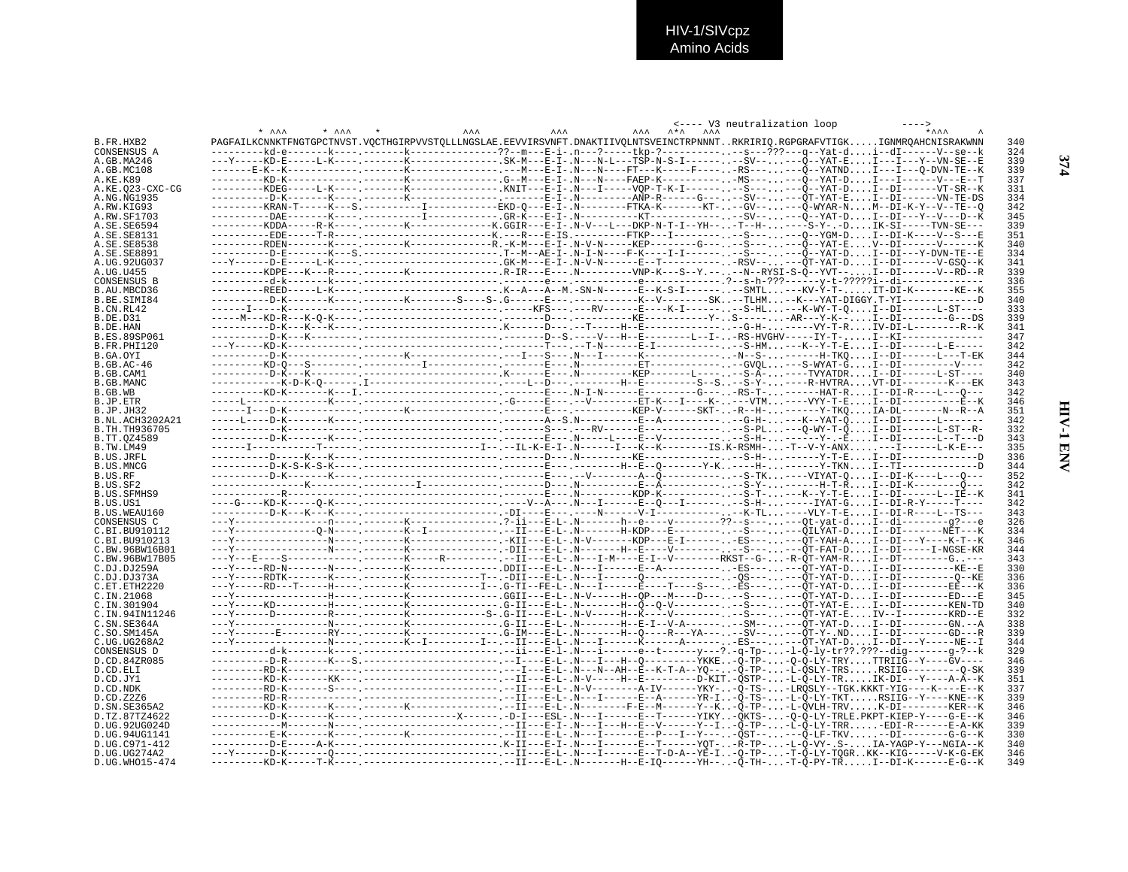|                                    |                                                                                                                                   |                           | <---- V3 neutralization loop |            |
|------------------------------------|-----------------------------------------------------------------------------------------------------------------------------------|---------------------------|------------------------------|------------|
| B.FR.HXB2                          | PAGFAILKCNNKTFNGTGPCTNVST.VOCTHGIRPVVSTOLLLNGSLAE.EEVVIRSVNFT.DNAKTIIVOLNTSVEINCTRPNNNTRKRIRIO.RGPGRAFVTIGKIGNMROAHCNISRAKWNN     | $\mathbf{A} + \mathbf{A}$ |                              | 340        |
| CONSENSUS A                        |                                                                                                                                   |                           |                              | 324        |
| A.GB.MA246                         |                                                                                                                                   |                           |                              | 339        |
| A.GB.MC108                         |                                                                                                                                   |                           |                              | 339        |
| A.KE.K89                           |                                                                                                                                   |                           |                              | 337        |
| A.KE.023-CXC-CG                    | ---------KDEG-----L-K---- .-------K-------------- .KNIT---E-I- .N---I-----VQP-T-K-I--------S------Ô--YAT-D. I--DI------VT-SR--K   |                           |                              | 331<br>334 |
| A.NG.NG1935<br>A.RW.KIG93          | ---------KRAN-T-----K---S.-----------I-----------EKD-0---E-I-.N--------FTKA-K-------KT---GV-----Õ-WYAR-NM--DI-K-Y--V--TE--0       |                           |                              | 342        |
| A.RW.SF1703                        | ----------DAE-------K---- -----------I------------ .GR-K---E-I- .N-----------KT-------------SV-----Ö--YAT-D.I--DI---Y---V---D--K  |                           |                              | 345        |
| A.SE.SE6594                        | ---------KDDA-----R-K---- --------K-------------K.GGIR---E-I-.N-V---L---DKP-N-T-I--YH---T--H-----S-Y-.-DIK-SI-----TVN-SE---       |                           |                              | 339        |
| A.SE.SE8131                        | ----------EDE-----T-R---- ----------------------K.---R---E-IS.---------FTKP---I-----------S-----Q--YGM-D. I--DI-K----V--S---E     |                           |                              | 351        |
| A.SE.SE8538                        | --------RDEN-------K---- -------K-------------R.-K-M---E-I-.N-V-N-----KEP--------G---. .--S--- ----Õ--YAT-EV--DI-------V-------K  |                           |                              | 340        |
| A.SE.SE8891<br>A.UG.92UG037        | ---Y------D-E-----L-K---- ----------------------GK-M---E-I-.N-V-N------E--T----------- .-RSV-----OT-YAT-DI--DI-------V-GS0--K     |                           |                              | 334<br>341 |
| A.UG.U455                          |                                                                                                                                   |                           |                              | 339        |
| CONSENSUS B                        |                                                                                                                                   |                           |                              | 336        |
| B.AU.MBCD36                        |                                                                                                                                   |                           |                              | 355        |
| B.BE.SIMI84                        |                                                                                                                                   |                           |                              | 340        |
| B.CN.RL42<br>B.DE.D31              |                                                                                                                                   |                           |                              | 333<br>339 |
| B.DE.HAN                           |                                                                                                                                   |                           |                              | 341        |
| B.ES.89SP061                       |                                                                                                                                   |                           |                              | 347        |
| B.FR.PHI120                        |                                                                                                                                   |                           |                              | 342        |
| B.GA.OYI                           |                                                                                                                                   |                           |                              | 344        |
| B.GB.AC-46<br>B.GB.CAM1            |                                                                                                                                   |                           |                              | 342<br>340 |
| B.GB.MANC                          |                                                                                                                                   |                           |                              | 343        |
| B.GB.WB                            |                                                                                                                                   |                           |                              | 342        |
| B.JP.ETR                           |                                                                                                                                   |                           |                              | 346        |
| B.JP.JH32                          |                                                                                                                                   |                           |                              | 351        |
| B.NL.ACH3202A21                    |                                                                                                                                   |                           |                              | 342        |
| B.TH.TH936705<br>B.TT.0Z4589       |                                                                                                                                   |                           |                              | 332<br>343 |
| B.TW.LM49                          |                                                                                                                                   |                           |                              | 335        |
| B.US.JRFL                          |                                                                                                                                   |                           |                              | 336        |
| B.US.MNCG                          |                                                                                                                                   |                           |                              | 344        |
| B.US.RF                            |                                                                                                                                   |                           |                              | 352        |
| B.US.SF2<br><b>B.US.SFMHS9</b>     |                                                                                                                                   |                           |                              | 342<br>341 |
| B.US.US1                           |                                                                                                                                   |                           |                              | 342        |
| B.US.WEAU160                       |                                                                                                                                   |                           |                              | 343        |
| CONSENSUS C                        |                                                                                                                                   |                           |                              | 326        |
| $C. B$ T. BU910112                 |                                                                                                                                   |                           |                              | 334        |
| C.BI.BU910213                      |                                                                                                                                   |                           |                              | 346<br>344 |
| C.BW.96BW16B01<br>C.BW.96BW17B05   |                                                                                                                                   |                           |                              | 343        |
| C.DJ.DJ259A                        |                                                                                                                                   |                           |                              | 330        |
| C.DJ.DJ373A                        |                                                                                                                                   |                           |                              | 336        |
| C.ET.ETH2220                       | ---Y-----RD---T-----H---- -------K------------I-- .G-TI--FE-L- .N---I------Ē---T----S----ĒS---  .---ÕT-YAT-D I--DI---------EĒ---K |                           |                              | 336        |
| C.IN.21068                         |                                                                                                                                   |                           |                              | 345        |
| C. TN. 301904<br>C. IN. 94 IN11246 |                                                                                                                                   |                           |                              | 340<br>332 |
| C.SN.SE364A                        |                                                                                                                                   |                           |                              | 338        |
| C.SO.SM145A                        | ---Y-------E--------RY--- .------K-------------- .G-IM---E-L- .N-------H--Q----R---YA--- --SV-----QT-Y- .ND. I--DI--------GD---R  |                           |                              | 339        |
| C.UG.UG268A2                       |                                                                                                                                   |                           |                              | 344        |
| CONSENSUS D                        |                                                                                                                                   |                           |                              | 329        |
| D.CD.84ZR085                       |                                                                                                                                   |                           |                              | 346        |
| D.CD.ELI<br>D.CD.JY1               |                                                                                                                                   |                           |                              | 339<br>351 |
| D.CD.NDK                           |                                                                                                                                   |                           |                              | 337        |
| D.CD.Z2Z6                          |                                                                                                                                   |                           |                              | 339        |
| D.SN.SE365A2                       |                                                                                                                                   |                           |                              | 346        |
| D.TZ.87TZ4622                      |                                                                                                                                   |                           |                              | 346        |
| D.UG.92UG024D<br>D.UG.94UG1141     |                                                                                                                                   |                           |                              | 339<br>330 |
| D.UG.C971-412                      |                                                                                                                                   |                           |                              | 340        |
| D.UG.UG274A2                       |                                                                                                                                   |                           |                              | 346        |
| D.UG.WHO15-474                     |                                                                                                                                   |                           |                              | 349        |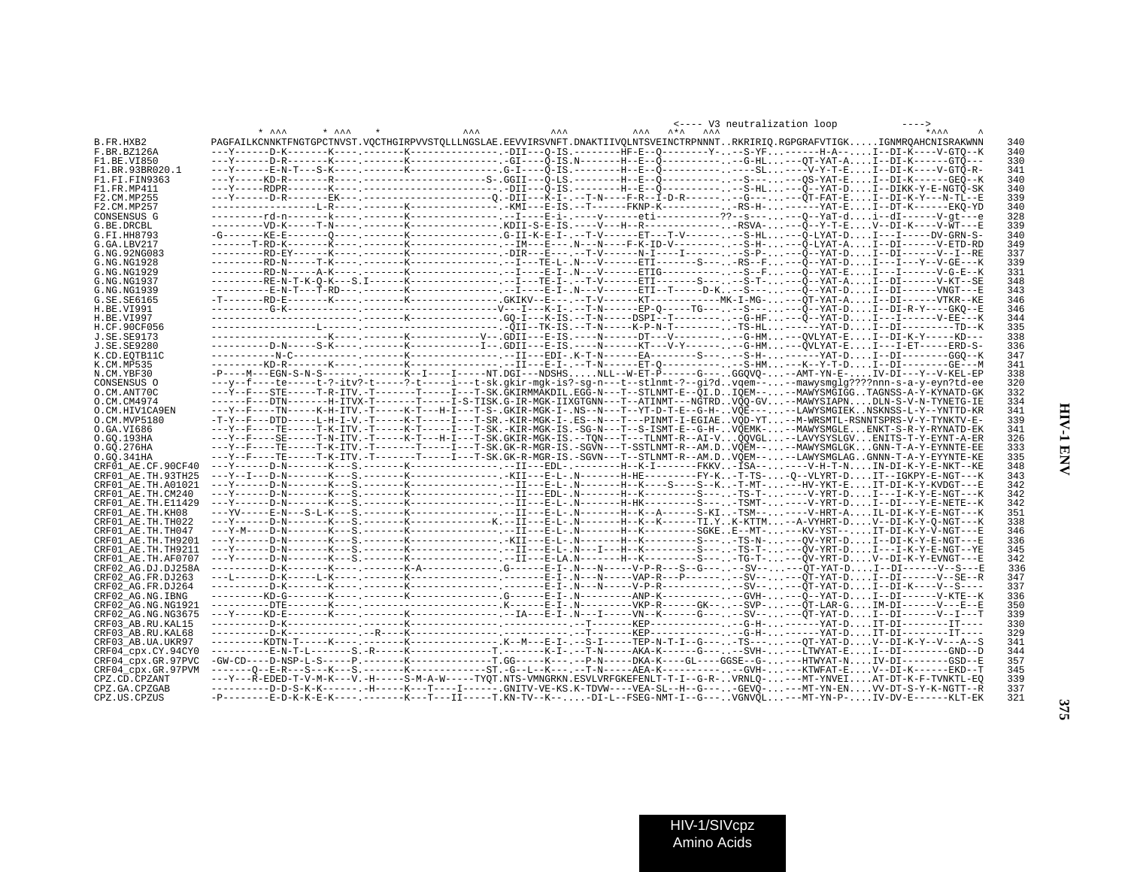|                    |                                                                                                                                        |            |            |  |            | <---- V3 neutralization loop |     |
|--------------------|----------------------------------------------------------------------------------------------------------------------------------------|------------|------------|--|------------|------------------------------|-----|
|                    | $*$ $\lambda \lambda \lambda$<br>$+$ $\lambda \lambda \lambda$                                                                         | <b>AAA</b> | <b>AAA</b> |  | <b>AAA</b> |                              |     |
| B.FR.HXB2          | PAGFAILKCNNKTFNGTGPCTNVST.VOCTHGIRPVVSTOLLLNGSLAE.EEVVIRSVNFT.DNAKTIIVOLNTSVEINCTRPNNNTRKRIRIO.RGPGRAFVTIGKIGNMROAHCNISRAKWNN          |            |            |  |            |                              | 340 |
| F.BR.BZ126A        |                                                                                                                                        |            |            |  |            |                              | 340 |
| F1.BE.VI850        |                                                                                                                                        |            |            |  |            |                              | 330 |
| F1.BR.93BR020.1    | ---Y------E-N-T---S-K---- .-------K----------------G-IS.---------H--E--Ö--------------SL.-----V-Y-T-E. I--DI-K----V-GTÖ-R-             |            |            |  |            |                              | 341 |
| F1.FI.FIN9363      |                                                                                                                                        |            |            |  |            |                              | 340 |
|                    |                                                                                                                                        |            |            |  |            |                              |     |
| F1.FR.MP411        |                                                                                                                                        |            |            |  |            |                              | 340 |
| F2.CM.MP255        | ---Y------D-R-------EK--- .-------------------------0.-DII---K-I- .--T-N----F-R--I-D-R-------G---.---OT-FAT-E. I--DI-K-Y---N-TL--E     |            |            |  |            |                              | 339 |
| F2.CM.MP257        |                                                                                                                                        |            |            |  |            |                              | 340 |
| CONSENSUS G        |                                                                                                                                        |            |            |  |            |                              | 328 |
| G.BE.DRCBL         |                                                                                                                                        |            |            |  |            |                              | 339 |
| G.FI.HH8793        |                                                                                                                                        |            |            |  |            |                              | 340 |
| G.GA.IBV217        |                                                                                                                                        |            |            |  |            |                              | 349 |
| G.NG.92NG083       |                                                                                                                                        |            |            |  |            |                              | 337 |
| G.NG.NG1928        |                                                                                                                                        |            |            |  |            |                              | 339 |
| G.NG.NG1929        |                                                                                                                                        |            |            |  |            |                              | 331 |
| G.NG.NG1937        | --------RE-N-T-K-0-K---S.I------K--------------------TE-I-.--T-V------ETI-------S-----S-T----Õ--YAT-AI--DI------V-KT--SE               |            |            |  |            |                              | 348 |
| G.NG.NG1939        | ---------E-N-T---T-RD---.------K------------------E-I-.N---V-----ETI--T----D-K--S------O--YAT-DI--DI------VNGT---E                     |            |            |  |            |                              | 343 |
|                    |                                                                                                                                        |            |            |  |            |                              |     |
| G.SE.SE6165        |                                                                                                                                        |            |            |  |            |                              | 346 |
| H.BE.VI991         |                                                                                                                                        |            |            |  |            |                              | 346 |
| H.BE.VI997         |                                                                                                                                        |            |            |  |            |                              | 344 |
| H.CF.90CF056       |                                                                                                                                        |            |            |  |            |                              | 335 |
| J.SE.SE9173        |                                                                                                                                        |            |            |  |            |                              | 338 |
| J.SE.SE9280        | ----------D-N-----S-K---- .-------K-------------I-- .GDII---E-IS .----N------KT---V-Y------- .--G-HM. ---QVLYAT-E. I---I-ET-----ERD-S- |            |            |  |            |                              | 336 |
| K.CD.EOTB11C       |                                                                                                                                        |            |            |  |            |                              | 347 |
| K.CM.MP535         |                                                                                                                                        |            |            |  |            |                              | 341 |
| N.CM.YBF30         | -P----M---EGN-S-N-S------.------K--I----I-----NT.DGI---NDSHSNLL--W-ET-P-----G---GGOVO---AMT-YN-E-IV-DI---Y--V-KEL-EP                   |            |            |  |            |                              | 338 |
| CONSENSUS O        | ---y--f----te-----t-?-itv?-t-----?-t-----i---t-sk.gkir-mgk-is?-sg-n---t--stlnmt-?--gi?dvgem----mawysmglg????nnn-s-a-y-eyn?td-ee        |            |            |  |            |                              | 320 |
| O.CM.ANT70C        | ---Y--F---STE-----T-R-ITV.-T-------T----I---T-SK.GKIRMMAKDIL.EGG-N---T--STLNMT-E--QI.DIQEM----MAWYSMGIGGTAGNSS-A-Y-KYNATD-GK           |            |            |  |            |                              | 332 |
| O.CM.CM4974        | -----F---DTN-------H-ITVX-T-------T-----I-S-TISK.G-IR-MGK-IIXGTGNN---T--ATINMT---NGTRDVQQ-GV--MAWYSIAPNDLN-S-V-N-TYNETG-IE             |            |            |  |            |                              | 334 |
| O.CM.HIV1CA9EN     | ---Y--F----TN-----K-H-ITV.-T-----K-T---H-I---T-S-.GKIR-MGK-I-.NS--N---T--YT-D-T-E--G-H-VOE-----LAWYSMGIEKNSKNSS-L-Y--YNTTD-KR          |            |            |  |            |                              | 341 |
| O.CM.MVP5180       | -T-Y--F---DTD-----L-H-I-V.-T-----K-T-----I---T-SR.-KIR-MGK-I-.ES--N---T---PINMT-I-EGIAEVQD-YT--M-WRSMTL-RSNNTSPRS-V-Y-TYNKTV-E-        |            |            |  |            |                              | 339 |
|                    |                                                                                                                                        |            |            |  |            |                              |     |
| O.GA.VI686         | ---Y--F----TE-----T-K-ITV.-T-----K-T-----I---T-SK.-KIR-MGK-IS.-SG-N---T--S-ISMT-E--G-H-VOEMK---MAWYSMGLEENKT-S-R-Y-RYNATD-EK           |            |            |  |            |                              | 341 |
| 0.GO.193HA         | ---Y--F----SE-----T-N-ITV.-T-----K-T---H-I---T-SK.GKIR-MGK-IS.--TON---T---TLNMT-R--AI-VQQVGL--LAVYSYSLGVENITS-T-Y-EYNT-A-ER            |            |            |  |            |                              | 326 |
| 0.GO.276HA         | ---Y--F----TE-----T-K-ITV.-T------T----I---T-SK.GK-R-MGR-IS.-SGVN---T-SSTLNMT-R--AM.DVOEM----MAWYSMGLGKGNN-T-A-Y-EYNNTE-EE             |            |            |  |            |                              | 333 |
| 0.GO.341HA         | ---Y--F----TE----T-K-ITV.-T------T-----I---T-SK.GK-R-MGR-IS.-SGVN---T--STLNMT-R--AM.DVQEM----LAWYSMGLAGGNNN-T-A-Y-EYYNTE-KE            |            |            |  |            |                              | 335 |
| CRF01 AE.CF.90CF40 |                                                                                                                                        |            |            |  |            |                              | 348 |
| CRF01 AE.TH.93TH25 | ---Y--I---D-N-------K---S.--------K----------------KII---E-L-.N--------H-HE----------FY-K-T-TS--Q--VLYRT-DIT--IGKPY-E-NGT---K          |            |            |  |            |                              | 343 |
| CRF01 AE.TH.A01021 |                                                                                                                                        |            |            |  |            |                              | 342 |
| CRF01 AE.TH.CM240  |                                                                                                                                        |            |            |  |            |                              | 342 |
| CRF01 AE.TH.E11429 |                                                                                                                                        |            |            |  |            |                              | 342 |
| CRF01 AE.TH.KH08   |                                                                                                                                        |            |            |  |            |                              | 351 |
| CRF01 AE.TH.TH022  | ---Y------D-N-------K---S.--------K-------------K.--II---E-L-.N-------H--K--K------TI.YK-KTTM--A-VYHRT-DV--DI-K-Y-Q-NGT---K            |            |            |  |            |                              | 338 |
| CRF01 AE.TH.TH047  |                                                                                                                                        |            |            |  |            |                              | 346 |
| CRF01 AE.TH.TH9201 | ---Y------D-N--------K---S.--------K-------------.-KII---E-L-.N-------H--K--------S----TS-N----QV-YRT-DI--DI-K-Y-E-NGT---E             |            |            |  |            |                              | 336 |
| CRF01 AE.TH.TH9211 |                                                                                                                                        |            |            |  |            |                              | 345 |
| CRF01 AE.TH.AF0707 |                                                                                                                                        |            |            |  |            |                              | 342 |
|                    |                                                                                                                                        |            |            |  |            |                              |     |
| CRF02 AG.DJ.DJ258A |                                                                                                                                        |            |            |  |            |                              | 336 |
| CRF02 AG.FR.DJ263  |                                                                                                                                        |            |            |  |            |                              | 347 |
| CRF02 AG.FR.DJ264  |                                                                                                                                        |            |            |  |            |                              | 337 |
| CRF02 AG.NG.IBNG   |                                                                                                                                        |            |            |  |            |                              | 336 |
| CRF02 AG.NG.NG1921 |                                                                                                                                        |            |            |  |            |                              | 350 |
| CRF02 AG.NG.NG3675 |                                                                                                                                        |            |            |  |            |                              | 339 |
| CRF03 AB.RU.KAL15  |                                                                                                                                        |            |            |  |            |                              | 330 |
| CRF03 AB.RU.KAL68  |                                                                                                                                        |            |            |  |            |                              | 329 |
| CRF03 AB.UA.UKR97  | --------KDTN-T-----K---- --------K--------------- K--M---E-I-.--S-I-----TEP-N-T-I--G---TS------OT-YAT-DV--DI-K-Y--V---A--S             |            |            |  |            |                              | 341 |
| CRF04 cpx.CY.94CY0 | ---------E-N-T-L-------S.-R-------K--------------T.-------K-I-.--T-N-----AKA-K------G-----SVH----LTWYAT-EI--DI---------GND--D          |            |            |  |            |                              | 344 |
| CRF04 cpx.GR.97PVC | -GW-CD----D-NSP-L-S------P.--------K-------------T.GG-----K---.--P-N----DKA-K----GL----GGSE--G----HTWYAT-NIV-DI--------GSD--E          |            |            |  |            |                              | 357 |
| CRF04 cpx.GR.97PVM | ------0-E-R---S---K---S.-------K----------ST.-G--L--K---.--T-N-----AEA-K-----------GVH----KTWFAT-EV--DI-K------EKD--T                  |            |            |  |            |                              | 345 |
| CPZ.CD.CPZANT      | ---Y---R-EDED-T-V-M-K---V.-H-----S-M-A-W-----TYQT.NTS-VMNGRKN.ESVLVRFGKEFENLT-T-I--G-R-VRNLQ---MT-YNVEIAT-DT-K-F-TVNKTL-EQ             |            |            |  |            |                              | 339 |
| CPZ.GA.CPZGAB      | ---------D-D-S-K-K------.-H-----K---T----I------.GNITV-VE-KS.K-TDVW----VEA-SL--H--G----GEVQ----MT-YN-ENVV-DT-S-Y-K-NGTT--R             |            |            |  |            |                              | 337 |
| CPZ.US.CPZUS       | -P-------E-D-K-K-E-K----.--------K---T---II------T.KN-TV--K---DI-L--FSEG-NMT-I--G---VGNVQL---MT-YN-P-IV-DV-E------KLT-EK               |            |            |  |            |                              | 321 |
|                    |                                                                                                                                        |            |            |  |            |                              |     |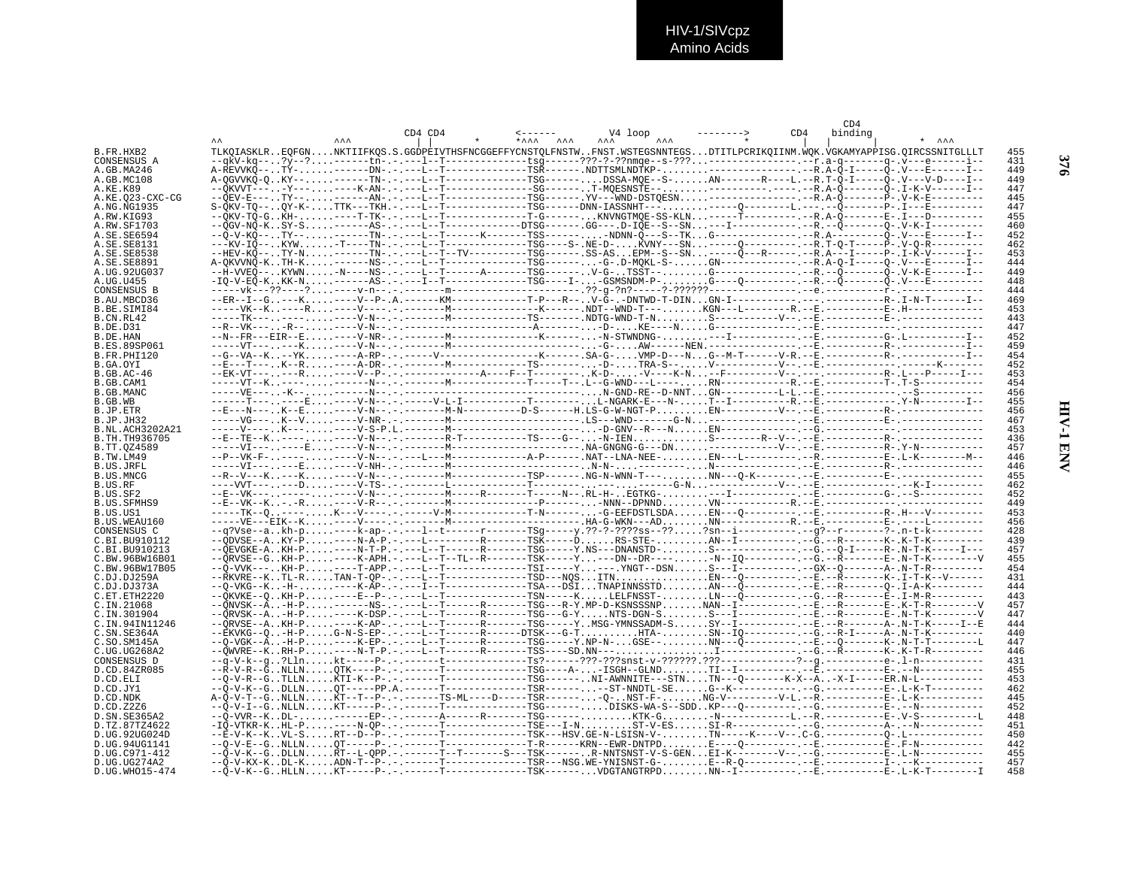HIV-1/SIVcpz<br>Amino Acids

|                                 |         |       |                                                                                                                                                                                                                                  | CD4            |                               |
|---------------------------------|---------|-------|----------------------------------------------------------------------------------------------------------------------------------------------------------------------------------------------------------------------------------|----------------|-------------------------------|
|                                 | CD4 CD4 | $*AA$ | V4 loop                                                                                                                                                                                                                          | CD4<br>binding | $+$ $\lambda \lambda \lambda$ |
| B.FR.HXB2                       |         |       | TLKOIASKLREOFGNNKTIIFKOS.S.GGDPEIVTHSFNCGGEFFYCNSTOLFNSTWFNST.WSTEGSNNTEGSDTITLPCRIKOIINM.WOK.VGKAMYAPPISG.OIRCSSNITGLLLT                                                                                                        |                | 455                           |
| CONSENSUS A                     |         |       |                                                                                                                                                                                                                                  |                | 431                           |
| A.GB.MA246                      |         |       |                                                                                                                                                                                                                                  |                | 449                           |
| A.GB.MC108                      |         |       | A-QGVVKQ-QKY--------TN-.-.---L--T------------TSG------DSSA-MQE--S-AN------R----L.--R.T-Q-I-----Q-.V---V-D----I--                                                                                                                 |                | 449                           |
| A.KE.K89                        |         |       |                                                                                                                                                                                                                                  |                | 447                           |
| A.KE.023-CXC-CG                 |         |       |                                                                                                                                                                                                                                  |                | 445<br>447                    |
| A.NG.NG1935<br>A.RW.KIG93       |         |       |                                                                                                                                                                                                                                  |                | 455                           |
| A.RW.SF1703                     |         |       |                                                                                                                                                                                                                                  |                | 460                           |
| A.SE.SE6594                     |         |       |                                                                                                                                                                                                                                  |                | 452                           |
| A. SE. SE8131                   |         |       | ---KV-IÕ--KYW-T----TN-.-.---L--T--------------TSG----S-.NE-D-KVNY---SN-----O---------.--R.T-O-T-----P-.V-O-R---------                                                                                                            |                | 462                           |
| A.SE.SE8538                     |         |       |                                                                                                                                                                                                                                  |                | 453                           |
| A.SE.SE8891                     |         |       |                                                                                                                                                                                                                                  |                | 444<br>449                    |
| A.UG.92UG037<br>A.UG.U455       |         |       |                                                                                                                                                                                                                                  |                | 448                           |
| CONSENSUS B                     |         |       |                                                                                                                                                                                                                                  |                | 444                           |
| B.AU.MBCD36                     |         |       | --ER--I--G---K----V--P-.A.------KM------------T-P---R--V-G-.-DNTWD-T-DINGN-I-------------------------R-.I-N-T------I--                                                                                                           |                | 469                           |
| B.BE.SIMI84                     |         |       |                                                                                                                                                                                                                                  |                | 453                           |
| B.CN.RL42                       |         |       |                                                                                                                                                                                                                                  |                | 443                           |
| B.DE.D31                        |         |       |                                                                                                                                                                                                                                  |                | 447                           |
| B.DE.HAN<br><b>B.ES.89SP061</b> |         |       |                                                                                                                                                                                                                                  |                | 452<br>459                    |
| B.FR.PHI120                     |         |       |                                                                                                                                                                                                                                  |                | 454                           |
| B.GA.OYI                        |         |       |                                                                                                                                                                                                                                  |                | 452                           |
| B.GB.AC-46                      |         |       |                                                                                                                                                                                                                                  |                | 453                           |
| B.GB.CAM1                       |         |       |                                                                                                                                                                                                                                  |                | 454                           |
| B.GB.MANC                       |         |       |                                                                                                                                                                                                                                  |                | 456<br>455                    |
| B.GB.WB<br>B.JP.ETR             |         |       |                                                                                                                                                                                                                                  |                | 456                           |
| B.JP.JH32                       |         |       |                                                                                                                                                                                                                                  |                | 467                           |
| B.NL.ACH3202A21                 |         |       |                                                                                                                                                                                                                                  |                | 453                           |
| B.TH.TH936705                   |         |       |                                                                                                                                                                                                                                  |                | 436                           |
| B.TT.0Z4589                     |         |       |                                                                                                                                                                                                                                  |                | 457                           |
| B.TW.LM49<br>B.US.JRFL          |         |       |                                                                                                                                                                                                                                  |                | 446<br>446                    |
| <b>B.US.MNCG</b>                |         |       |                                                                                                                                                                                                                                  |                | 455                           |
| B.US.RF                         |         |       |                                                                                                                                                                                                                                  |                | 462                           |
| B.US.SF2                        |         |       |                                                                                                                                                                                                                                  |                | 452                           |
| <b>B.US.SFMHS9</b>              |         |       |                                                                                                                                                                                                                                  |                | 449                           |
| B.US.US1                        |         |       |                                                                                                                                                                                                                                  |                | 453                           |
| B.US.WEAU160<br>CONSENSUS C     |         |       | --q?Vse--akh-p----k-ap-.-.---1--t------r------TSg-----y.??-?-????ss--???sn--i--------------------------?-.n-t-k-----------                                                                                                       |                | 456<br>428                    |
| C.BI.BU910112                   |         |       | --ODVSE--AKY-P----N-A-P.-.---L----------R-------TSK-----DRS-STE-AN--I--------------G.--R-------------K-.K-T-K---------                                                                                                           |                | 439                           |
| C. BT. BU910213                 |         |       | --ÖEVGKE-AKH-P----N-T-P.-.---L--T------R------TSG-----Y.NS---DNANSTD-S-------------------R---R--N-T-K-----I---                                                                                                                   |                | 457                           |
| C.BW.96BW16B01                  |         |       |                                                                                                                                                                                                                                  |                | 455                           |
| C.BW.96BW17B05                  |         |       |                                                                                                                                                                                                                                  |                | 454                           |
| C.DJ.DJ259A<br>C.DJ.DJ373A      |         |       | --RKVRE--KTL-RTAN-T-OP-.-.---L--T-------------TSD---NQSITNEN---Q----------.-E.--R--------K-.I-T-K--V------<br>--0-VKG--K-H-----K-ÃP-.-.---T--T------------TSA---DŠITNAPINNSSTDAN---Õ---------.--E.--R---------0-.I-A-K---------  |                | 431<br>444                    |
| C.ET.ETH2220                    |         |       | --ÕKVKE--0KH-P----E--P-.-.---L--T-------------TSN-----KLELFNSST-LN---Õ---------.--G.--R---------Ē-.I-M-R----------                                                                                                               |                | 443                           |
| C.IN.21068                      |         |       | --ÕNVSK--Ä-H-P------NS-.-.---L--T------R-------TSG---R-Y.MP-D-KSNSSSNPNAN--I-------------------E-.K-T-R---------V                                                                                                                |                | 457                           |
| C.IN.301904                     |         |       | --ÕRVSK--A-H-P----K-DSP.-.---L--T------R------TSG---G-YNTS-DGN-SS---I--------------E.--R--------E-.N-T-K---------V                                                                                                               |                | 447                           |
| C.IN.94IN11246                  |         |       |                                                                                                                                                                                                                                  |                | 444                           |
| C.SN.SE364A<br>C.SO.SM145A      |         |       | --EKVKG--0-H-PG-N-S-EP-.-.---L--T------R-----DTSK---G-THTA-SN--IO---------.-G.--R-I-----A-.N-T-K---------                                                                                                                        |                | 440<br>447                    |
| C.UG.UG268A2                    |         |       |                                                                                                                                                                                                                                  |                | 446                           |
| CONSENSUS D                     |         |       |                                                                                                                                                                                                                                  |                | 431                           |
| D.CD.84ZR085                    |         |       |                                                                                                                                                                                                                                  |                | 455                           |
| D.CD.ELI                        |         |       | --0-V-R--GTLLNKTI-K--P---------T-------------TSG------.NI-AWNNITE---STNTN---0-------K-X--A-X-I------ER.N-L-----------                                                                                                            |                | 453                           |
| D.CD.JY1                        |         |       | д — со состояние — со состояние — со состояние — со состояние — со состояние — со состояние — со состояние — со<br>- до состояния — со состояния — со состояния — со состояния — со состояния — со состояния — со состояния — со |                | 462                           |
| D.CD.NDK<br>D.CD.Z2Z6           |         |       |                                                                                                                                                                                                                                  |                | 445<br>452                    |
| D.SN.SE365A2                    |         |       | --Õ-VVR--KDL-------EP-.-.------A------R-------TSG------KTK-G-N-----------L.--R.-----------E-.V-S----------L                                                                                                                      |                | 448                           |
| D.TZ.87TZ4622                   |         |       |                                                                                                                                                                                                                                  |                | 451                           |
| D.UG.92UG024D                   |         |       |                                                                                                                                                                                                                                  |                | 450                           |
| D.UG.94UG1141                   |         |       |                                                                                                                                                                                                                                  |                | 442                           |
| D.UG.C971-412<br>D.UG.UG274A2   |         |       | --Õ-V-K--GDLLNRT--L-OPP.-.------T--T------S---TSK-------.R-NNTSNST-V-S-GENEI-K--------V--.-G.-------------E-.L-N-----------                                                                                                      |                | 455<br>457                    |
| D.UG.WHO15-474                  |         |       | --Õ-V-K--GHLLNKT-----P-.-.------T--------------TSK------VDGTANGTRPDNN--I------------E-.---------E-.L-K-T---------I                                                                                                               |                | 458                           |
|                                 |         |       |                                                                                                                                                                                                                                  |                |                               |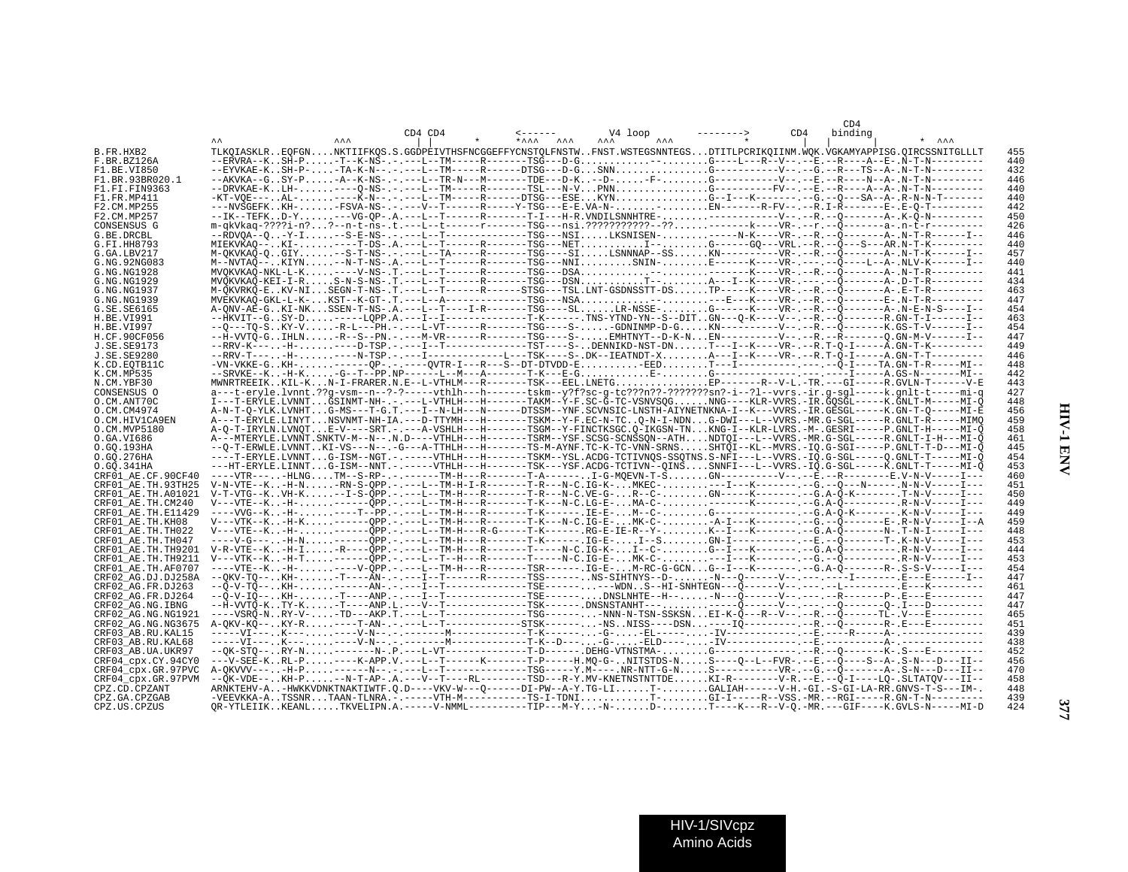|                                          |            |             |                             |                                                                                                                                                                                                                                                                                                                                                                                                                                       | CD4            |            |
|------------------------------------------|------------|-------------|-----------------------------|---------------------------------------------------------------------------------------------------------------------------------------------------------------------------------------------------------------------------------------------------------------------------------------------------------------------------------------------------------------------------------------------------------------------------------------|----------------|------------|
|                                          | <b>AAA</b> | $CD4$ $CD4$ | $* \lambda \lambda \lambda$ | V4 loop                                                                                                                                                                                                                                                                                                                                                                                                                               | CD4<br>binding |            |
| B.FR.HXB2                                |            |             |                             | TLKOIASKLREOFGNNKTIIFKOS.S.GGDPEIVTHSFNCGGEFFYCNSTOLFNSTWFNST.WSTEGSNNTEGSDTITLPCRIKOIINM.WOK.VGKAMYAPPISG.OIRCSSNITGLLLT                                                                                                                                                                                                                                                                                                             |                | 455        |
| F.BR.BZ126A                              |            |             |                             | --ERVRA--KSH-P-T--K-NS-.-.---L--TM-----R------TSG---D-G--G----L---R--V--.--E.--R----A--E-.N-T-N---------                                                                                                                                                                                                                                                                                                                              |                | 440        |
| F1.BE.VI850                              |            |             |                             | --EYVKAE-KSH-P--TA-K-N--.-.---L--TM-----R-----DTSG---D-GSNNG---------------V--.--G.--R---TS--A-.N-T-N----------                                                                                                                                                                                                                                                                                                                       |                | 432        |
| F1.BR.93BR020.1                          |            |             |                             | --AKVKA--GSY-P-A--K-NS-.-.---L--TR-N---M-------TDE---D-K--D-F-G-------------V--.-E.--R----N--A-.N-T-N----------                                                                                                                                                                                                                                                                                                                       |                | 446        |
| F1.FI.FIN9363                            |            |             |                             | --DRVKAE-KLH-----Q-NS-.-.----L--TM------R-------TSL---N-VPNNG----------FV--.-E.--R----A--A--A--N-T-N---------                                                                                                                                                                                                                                                                                                                         |                | 440        |
| F1.FR.MP411                              |            |             |                             |                                                                                                                                                                                                                                                                                                                                                                                                                                       |                | 440        |
| F2.CM.MP255<br>F2.CM.MP257               |            |             |                             | ---NVŠGEFKKH--FSVA-NS-.-.---V--T------R-----Y-TSG---E-E.VA-N-EN------R-FV--.--R.I-R--------E-.E-0-T---------                                                                                                                                                                                                                                                                                                                          |                | 442        |
| CONSENSUS G                              |            |             |                             | m-gkVkag-????i-n??--n-t-ns-.t.---L--t------r------TSG---nsi.??????????--??-------k---VR-.--r.--O-------a-.n-t-r----------                                                                                                                                                                                                                                                                                                             |                | 450<br>426 |
| G.BE.DRCBL                               |            |             |                             | --RDVQA--Q-Y-I--S-E-NS-.-.---L--T--------------TSG---NSILKSNISEN-------N-K----VR-.--R.--Q-------A-.N-T-R------I--                                                                                                                                                                                                                                                                                                                     |                | 446        |
| G.FI.HH8793                              |            |             |                             |                                                                                                                                                                                                                                                                                                                                                                                                                                       |                | 44 C       |
| G.GA.LBV217                              |            |             |                             | M-OKVKAO-OGIY-S-T-NS-.-.---L--TA-----R------TSG----SILSNNNAP--SSKN----------VR-.--R.--O-------A-.N-T-K------I--                                                                                                                                                                                                                                                                                                                       |                | 457        |
| G.NG.92NG083                             |            |             |                             | M--NVTAO--KIYN--N-T-NS-.A.---L--T------R------TSG---NNISNIN-E-----K----VR-.---.--Q----L--A-.NLV-K------I--                                                                                                                                                                                                                                                                                                                            |                | 440        |
| G.NG.NG1928                              |            |             |                             | $MVOKVKAO-NKL-L-K, \ldots---V-NS-. T.---L--T----R-----TSG---DSA, \ldots, \ldots, \ldots, \ldots, \ldots, \ldots---K---VR---R. --O------A-. N-T-R--------$                                                                                                                                                                                                                                                                             |                | 441        |
| G.NG.NG1929                              |            |             |                             | MVOKVKAO-KEI-I-RS-N-S-NS-.T.---L--T------R------TSG---DSNT--A---I--K----VR-.---.--Q-------A-.D-T-R----------                                                                                                                                                                                                                                                                                                                          |                | 434        |
| G.NG.NG1937                              |            |             |                             | M-QKVRKQ-EKV-NISEGN-T-NS-.T.---L--T------R-----STSG---TSL.LNT-GSDNSSTT-DSTP-----K----VR-.--R.--Q--------A-.E-T-R---------<br>MVEKVKAO-GKL-L-K-KST--K-GT-.T.---L--A--------------SG---NSA-----E---K----VR-.--R.--O-------E-.N-T-R---------                                                                                                                                                                                             |                | 463        |
| G.NG.NG1939<br>G.SE.SE6165               |            |             |                             | A-ONV-AË-GKI-NKSSEN-T-NS-.A.---L--T----I-R-------TSG----SLLR-NSSE-G------K----VR-.--R.--Ö-------A-.N-E-N-S----I--                                                                                                                                                                                                                                                                                                                     |                | 447<br>454 |
| H.BE.VI991                               |            |             |                             | --#KVIT--GSY-D-----LOPP.A.---I--I------------T-K------.TNS-YTND-YN--S--DITGN---O-K----V--.--R.--Õ-------R.GN-T-I------I--                                                                                                                                                                                                                                                                                                             |                | 463        |
| H.BE.VI997                               |            |             |                             |                                                                                                                                                                                                                                                                                                                                                                                                                                       |                | 454        |
| H.CF.90CF056                             |            |             |                             | --H-VVTÕ-GIHLN-R--S--PN.-.----M-VR------R-------TSG----S-EMHTNYT--D-K-NEN--------V--.--R.--R-------Q.GN-M-V------I--                                                                                                                                                                                                                                                                                                                  |                | 447        |
| J.SE.SE9173                              |            |             |                             | $-RRV-K^{--}\cdots +H^{--}\cdots\cdots -P^{--}S\cdot P^{--}\cdots -I^{--}T^{--}\cdots -I^{--}T^{--}\cdots -S^{--}\cdots -S\cdot DENNIKD-NST-DN\ldots\ldots \\ T^{--}-I^{--}K^{--}\cdots -VR^{--}\cdots -R^{--}Q^{-}I^{--}\cdots -A^{--}S\cdot N^{--}K^{--}\cdots -P^{--}S\cdot D\cdot N^{--}K^{--}\cdots -I^{--}K^{--}\cdots -S^{--}\cdots -I^{--}K^{--}\cdots -S^{--}\cdots -S^{--}\cdots -S^{--}\cdots -S^{--}\cdots -S^{--}\cdots$ |                | 449        |
| J.SE.SE9280                              |            |             |                             |                                                                                                                                                                                                                                                                                                                                                                                                                                       |                | 446        |
| K.CD.EQTB11C                             |            |             |                             |                                                                                                                                                                                                                                                                                                                                                                                                                                       |                | 448        |
| K.CM.MP535                               |            |             |                             |                                                                                                                                                                                                                                                                                                                                                                                                                                       |                | 442        |
| N.CM.YBF30<br>CONSENSUS O                |            |             |                             | MWNRTREEIKKIL-KN-I-FRARER.N.E--L-VTHLM---R-------TSK---EEL.LNETGEP------R--V-L.-TR.---GI-----R.GVLN-T------V-E<br>a---t-eryle.lvnnt.??q-vsm--n--?-?-----vthlh---h-------tskm--y?f?sc-q-tc???n??-??????sn?-i--?l--vvrs.-ir.q-sql-----k.qnlt-t-----mi-q                                                                                                                                                                                 |                | 443<br>427 |
| O.CM.ANT70C                              |            |             |                             | I---T-ERYLE.LVNNTGSINMT-NH-.-.---L-VTHLH---H------TAKM--Y-F.SC-G-TC-VSNVSQGNNG----KLR-VVRS.-IR.GQSGL-----K.GNLT-M-----MI-Q                                                                                                                                                                                                                                                                                                            |                | 448        |
| O.CM.CM4974                              |            |             |                             | A-N-T-O-YLK.LVNHTG-MS---T-G.T.---I--N-LH---N------DTSSM--YNF.SCVNSIC-LNSTH-AIYNETNKNA-I--K---VVRS.-IR.GESGL-----K.GN-T-O-----MI-E                                                                                                                                                                                                                                                                                                     |                | 456        |
| O.CM.HIV1CA9EN                           |            |             |                             | A---T-ERYLE.LINYTNSVNMT-NH-IA.---D-TTYMH---H------TSKM--Y-F.EC-N-TCO-N-I-NDNG-DWI---L--VVRS.-MR.G-SGL-----R.GNLT-R-----MIMO                                                                                                                                                                                                                                                                                                           |                | 459        |
| O.CM.MVP5180                             |            |             |                             | A-O-T-IRYLN.LVNOTE-V----SRT.-.---A-VSHLH---H------TSGM--Y-FINCTKSGC.Q-IKGSN-TNKNG-I--KLR-LVRS.-M-.GESRI-----P.GNLT-H-----MI-Q                                                                                                                                                                                                                                                                                                         |                | 458        |
| 0.GA.VI686                               |            |             |                             | A---MTERYLE.LVNNT.SNKTV-M--N--.N.D----VTHLH---H-------TSRM--YSF.SCSG-SCNSSON--ATHNDTOI---L--VVRS.-MR.G-SGL-----R.GNLT-I-H---MI-O                                                                                                                                                                                                                                                                                                      |                | 461        |
| O.GQ.193HA                               |            |             |                             | --0-T-ERWLE.LVNNTKI-VS---N--.-G---A-TTHLH---H-------TS-M-AYNF.TC-K-TC-VNN-SRNSSHTOI--KL--MVRS.-IO.G-SGI-----P.GNLT-T-D---MI-0                                                                                                                                                                                                                                                                                                         |                | 445        |
| O.GO.276HA                               |            |             |                             | ----T-ERYLE.LVNNTG-ISM--NGT.-.-----VTHLH---H-------TSKM--YSL.ACDG-TCTIVNQS-SSQTNS.S-NFI---L--VVRS.-IQ.G-SGL-----Q.GNLT-T-----MI-Q                                                                                                                                                                                                                                                                                                     |                | 454        |
| 0.GO.341HA<br>CRF01_AE.CF.90CF40         |            |             |                             | ---HT-ERYLE.LINNTG-ISM--NNT.-.-----VTHLH---H-------TSK---YSF.ACDG-TCTIVN--OINSSNNFI---L--VVRS.-IO.G-SGL-----K.GNLT-T-----MI-O<br>----VTR----HLNGTM--S-RP-.-.------TM-H---R-------T-A------I-G-MOEVN-T-ŠGN---------V--.--E.--R---------E.V-N-V-----I---                                                                                                                                                                                |                | 453<br>460 |
| CRF01 AE.TH.93TH25                       |            |             |                             | V-N-VTE--K-H-N-RN-S-OPP.-.---L--TM-H-I-R-------T-R---N-C.IG-K-MKEC----I---K------.--G.--O---N------. N-N-V-----I---                                                                                                                                                                                                                                                                                                                   |                | 451        |
| CRF01 AE.TH.A01021                       |            |             |                             | $\verb V-T-VTG-KVH-K--I-S-QPP---L-TM-H---R-----T-R---N-C.\verb VE-G-R--CGN---K-------G.A-0-K-----T-N-V-----I---I$                                                                                                                                                                                                                                                                                                                     |                | 450        |
| CRF01 AE.TH.CM240                        |            |             |                             | V---VTE--K-H-------ÕPP -----L--TM-H---R-------T-K---N-C.LG-E-MA-C-------K------- .--G.A-Õ------------- .R-N-V-----I--                                                                                                                                                                                                                                                                                                                 |                | 449        |
| CRF01 AE.TH.E11429                       |            |             |                             | ----VVG--K-H-----T--PP.-.---L--TM-H---R-------T-K------.IE-E-M--C-G--------------------G.A-O-K---------.K-N-V-----I---                                                                                                                                                                                                                                                                                                                |                | 449        |
| CRF01 AE.TH.KH08                         |            |             |                             | V---VTK--KH-K------OPP.-.---L--TM-H---R-------T-K---N-C.IG-E-MK-C--A-I---K------.-G.--O-------E-.R-N-V-----I--A                                                                                                                                                                                                                                                                                                                       |                | 459        |
| CRF01 AE.TH.TH022                        |            |             |                             | $\verb V---VTE--K\ldots-H- \ldots \ldots ---\bar{Q}PP\ldots ----L--TM-H---R-G----T-K---- \ldots \nonumber \\ \verb RG-E-IE-R--Y- \ldots \ldots \ldots \ldots K--I---K-------G.A-\bar{Q}----- \ldots ---N--T-N-I---- \bar{I---}-\bar{I---}-\bar{I---}-\bar{I---}-\bar{I---}-\bar{I---}-\bar{I---}-\bar{I---}-\bar{I---}-\bar{I---}-\bar{I---}-\bar{I---}-\bar{I---}-\bar{I---}-\bar{I---}-\bar{I---}-\bar{I---}-\bar{I---}-\bar{I---$  |                | 448        |
| CRF01 AE.TH.TH047                        |            |             |                             | ----V-G----H-N-------ÕPP -----L--TM-H---R-------T-K------. IG-E-I--SGN-I------------------------T-.K-N-V-----I---                                                                                                                                                                                                                                                                                                                     |                | 453        |
| CRF01 AE.TH.TH9201<br>CRF01 AE.TH.TH9211 |            |             |                             | V-R-VTE--K-H-I-R----OPP.-.---L--TM-H---R-------T-----N-C.IG-K-I--C-G--I---K-------.--G.A-O------------- R-N-V-----I--<br>V---VTK--K-H-T-------ÕPP -----L--T--H---R-------T----N-C.IG-E-MK-C----I---K------- .--G.--Õ-------------- .R-N-V-----I---                                                                                                                                                                                    |                | 444<br>453 |
| CRF01 AE.TH.AF0707                       |            |             |                             | ----VTE--K-H-----V-ÕPP -----L--TM-H---R-------TSR------ .IG-E-M-RC-G-GCNG--I---K---------R-.S-S-V-----I---                                                                                                                                                                                                                                                                                                                            |                | 454        |
| CRF02 AG.DJ.DJ258A                       |            |             |                             | --QKV-TQ--KH--T----AN-.-.----I--T-------R-------TSS------.NS-SIHTNYS--D--N--Q------V--.-----I--------E---B-----I--                                                                                                                                                                                                                                                                                                                    |                | 447        |
| CRF02 AG.FR.DJ263                        |            |             |                             |                                                                                                                                                                                                                                                                                                                                                                                                                                       |                | 461        |
| CRF02 AG.FR.DJ264                        |            |             |                             | --Õ-V-IÕ-- KH- -T----ANP .- .---I--T-------------TSE------ DNSLNHTE--H-- -N---Õ------V-- .--- . --R--------P- . E---E---------                                                                                                                                                                                                                                                                                                        |                | 447        |
| CRF02 AG.NG.IBNG                         |            |             |                             |                                                                                                                                                                                                                                                                                                                                                                                                                                       |                | 447        |
| CRF02 AG.NG.NG1921                       |            |             |                             | ----VSRÕ-NRY-V--TD---AKP.T.---L--T------------TSG-------NNN-N-TSN-SSKSNEI-K-Õ---R--V--.--R.--Õ------TĹ-.V---B---------                                                                                                                                                                                                                                                                                                                |                | 465        |
| CRF02 AG.NG.NG3675                       |            |             |                             | A-OKV-KÕ--KY-R----T-AN-.-.---L--T----------STSK------ -NSNISS----DSN----IÕ--------.--R.--Õ--------RE---E---------                                                                                                                                                                                                                                                                                                                     |                | 451        |
| CRF03 AB.RU.KAL15<br>CRF03 AB.RU.KAL68   |            |             |                             |                                                                                                                                                                                                                                                                                                                                                                                                                                       |                | 439<br>438 |
| CRF03 AB.UA.UKR97                        |            |             |                             |                                                                                                                                                                                                                                                                                                                                                                                                                                       |                | 452        |
| CRF04 cpx.CY.94CY0                       |            |             |                             | ---V-SEE-KRL-P----K-APP.V.---L--T------K-------T-P-----H.MO-G-NITSTDS-NS----O--L--FVR-.--E.--O---S--A-.S-N---D---II--                                                                                                                                                                                                                                                                                                                 |                | 456        |
| CRF04_cpx.GR.97PVC                       |            |             |                             |                                                                                                                                                                                                                                                                                                                                                                                                                                       |                | 470        |
| CRF04 cpx.GR.97PVM                       |            |             |                             | --ÕK-VDE--KH-P--N-T-AP-.A.---V--T----RL-------TSD---R-Y.MV-KNETNSTNTTDEKI-R--------V-R.--E.--Õ-I----LO-.SLTATOV---II--                                                                                                                                                                                                                                                                                                                |                | 458        |
| CPZ.CD.CPZANT                            |            |             |                             | ARNKTEHV-A-HWKKVDNKTNAKTIWTF.O.D----VKV-W---Q-----DI-PW--A-Y.TG-LIT-GALIAH------V-H.-GI.-S-GI-LA-RR.GNVS-T-S---IM-.                                                                                                                                                                                                                                                                                                                   |                | 448        |
| CPZ.GA.CPZGAB                            |            |             |                             | $\verb -VEEVKKAA-A\mathbf{.} \texttt{TSSNR}\mathbf{.} \texttt{.} \texttt{.} \texttt{TANA} \texttt{.} \texttt{.} \texttt{.} \texttt{---} \texttt{-VTH-M---TS-1-TDNI} \texttt{.} \texttt{.} \texttt{.} \texttt{.} \texttt{.} \texttt{.} \texttt{.} \texttt{.} \texttt{.} \texttt{.} \texttt{.} \texttt{.} \texttt{.} \texttt{.} \texttt{.} \texttt{.} \texttt{.} \texttt{.} \texttt{.} \texttt{.} \texttt{.} \texttt{.$                 |                | 439        |
| CPZ.US.CPZUS                             |            |             |                             | OR-YTLEIIKKEANLTKVELIPN.A.-----V-NMML---------TIP---M-Y-N-D-T----K---V-Q.-MR.---GIF----K.GVLS-N-----MI-D                                                                                                                                                                                                                                                                                                                              |                | 424        |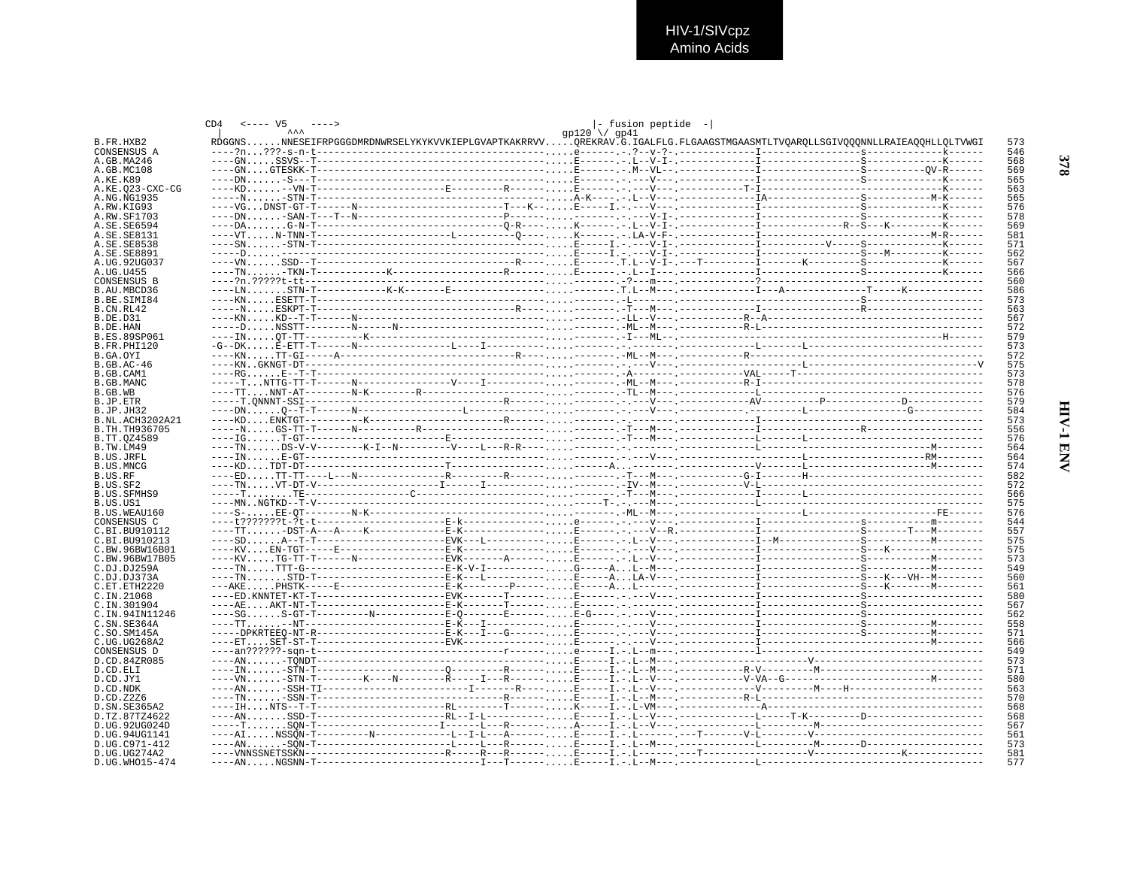

|                                  | $\leftarrow \leftarrow \leftarrow \text{V5} \qquad \leftarrow \leftarrow \leftarrow$<br>CD4 |                                                                                                                           | $ -$ fusion peptide $- $ |            |
|----------------------------------|---------------------------------------------------------------------------------------------|---------------------------------------------------------------------------------------------------------------------------|--------------------------|------------|
|                                  |                                                                                             | RDGGNSNNESEIFRPGGGDMRDNWRSELYKYKVVKIEPLGVAPTKAKRRVVOREKRAV.G.IGALFLG.FLGAAGSTMGAASMTLTVOAROLLSGIVOOONNLLRAIEAOOHLLOLTVWGI | gp120 \/ gp41            |            |
| B.FR.HXB2<br>CONSENSUS A         |                                                                                             |                                                                                                                           |                          | 573<br>546 |
| A.GB.MA246                       |                                                                                             |                                                                                                                           |                          | 568        |
| A.GB.MC108                       |                                                                                             |                                                                                                                           |                          | 569        |
| A.KE.K89                         |                                                                                             |                                                                                                                           |                          | 565        |
| A.KE.023-CXC-CG                  |                                                                                             |                                                                                                                           |                          | 563        |
| A.NG.NG1935                      |                                                                                             |                                                                                                                           |                          | 565        |
| A.RW.KIG93                       |                                                                                             |                                                                                                                           |                          | 576        |
| A.RW.SF1703                      |                                                                                             |                                                                                                                           |                          | 578        |
| A.SE.SE6594                      |                                                                                             |                                                                                                                           |                          | 569        |
| A.SE.SE8131<br>A.SE.SE8538       |                                                                                             |                                                                                                                           |                          | 581<br>571 |
| A.SE.SE8891                      |                                                                                             |                                                                                                                           |                          | 562        |
| A.UG.92UG037                     |                                                                                             |                                                                                                                           |                          | 567        |
| A.UG.U455                        |                                                                                             |                                                                                                                           |                          | 566        |
| CONSENSUS B                      |                                                                                             |                                                                                                                           |                          | 560        |
| B.AU.MBCD36                      |                                                                                             |                                                                                                                           |                          | 586        |
| B.BE.SIMI84                      |                                                                                             |                                                                                                                           |                          | 573        |
| B.CN.RL42                        |                                                                                             |                                                                                                                           |                          | 563        |
| B.DE.D31                         |                                                                                             |                                                                                                                           |                          | 567        |
| B.DE.HAN                         |                                                                                             |                                                                                                                           |                          | 572        |
| <b>B.ES.89SP061</b>              |                                                                                             |                                                                                                                           |                          | 579        |
| B.FR.PHI120<br>B.GA.OYI          |                                                                                             |                                                                                                                           |                          | 573<br>572 |
| $B.GB.AC-46$                     |                                                                                             |                                                                                                                           |                          | 575        |
| B.GB.CAM1                        |                                                                                             |                                                                                                                           |                          | 573        |
| B.GB.MANC                        |                                                                                             |                                                                                                                           |                          | 578        |
| B.GB.WB                          |                                                                                             |                                                                                                                           |                          | 576        |
| B.JP.ETR                         |                                                                                             |                                                                                                                           |                          | 579        |
| B.JP.JH32                        |                                                                                             |                                                                                                                           |                          | 584        |
| B.NL.ACH3202A21                  |                                                                                             |                                                                                                                           |                          | 573        |
| B.TH.TH936705                    |                                                                                             |                                                                                                                           |                          | 556        |
| B.TT.0Z4589                      |                                                                                             |                                                                                                                           |                          | 576        |
| B.TW.LM49<br><b>B.US.JRFL</b>    |                                                                                             |                                                                                                                           |                          | 564<br>564 |
| B.US.MNCG                        |                                                                                             |                                                                                                                           |                          | 574        |
| B.US.RF                          |                                                                                             |                                                                                                                           |                          | 582        |
| B.US.SF2                         |                                                                                             |                                                                                                                           |                          | 572        |
| <b>B.US.SFMHS9</b>               |                                                                                             |                                                                                                                           |                          | 566        |
| B.US.US1                         |                                                                                             |                                                                                                                           |                          | 575        |
| B.US.WEAU160                     |                                                                                             |                                                                                                                           |                          | 576        |
| CONSENSUS C                      |                                                                                             |                                                                                                                           |                          | 544        |
| C.BI.BU910112                    |                                                                                             |                                                                                                                           |                          | 557        |
| C.BI.BU910213                    |                                                                                             |                                                                                                                           |                          | 575        |
| C.BW.96BW16B01<br>C.BW.96BW17B05 |                                                                                             |                                                                                                                           |                          | 575<br>573 |
| C.DJ.DJ259A                      |                                                                                             |                                                                                                                           |                          | 549        |
| C.DJ.DJ373A                      |                                                                                             |                                                                                                                           |                          | 560        |
| C.ET.ETH2220                     |                                                                                             |                                                                                                                           |                          | 561        |
| C.IN.21068                       |                                                                                             |                                                                                                                           |                          | 580        |
| C.IN.301904                      |                                                                                             |                                                                                                                           |                          | 567        |
| C. IN. 94 IN 1246                |                                                                                             |                                                                                                                           |                          | 562        |
| C.SN.SE364A                      |                                                                                             |                                                                                                                           |                          | 558        |
| C.SO.SM145A                      |                                                                                             |                                                                                                                           |                          | 571        |
| C.UG.UG268A2                     |                                                                                             |                                                                                                                           |                          | 566        |
| CONSENSUS D                      |                                                                                             |                                                                                                                           |                          | 549        |
| D.CD.84ZR085<br>D.CD.ELI         |                                                                                             |                                                                                                                           |                          | 573<br>571 |
| D.CD.JY1                         |                                                                                             |                                                                                                                           |                          | 580        |
| D.CD.NDK                         |                                                                                             |                                                                                                                           |                          | 563        |
| D.CD.Z2Z6                        |                                                                                             |                                                                                                                           |                          | 570        |
| D. SN. SE365A2                   |                                                                                             |                                                                                                                           |                          | 568        |
| D.TZ.87TZ4622                    |                                                                                             |                                                                                                                           |                          | 568        |
| D.UG.92UG024D                    |                                                                                             |                                                                                                                           |                          | 567        |
| D.UG.94UG1141                    |                                                                                             |                                                                                                                           |                          | 561        |
| D.UG.C971-412                    |                                                                                             |                                                                                                                           |                          | 573        |
| D.UG.UG274A2                     |                                                                                             |                                                                                                                           |                          | 581<br>577 |
| D.UG.WHO15-474                   |                                                                                             |                                                                                                                           |                          |            |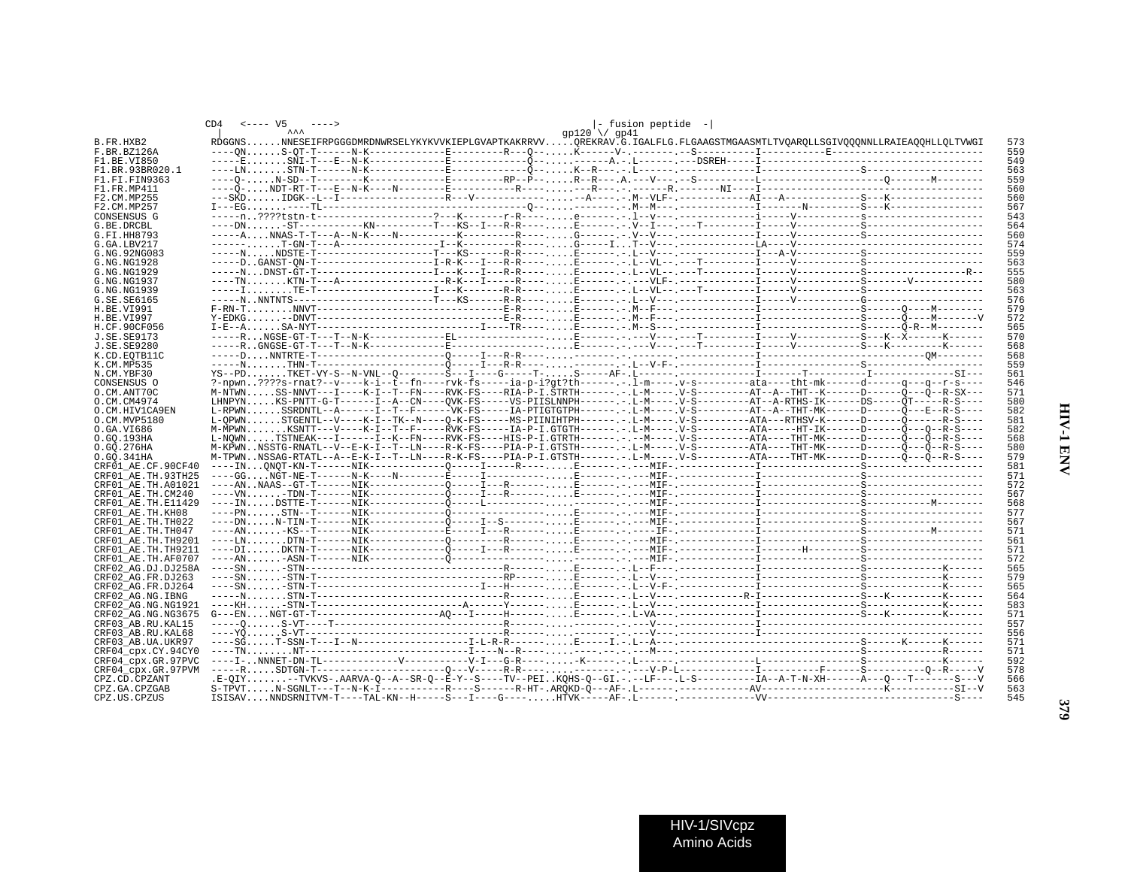|                    | $\leftarrow - - - 0.05$ |  |  |  |                     |  | - fusion peptide -                                                                                                               |  |  |     |
|--------------------|-------------------------|--|--|--|---------------------|--|----------------------------------------------------------------------------------------------------------------------------------|--|--|-----|
|                    |                         |  |  |  | $qp120 \sqrt{q}q41$ |  |                                                                                                                                  |  |  |     |
| B.FR.HXB2          |                         |  |  |  |                     |  | RDGGNSNNESEIFRPGGGDMRDNWRSELYKYKVVKIEPLGVAPTKAKRRVVOREKRAV.G.IGALFLG.FLGAAGSTMGAASMTLTVOAROLLSGIVOOONNLLRAIEAOOHLLOLTVWGI        |  |  | 573 |
| F.BR.BZ126A        |                         |  |  |  |                     |  |                                                                                                                                  |  |  | 559 |
| F1 BE VI850        |                         |  |  |  |                     |  |                                                                                                                                  |  |  | 549 |
| F1.BR.93BR020.1    |                         |  |  |  |                     |  |                                                                                                                                  |  |  | 563 |
| F1.FI.FIN9363      |                         |  |  |  |                     |  |                                                                                                                                  |  |  | 559 |
| F1.FR.MP411        |                         |  |  |  |                     |  |                                                                                                                                  |  |  | 560 |
| F2.CM.MP255        |                         |  |  |  |                     |  |                                                                                                                                  |  |  | 560 |
| F2.CM.MP257        |                         |  |  |  |                     |  |                                                                                                                                  |  |  | 567 |
| CONSENSUS G        |                         |  |  |  |                     |  |                                                                                                                                  |  |  | 543 |
| G.BE.DRCBL         |                         |  |  |  |                     |  |                                                                                                                                  |  |  | 564 |
| G.FI.HH8793        |                         |  |  |  |                     |  |                                                                                                                                  |  |  | 560 |
| G.GA.LBV217        |                         |  |  |  |                     |  |                                                                                                                                  |  |  | 574 |
| G.NG.92NG083       |                         |  |  |  |                     |  |                                                                                                                                  |  |  | 559 |
| G.NG.NG1928        |                         |  |  |  |                     |  |                                                                                                                                  |  |  | 563 |
| G.NG.NG1929        |                         |  |  |  |                     |  |                                                                                                                                  |  |  | 555 |
| G.NG.NG1937        |                         |  |  |  |                     |  |                                                                                                                                  |  |  | 580 |
| G.NG.NG1939        |                         |  |  |  |                     |  |                                                                                                                                  |  |  | 563 |
| G.SE.SE6165        |                         |  |  |  |                     |  |                                                                                                                                  |  |  | 576 |
| H.BE.VI991         |                         |  |  |  |                     |  |                                                                                                                                  |  |  | 579 |
| H.BE.VI997         |                         |  |  |  |                     |  |                                                                                                                                  |  |  | 572 |
| H.CF.90CF056       |                         |  |  |  |                     |  |                                                                                                                                  |  |  | 565 |
| J.SE.SE9173        |                         |  |  |  |                     |  |                                                                                                                                  |  |  | 570 |
| J.SE.SE9280        |                         |  |  |  |                     |  |                                                                                                                                  |  |  | 568 |
| K.CD.EOTB11C       |                         |  |  |  |                     |  |                                                                                                                                  |  |  | 568 |
| K.CM.MP535         |                         |  |  |  |                     |  |                                                                                                                                  |  |  | 559 |
| N.CM.YBF30         |                         |  |  |  |                     |  |                                                                                                                                  |  |  | 561 |
| CONSENSUS O        |                         |  |  |  |                     |  | ?-npwn????s-rnat?--v----k-i--t--fn----rvk-fs-----ia-p-i?gt?th------.-1-m----.v-s--------ata----tht-mk------d------q---r-s----    |  |  | 546 |
| O.CM.ANT70C        |                         |  |  |  |                     |  | M-NTWNSS-NNVT---I----K-I--T--FN----RVK-FS----RIA-P-I.STRTH-------L-M---- V-S--------AT--A--THT--K------D------O---O--R-SX---     |  |  | 571 |
| O.CM.CM4974        |                         |  |  |  |                     |  | LHNPYNKS-PNTT-G-T-----I--A--CN----OVK-FS-----VS-PIISLNNPH------. J.L-M---- V-S---------AT--A-RTHS-IK------DS-----OT----R-S----   |  |  | 580 |
| O.CM.HIV1CA9EN     |                         |  |  |  |                     |  | L-RPWNSSRDNTL--A------I--T--F------VK-FS-----IA-PTIGTGTPH------. -.L-M---- .V-S--------AT--A--THT-MK------D------O---E--R-S----  |  |  | 582 |
| O.CM.MVP5180       |                         |  |  |  |                     |  | L-OPWNSTGENTL--V----K-I--TK--N----O-K-FS-----MS-PIINIHTPH------L-M----.V-S--------ATA---RTHSV-K------D------Õ------R-S----       |  |  | 581 |
| O.GA.VI686         |                         |  |  |  |                     |  | M-MPWNKSNTT---V----K-I--T--F-----RVK-FS-----IA-P-I.GTGTH------L-M----.V-S---------ATA-----HT-IK------D------O---R-S----          |  |  | 582 |
| 0.GO.193HA         |                         |  |  |  |                     |  |                                                                                                                                  |  |  | 568 |
| 0.GO.276HA         |                         |  |  |  |                     |  | M-KPWNNSSTG-RNATL--V--E-K-I--T--LN----R-K-FS----PIA-P-I.GTSTH------. -.L-M---- V-S--------ATA----THT-MK------D-------O---R-S---- |  |  | 580 |
| 0.GO.341HA         |                         |  |  |  |                     |  | M-TPWNNSSAG-RTATL--A--E-K-I--T--LN----R-K-FS----PIA-P-I.GTSTH------. .L-M----.V-S--------ATA----THT-MK------D-----Õ---Õ--R-S---- |  |  | 579 |
| CRF01 AE.CF.90CF40 |                         |  |  |  |                     |  |                                                                                                                                  |  |  | 581 |
| CRF01 AE.TH.93TH25 |                         |  |  |  |                     |  |                                                                                                                                  |  |  | 571 |
| CRF01 AE.TH.A01021 |                         |  |  |  |                     |  |                                                                                                                                  |  |  | 572 |
| CRF01 AE.TH.CM240  |                         |  |  |  |                     |  |                                                                                                                                  |  |  | 567 |
| CRF01 AE.TH.E11429 |                         |  |  |  |                     |  |                                                                                                                                  |  |  | 568 |
| CRF01_AE.TH.KH08   |                         |  |  |  |                     |  |                                                                                                                                  |  |  | 577 |
| CRF01 AE.TH.TH022  |                         |  |  |  |                     |  |                                                                                                                                  |  |  | 567 |
| CRF01 AE.TH.TH047  |                         |  |  |  |                     |  |                                                                                                                                  |  |  | 571 |
| CRF01 AE.TH.TH9201 |                         |  |  |  |                     |  |                                                                                                                                  |  |  | 561 |
| CRF01 AE.TH.TH9211 |                         |  |  |  |                     |  |                                                                                                                                  |  |  | 571 |
| CRF01 AE.TH.AF0707 |                         |  |  |  |                     |  |                                                                                                                                  |  |  | 572 |
| CRF02 AG.DJ.DJ258A |                         |  |  |  |                     |  |                                                                                                                                  |  |  | 565 |
| CRF02 AG.FR.DJ263  |                         |  |  |  |                     |  |                                                                                                                                  |  |  | 579 |
| CRF02 AG.FR.DJ264  |                         |  |  |  |                     |  |                                                                                                                                  |  |  | 565 |
| CRF02 AG.NG.IBNG   |                         |  |  |  |                     |  |                                                                                                                                  |  |  | 564 |
| CRF02 AG.NG.NG1921 |                         |  |  |  |                     |  |                                                                                                                                  |  |  | 583 |
| CRF02 AG.NG.NG3675 |                         |  |  |  |                     |  |                                                                                                                                  |  |  | 571 |
| CRF03 AB.RU.KAL15  |                         |  |  |  |                     |  |                                                                                                                                  |  |  | 557 |
| CRF03 AB.RU.KAL68  |                         |  |  |  |                     |  |                                                                                                                                  |  |  | 556 |
| CRF03 AB.UA.UKR97  |                         |  |  |  |                     |  |                                                                                                                                  |  |  | 571 |
| CRF04 cpx.CY.94CY0 |                         |  |  |  |                     |  |                                                                                                                                  |  |  | 571 |
| CRF04 cpx.GR.97PVC |                         |  |  |  |                     |  |                                                                                                                                  |  |  | 592 |
| CRF04 cpx.GR.97PVM |                         |  |  |  |                     |  |                                                                                                                                  |  |  | 578 |
| CPZ.CD.CPZANT      |                         |  |  |  |                     |  |                                                                                                                                  |  |  | 566 |
| CPZ.GA.CPZGAB      |                         |  |  |  |                     |  |                                                                                                                                  |  |  | 563 |
| CPZ.US.CPZUS       |                         |  |  |  |                     |  |                                                                                                                                  |  |  | 545 |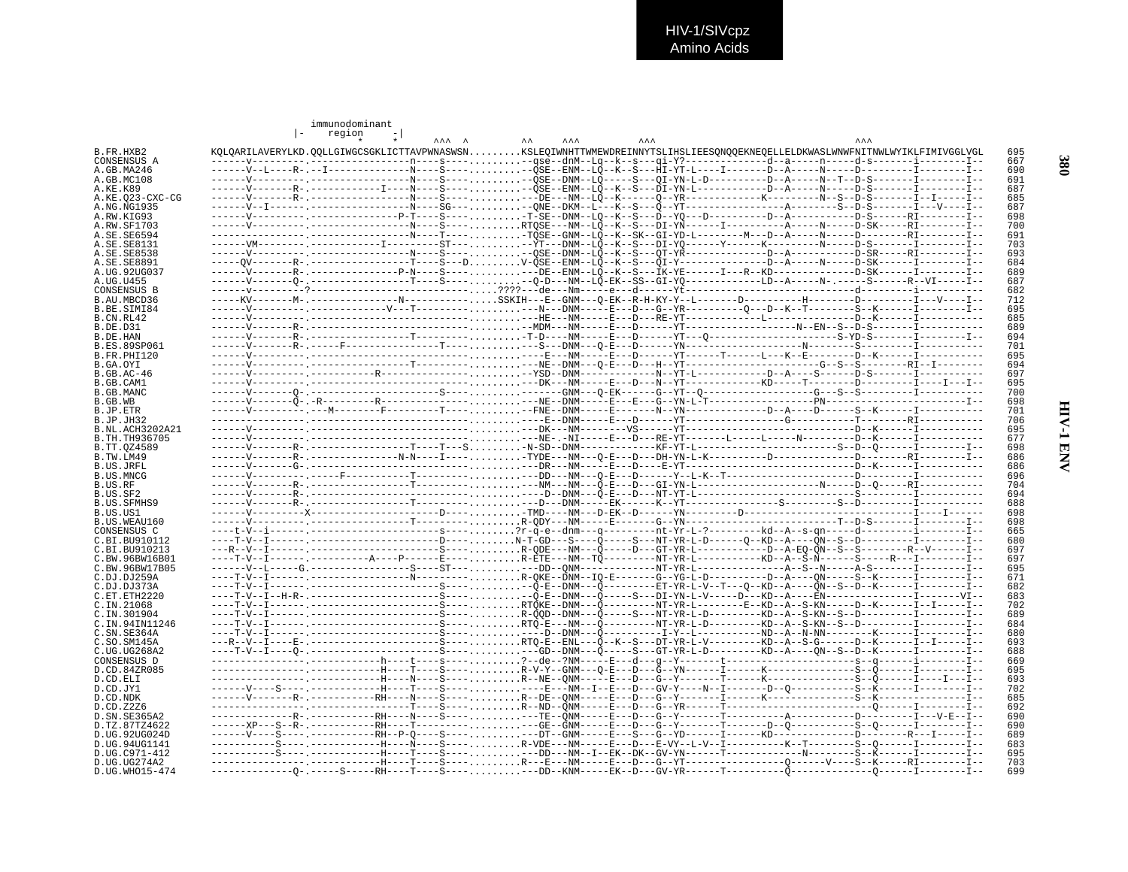|                                   | immunodominant<br>region                                                                                                        |                                                                |  |            |  |            |            |
|-----------------------------------|---------------------------------------------------------------------------------------------------------------------------------|----------------------------------------------------------------|--|------------|--|------------|------------|
|                                   |                                                                                                                                 | $\begin{array}{ccc}\n\lambda & \lambda & \lambda\n\end{array}$ |  | <b>AAA</b> |  | <b>AAA</b> |            |
| B.FR.HXB2                         | KQLQARILAVERYLKD.QQLLGIWGCSGKLICTTAVPWNASWSNKSLEQIWNHTTWMEWDREINNYTSLIHSLIEESQNQQEKNEQELLELDKWASLWNWFNITNWLWYIKLFIMIVGGLVGL     |                                                                |  |            |  |            | 695        |
| CONSENSUS A<br>A.GB.MA246         | ------V--L----R-.--I-----------------N----S------QSE--ENM--LQ--K--S---HI-YT-L----I------D--A-----P------D----------I--------I-- |                                                                |  |            |  |            | 667<br>690 |
| A.GB.MC108                        |                                                                                                                                 |                                                                |  |            |  |            | 691        |
| A.KE.K89                          | ------V--------R- .------------I-----N----S---- - --ÖSE--ENM--LÕ--K--S---DĪ-YN-L---------D--A-----N-----D-S-------I--------I--  |                                                                |  |            |  |            | 687        |
| A.KE.023-CXC-CG                   |                                                                                                                                 |                                                                |  |            |  |            | 685<br>687 |
| A.NG.NG1935<br>A.RW.KIG93         | ------V--------- ----------------P-T----S---- T-SE--DNM--L0--K--S---D--Y0---D--------D--A---------D-S------RI--------I--        |                                                                |  |            |  |            | 698        |
| A.RW.SF1703                       |                                                                                                                                 |                                                                |  |            |  |            | 700        |
| A.SE.SE6594                       |                                                                                                                                 |                                                                |  |            |  |            | 691        |
| A.SE.SE8131<br>A.SE.SE8538        |                                                                                                                                 |                                                                |  |            |  |            | 703<br>693 |
| A.SE.SE8891                       |                                                                                                                                 |                                                                |  |            |  |            | 684        |
| A.UG.92UG037                      |                                                                                                                                 |                                                                |  |            |  |            | 689        |
| A.UG.U455                         | ------V-------0-.----------------T----S------0-D---NM--LÕ-EK--SS--GI-Y0-------------LD--A-----N-.----S------R--VI-----I--       |                                                                |  |            |  |            | 687        |
| CONSENSUS B<br>B. AU. MBCD36      | -----KV-------M-.----------------N-----------SSKIH---E--GNM---O-EK--R-H-KY-Y--L-------D----------H-------------I---V----I--     |                                                                |  |            |  |            | 682<br>712 |
| B.BE.SIMI84                       |                                                                                                                                 |                                                                |  |            |  |            | 695        |
| B.CN.RL42                         |                                                                                                                                 |                                                                |  |            |  |            | 685        |
| B.DE.D31                          |                                                                                                                                 |                                                                |  |            |  |            | 689        |
| B.DE.HAN                          |                                                                                                                                 |                                                                |  |            |  |            | 694        |
| B.ES.89SP061<br>B.FR.PHI120       |                                                                                                                                 |                                                                |  |            |  |            | 701<br>695 |
| B.GA.OYI                          |                                                                                                                                 |                                                                |  |            |  |            | 694        |
| B.GB.AC-46                        |                                                                                                                                 |                                                                |  |            |  |            | 697        |
| B.GB.CAM1                         |                                                                                                                                 |                                                                |  |            |  |            | 695        |
| B.GB.MANC<br>B.GB.WB              |                                                                                                                                 |                                                                |  |            |  |            | 700<br>698 |
| B.JP.ETR                          |                                                                                                                                 |                                                                |  |            |  |            | 701        |
| B.JP.JH32                         |                                                                                                                                 |                                                                |  |            |  |            | 706        |
| B.NL.ACH3202A21                   |                                                                                                                                 |                                                                |  |            |  |            | 695        |
| B. TH. TH936705                   |                                                                                                                                 |                                                                |  |            |  |            | 677        |
| B.TT.0Z4589<br>B.TW.LM49          |                                                                                                                                 |                                                                |  |            |  |            | 698<br>686 |
| B.US.JRFL                         |                                                                                                                                 |                                                                |  |            |  |            | 686        |
| B.US.MNCG                         |                                                                                                                                 |                                                                |  |            |  |            | 696        |
| B.US.RF                           |                                                                                                                                 |                                                                |  |            |  |            | 704        |
| B.US.SF2                          |                                                                                                                                 |                                                                |  |            |  |            | 694<br>688 |
| B.US.SFMHS9<br>B.US.US1           |                                                                                                                                 |                                                                |  |            |  |            | 698        |
| B.US.WEAU160                      |                                                                                                                                 |                                                                |  |            |  |            | 698        |
| CONSENSUS C                       |                                                                                                                                 |                                                                |  |            |  |            | 665        |
| C.BI.BU910112                     |                                                                                                                                 |                                                                |  |            |  |            | 680        |
| C. BT. BU910213<br>C.BW.96BW16B01 |                                                                                                                                 |                                                                |  |            |  |            | 697<br>697 |
| C.BW.96BW17B05                    |                                                                                                                                 |                                                                |  |            |  |            | 695        |
| C.DJ.DJ259A                       |                                                                                                                                 |                                                                |  |            |  |            | 671        |
| C.DJ.DJ373A                       |                                                                                                                                 |                                                                |  |            |  |            | 682        |
| C.ET.ETH2220<br>C.IN.21068        | ----T-V--I---------------------------S---- RTQKE--DNM---Q---------NT-YR-L-------E--KD--A--S-KN-----D--K------I--I-----I--       |                                                                |  |            |  |            | 683<br>702 |
| C.IN.301904                       |                                                                                                                                 |                                                                |  |            |  |            | 689        |
| C.IN.94IN11246                    |                                                                                                                                 |                                                                |  |            |  |            | 684        |
| C.SN.SE364A                       |                                                                                                                                 |                                                                |  |            |  |            | 680        |
| C.SO.SM145A                       |                                                                                                                                 |                                                                |  |            |  |            | 693<br>688 |
| C.UG.UG268A2<br>CONSENSUS D       |                                                                                                                                 |                                                                |  |            |  |            | 669        |
| D.CD.84ZR085                      |                                                                                                                                 |                                                                |  |            |  |            | 695        |
| D.CD.ELI                          | ---------------,-----------H----N----S----,R--NE--ONM----E---D---G--Y-------T------K--------------S--Õ------I---I---I-          |                                                                |  |            |  |            | 693        |
| D.CD.JY1                          |                                                                                                                                 |                                                                |  |            |  |            | 702        |
| D.CD.NDK<br>D.CD.Z2Z6             |                                                                                                                                 |                                                                |  |            |  |            | 685<br>692 |
| D. SN. SE365A2                    |                                                                                                                                 |                                                                |  |            |  |            | 690        |
| D.TZ.87TZ4622                     |                                                                                                                                 |                                                                |  |            |  |            | 690        |
| D.UG.92UG024D                     |                                                                                                                                 |                                                                |  |            |  |            | 689        |
| D.UG.94UG1141                     | ----------S---- ------------H----T----S---- ---DD---NM--I--EK--DK--GV-YN------T--------------N-------S--K------I--------I--     |                                                                |  |            |  |            | 683        |
| D.UG.C971-412<br>D.UG.UG274A2     |                                                                                                                                 |                                                                |  |            |  |            | 695<br>703 |
| D.UG.WHO15-474                    |                                                                                                                                 |                                                                |  |            |  |            | 699        |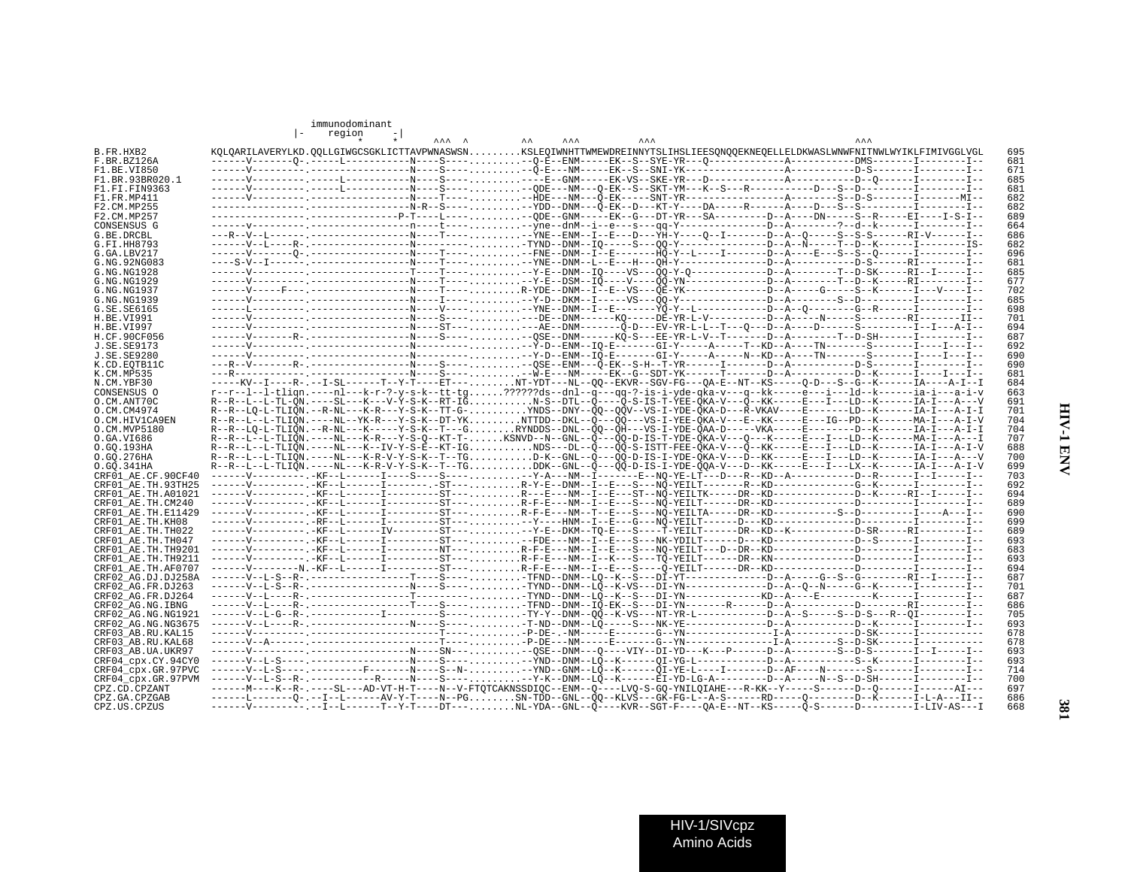| ż, |  |
|----|--|
|    |  |
|    |  |

| B.FR.HXB2                                                                                                                                                                                                                                                                                                             |  | region                                                                                                                     |  |                                                                                                                                        |  |  |  |  |  |
|-----------------------------------------------------------------------------------------------------------------------------------------------------------------------------------------------------------------------------------------------------------------------------------------------------------------------|--|----------------------------------------------------------------------------------------------------------------------------|--|----------------------------------------------------------------------------------------------------------------------------------------|--|--|--|--|--|
|                                                                                                                                                                                                                                                                                                                       |  |                                                                                                                            |  | KOLOARILAVERYLKD.OOLLGIWGCSGKLICTTAVPWNASWSNKSLEOIWNHTTWMEWDREINNYTSLIHSLIEESONOOEKNEOELLELDKWASLWNWFNITNWLWYIKLFIMIVGGLVGL            |  |  |  |  |  |
|                                                                                                                                                                                                                                                                                                                       |  |                                                                                                                            |  |                                                                                                                                        |  |  |  |  |  |
| F.BR.BZ126A<br>F1.BE.VI850                                                                                                                                                                                                                                                                                            |  |                                                                                                                            |  |                                                                                                                                        |  |  |  |  |  |
| F1.BR.93BR020.1                                                                                                                                                                                                                                                                                                       |  |                                                                                                                            |  |                                                                                                                                        |  |  |  |  |  |
|                                                                                                                                                                                                                                                                                                                       |  |                                                                                                                            |  | -----V---------,-----L-----------N----S----,--ODE---NM---O-EK--S--SKT-YM---K--S---R--------D---S--D---------I--------I--               |  |  |  |  |  |
| F1.FI.FIN9363                                                                                                                                                                                                                                                                                                         |  |                                                                                                                            |  |                                                                                                                                        |  |  |  |  |  |
| F1.FR.MP411                                                                                                                                                                                                                                                                                                           |  |                                                                                                                            |  |                                                                                                                                        |  |  |  |  |  |
| F2.CM.MP255                                                                                                                                                                                                                                                                                                           |  |                                                                                                                            |  |                                                                                                                                        |  |  |  |  |  |
| F2.CM.MP257                                                                                                                                                                                                                                                                                                           |  |                                                                                                                            |  |                                                                                                                                        |  |  |  |  |  |
| CONSENSUS G                                                                                                                                                                                                                                                                                                           |  |                                                                                                                            |  |                                                                                                                                        |  |  |  |  |  |
| G.BE.DRCBL                                                                                                                                                                                                                                                                                                            |  |                                                                                                                            |  |                                                                                                                                        |  |  |  |  |  |
| G.FI.HH8793                                                                                                                                                                                                                                                                                                           |  |                                                                                                                            |  |                                                                                                                                        |  |  |  |  |  |
| G.GA.LBV217                                                                                                                                                                                                                                                                                                           |  |                                                                                                                            |  |                                                                                                                                        |  |  |  |  |  |
| G.NG.92NG083                                                                                                                                                                                                                                                                                                          |  |                                                                                                                            |  |                                                                                                                                        |  |  |  |  |  |
| G.NG.NG1928                                                                                                                                                                                                                                                                                                           |  |                                                                                                                            |  |                                                                                                                                        |  |  |  |  |  |
| G.NG.NG1929                                                                                                                                                                                                                                                                                                           |  |                                                                                                                            |  |                                                                                                                                        |  |  |  |  |  |
| G.NG.NG1937                                                                                                                                                                                                                                                                                                           |  |                                                                                                                            |  | ------V----F--- ------------------N----T---- R-YDE--DNM--I--E--VS---QE-YK------------D--A----G-----S--K------I---V----I--              |  |  |  |  |  |
| G.NG.NG1939                                                                                                                                                                                                                                                                                                           |  |                                                                                                                            |  | -----V--------- ----------------N----I---- , , , , , , , , -Y-D--DKM--I-----VS---OO-Y-----------D--A-------S--D-----------I--------I-- |  |  |  |  |  |
| G.SE.SE6165                                                                                                                                                                                                                                                                                                           |  |                                                                                                                            |  | ------L---------- -----------------N----V---- --YNE--DNM--I--E-------YO-Y--L---------D--A--O-------G--R-------I---------I--            |  |  |  |  |  |
| H.BE.VI991                                                                                                                                                                                                                                                                                                            |  |                                                                                                                            |  |                                                                                                                                        |  |  |  |  |  |
| H.BE.VI997                                                                                                                                                                                                                                                                                                            |  |                                                                                                                            |  |                                                                                                                                        |  |  |  |  |  |
|                                                                                                                                                                                                                                                                                                                       |  |                                                                                                                            |  |                                                                                                                                        |  |  |  |  |  |
| H.CF.90CF056                                                                                                                                                                                                                                                                                                          |  |                                                                                                                            |  |                                                                                                                                        |  |  |  |  |  |
| J.SE.SE9173                                                                                                                                                                                                                                                                                                           |  |                                                                                                                            |  |                                                                                                                                        |  |  |  |  |  |
| J.SE.SE9280                                                                                                                                                                                                                                                                                                           |  |                                                                                                                            |  |                                                                                                                                        |  |  |  |  |  |
| K.CD.EOTB11C                                                                                                                                                                                                                                                                                                          |  |                                                                                                                            |  | ---R--V-------R-.-------------------N----S------QSE--ENM---Q-EK--S-H--T-YR------I-------D--A----------D-S-------I--------I--           |  |  |  |  |  |
| K.CM.MP535                                                                                                                                                                                                                                                                                                            |  |                                                                                                                            |  |                                                                                                                                        |  |  |  |  |  |
| N.CM.YBF30                                                                                                                                                                                                                                                                                                            |  |                                                                                                                            |  | -----KV--I----R-.--I-SL------T--Y-T----ET---NT-YDT---NL--00--EKVR--SGV-FG---0A-E--NT--KS-----0-D---S--G--K-------IA----A-I--I          |  |  |  |  |  |
| CONSENSUS O                                                                                                                                                                                                                                                                                                           |  |                                                                                                                            |  | r--r--l--l-tlign.----nl---k-r-?-y-s-k--tt-tg?????ds--dnl--q---qq-?-is-i-yde-qka-v---q--kk-----e---i---ld--k------ia-i---a-i-v          |  |  |  |  |  |
| O.CM.ANT70C                                                                                                                                                                                                                                                                                                           |  |                                                                                                                            |  | R--R--L--L-TL-ON.----SL---K---V-Y-S-K--RT-IGN-S--DTL--O----O-S-IS-T-YEE-OKA-V---O--KK-----E---I---LD--K------IA-I---A---V              |  |  |  |  |  |
| O.CM.CM4974                                                                                                                                                                                                                                                                                                           |  |                                                                                                                            |  | R--R--LQ-L-TLIQN.--R-NL---K-R---Y-S-K--TT-G-YNDS--DNY--QQ--QQV--VS-I-YDE-QKA-D---R-VKAV----E-------LD--K------IA-I---A-I-I             |  |  |  |  |  |
| O.CM.HIV1CA9EN                                                                                                                                                                                                                                                                                                        |  |                                                                                                                            |  | R--R--L--L-TLION.----NL--YK-R---Y-S-K--DT-YKNTTDD--DKL--O---OO---VS-I-YEE-OKA-V---E--KK-----E---IG--PD--K------MA-I---A-I-V            |  |  |  |  |  |
| O.CM.MVP5180                                                                                                                                                                                                                                                                                                          |  |                                                                                                                            |  |                                                                                                                                        |  |  |  |  |  |
| O.GA.VI686                                                                                                                                                                                                                                                                                                            |  |                                                                                                                            |  | R--R--L--L-TLIQN.----NL---K-R---Y-S-Q--KT-T-KSNVD--N--GNL--Q---QQ-D-IS-T-YDE-QKA-V---Q---K----E---I---LD--K------MA-I---A---I          |  |  |  |  |  |
| O.GO.193HA                                                                                                                                                                                                                                                                                                            |  |                                                                                                                            |  | R--R--L--L-TLIQN.----NL---K--IV-Y-S-E--KT-IGNDS---DL--Q---QQ-S-ISTT-FEE-QKA-V---Q--KK-----E---I---LD--K------IA-I---A-I-V              |  |  |  |  |  |
| 0.GQ.276HA                                                                                                                                                                                                                                                                                                            |  |                                                                                                                            |  |                                                                                                                                        |  |  |  |  |  |
| 0.GO.341HA                                                                                                                                                                                                                                                                                                            |  |                                                                                                                            |  | R--R--L--L-TLIQN.----NL---K-R-V-Y-S-K--T--TGDDK--GNL--Q---QQ-D-IS-I-YDE-QQA-V---D--KK-----E---I---LX--K------IA-I---A-I-V              |  |  |  |  |  |
| CRF01 AE.CF.90CF40                                                                                                                                                                                                                                                                                                    |  |                                                                                                                            |  |                                                                                                                                        |  |  |  |  |  |
| CRF01 AE.TH.93TH25                                                                                                                                                                                                                                                                                                    |  |                                                                                                                            |  | ------V----------.-KF--L------I--------.-ST---R-Y-E--DNM--I--E--S---NO-YEILT-------R--KD-----------G--K------I--------I--              |  |  |  |  |  |
|                                                                                                                                                                                                                                                                                                                       |  |                                                                                                                            |  |                                                                                                                                        |  |  |  |  |  |
| CRF01 AE.TH.A01021                                                                                                                                                                                                                                                                                                    |  |                                                                                                                            |  |                                                                                                                                        |  |  |  |  |  |
| CRF01 AE.TH.CM240                                                                                                                                                                                                                                                                                                     |  |                                                                                                                            |  | -----V---------,-KF--L------I--------ST---R-F-E---NM--I--E---S---NÖ-YEILT------DR--KD----------D---------I--------I--                  |  |  |  |  |  |
| CRF01_AE.TH.E11429                                                                                                                                                                                                                                                                                                    |  |                                                                                                                            |  | ------V---------, -KF--L-------L--------ST---, R-F-E---NM--T--E---S---NQ-YEILTA-----DR--KD---------S--D-------------I----A---I-        |  |  |  |  |  |
| CRF01 AE.TH.KH08                                                                                                                                                                                                                                                                                                      |  |                                                                                                                            |  |                                                                                                                                        |  |  |  |  |  |
| CRF01 AE.TH.TH022                                                                                                                                                                                                                                                                                                     |  |                                                                                                                            |  | ------V----------.KF--L-------IV--------ST-----Y-E--DKM--TO-E---S----T-YEILT------DR--KD--K--------D-SR-----RI---------I--             |  |  |  |  |  |
| CRF01 AE.TH.TH047                                                                                                                                                                                                                                                                                                     |  |                                                                                                                            |  | ------V----------.-KF--L-------I--------ST-----FDE---NM--I--E--S---NK-YDILT------D---KD-----------D--S------I---------I--              |  |  |  |  |  |
| CRF01 AE.TH.TH9201                                                                                                                                                                                                                                                                                                    |  |                                                                                                                            |  | ------V----------,-KF--L------I---------NT---R-F-E---NM--I--E--S---NO-YEILT---D--DR--KD-----------D----------I--------I--              |  |  |  |  |  |
| CRF01 AE.TH.TH9211                                                                                                                                                                                                                                                                                                    |  |                                                                                                                            |  |                                                                                                                                        |  |  |  |  |  |
|                                                                                                                                                                                                                                                                                                                       |  | ------V---------N.-KF--L-------I---------ST---R-F-E---NM--I--E---S----Q-YEILT------DR--KD----------D----------I--------I-- |  |                                                                                                                                        |  |  |  |  |  |
|                                                                                                                                                                                                                                                                                                                       |  |                                                                                                                            |  |                                                                                                                                        |  |  |  |  |  |
|                                                                                                                                                                                                                                                                                                                       |  |                                                                                                                            |  |                                                                                                                                        |  |  |  |  |  |
|                                                                                                                                                                                                                                                                                                                       |  |                                                                                                                            |  | -----V--L-S--R-.--------------T----S-----TFND--DNM--L0--K--S---DI-YT--------------D--A-----G--S--G--------RI--I-----I-                 |  |  |  |  |  |
|                                                                                                                                                                                                                                                                                                                       |  |                                                                                                                            |  | ------V--L-S--R-.-----------------N----S----,,,,,,,,-TYND--DNM--LO--K-VS---DI-YN----------D--A--O--N-----G--K------I--------I--        |  |  |  |  |  |
|                                                                                                                                                                                                                                                                                                                       |  |                                                                                                                            |  |                                                                                                                                        |  |  |  |  |  |
|                                                                                                                                                                                                                                                                                                                       |  |                                                                                                                            |  | ------V--L----R-.----------------T----S---- TFND--DNM--IQ-EK--S---DI-YN------R------D--A---------D---------RI--------I--               |  |  |  |  |  |
|                                                                                                                                                                                                                                                                                                                       |  |                                                                                                                            |  |                                                                                                                                        |  |  |  |  |  |
|                                                                                                                                                                                                                                                                                                                       |  |                                                                                                                            |  |                                                                                                                                        |  |  |  |  |  |
|                                                                                                                                                                                                                                                                                                                       |  |                                                                                                                            |  |                                                                                                                                        |  |  |  |  |  |
|                                                                                                                                                                                                                                                                                                                       |  |                                                                                                                            |  |                                                                                                                                        |  |  |  |  |  |
|                                                                                                                                                                                                                                                                                                                       |  |                                                                                                                            |  |                                                                                                                                        |  |  |  |  |  |
|                                                                                                                                                                                                                                                                                                                       |  |                                                                                                                            |  |                                                                                                                                        |  |  |  |  |  |
|                                                                                                                                                                                                                                                                                                                       |  |                                                                                                                            |  | ------V--L-S----.---------F-------N----S--N---YND--GNM--LÖ--K------OI-YE-L----I------D--AF----N-------S-------I--------I--             |  |  |  |  |  |
|                                                                                                                                                                                                                                                                                                                       |  |                                                                                                                            |  |                                                                                                                                        |  |  |  |  |  |
|                                                                                                                                                                                                                                                                                                                       |  |                                                                                                                            |  |                                                                                                                                        |  |  |  |  |  |
| CRF01_AE.TH.AF0707<br>CRF02 AG.DJ.DJ258A<br>CRF02 AG.FR.DJ263<br>CRF02 AG.FR.DJ264<br>CRF02 AG.NG.IBNG<br>CRF02 AG.NG.NG1921<br>CRF02 AG.NG.NG3675<br>CRF03 AB.RU.KAL15<br>CRF03 AB.RU.KAL68<br>CRF03 AB.UA.UKR97<br>CRF04 cpx.CY.94CY0<br>CRF04 cpx.GR.97PVC<br>CRF04 cpx.GR.97PVM<br>CPZ.CD.CPZANT<br>CPZ.GA.CPZGAB |  |                                                                                                                            |  | ------L-------Q-.--I--L------AV-Y-T----N--PGSN-TDD--GNL--QQ--KLVŠ---GK-FG-L--A-S------RD-----Q--------D--K------I-L-A---II--           |  |  |  |  |  |

 immunodominant $\vert - \qquad \text{region} \qquad \frac{\ }{\ast} \qquad \frac{\ }{\ast} \vert$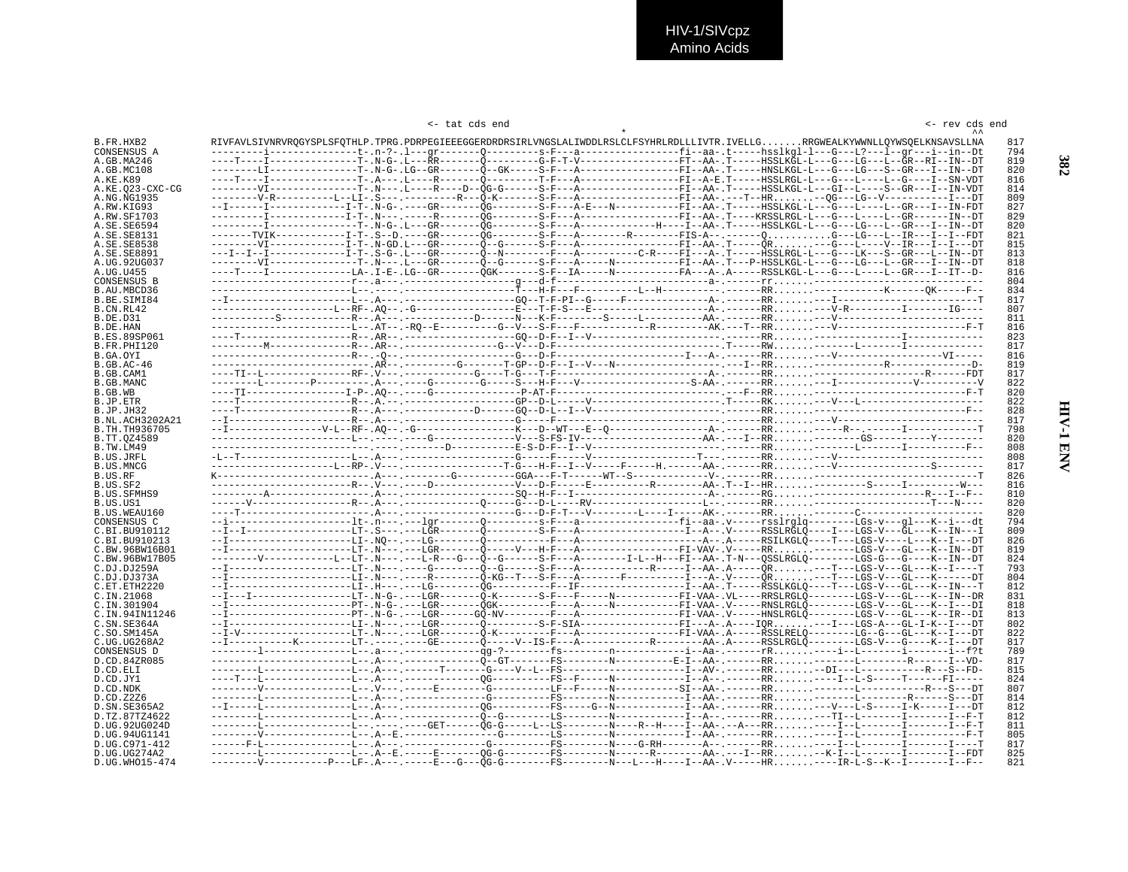|  | tat cds end |  |
|--|-------------|--|
|  |             |  |

|                                |  | <- tat cds end |  |                                                                                                                                                                                                                                                                |  | <- rev cds end |            |
|--------------------------------|--|----------------|--|----------------------------------------------------------------------------------------------------------------------------------------------------------------------------------------------------------------------------------------------------------------|--|----------------|------------|
|                                |  |                |  |                                                                                                                                                                                                                                                                |  |                |            |
| B.FR.HXB2                      |  |                |  | RIVFAVLSIVNRVROGYSPLSFOTHLP.TPRG.PDRPEGIEEEGGERDRDRSIRLVNGSLALIWDDLRSLCLFSYHRLRDLLLIVTR.IVELLGRGWEALKYWWNLLOYWSOELKNSAVSLLNA<br>--------i------------t-.n-?-.l---qr-------0--------s-F---a----------------fi--aa-.t-----hsslkgl-l---G---L?---l--qr---i--in--Dt |  |                | 817<br>794 |
| CONSENSUS A<br>A.GB.MA246      |  |                |  |                                                                                                                                                                                                                                                                |  |                | 819        |
| A.GB.MC108                     |  |                |  |                                                                                                                                                                                                                                                                |  |                | 820        |
| A.KE.K89                       |  |                |  |                                                                                                                                                                                                                                                                |  |                | 816        |
| A.KE.023-CXC-CG                |  |                |  | --------VI----------------T-,N---,L----R----D--OG-G------S-F---A-----------------FI--AA-,T-----HSSLKGL-L---GI--L----S--GR---I--IN-VDT                                                                                                                          |  |                | 814        |
| A.NG.NG1935                    |  |                |  | --------V-R----------LI-.S---.--------R---Q-K-------S-F---A----------------FI--AA-.---T--HR--QG---LG--V-------------I---DT                                                                                                                                     |  |                | 809        |
| A.RW.KIG93                     |  |                |  | --I------I-------------I-T-.N-G-.----GR--------OG--------S-F---A-E---N-----------FI--AA-.T----HSSLKGL-L---G---L----L--GR---I--IN-FDI                                                                                                                           |  |                | 827        |
| A.RW.SF1703                    |  |                |  |                                                                                                                                                                                                                                                                |  |                | 829        |
| A.SE.SE6594                    |  |                |  |                                                                                                                                                                                                                                                                |  |                | 820<br>821 |
| A.SE.SE8131<br>A.SE.SE8538     |  |                |  | --------VI-------------I-T-.N-GD.L---GR-------Õ--G-------S-F---A---------------FI--AA-.T-----ÔR---G---L----V--IR---I---I---DT                                                                                                                                  |  |                | 815        |
| A.SE.SE8891                    |  |                |  |                                                                                                                                                                                                                                                                |  |                | 813        |
| A.UG.92UG037                   |  |                |  | --------VI----------------T-.N---.L---GR--------Q--G-------S-F---A-----N-----------FI--AA-.T---P-HSSLKGL-L---G---LG---L--GR---I--IN--DT                                                                                                                        |  |                | 818        |
| A.UG.U455                      |  |                |  | ----T----I--------------LA-.I-E-.LG--GR--------OGK-------S-F--IA-----N------------FA---A-.A----RSSLKGL-L---G---L---GR---I---IT--D                                                                                                                              |  |                | 816        |
| <b>CONSENSUS B</b>             |  |                |  |                                                                                                                                                                                                                                                                |  |                | 804        |
| B.AU.MBCD36                    |  |                |  |                                                                                                                                                                                                                                                                |  |                | 834        |
| B.BE.SIMI84                    |  |                |  |                                                                                                                                                                                                                                                                |  |                | 817        |
| B.CN.RL42                      |  |                |  |                                                                                                                                                                                                                                                                |  |                | 807        |
| <b>B.DE.D31</b><br>B.DE.HAN    |  |                |  |                                                                                                                                                                                                                                                                |  |                | 811<br>816 |
| <b>B.ES.89SP061</b>            |  |                |  |                                                                                                                                                                                                                                                                |  |                | 823        |
| B.FR.PHI120                    |  |                |  |                                                                                                                                                                                                                                                                |  |                | 817        |
| B.GA.OYI                       |  |                |  |                                                                                                                                                                                                                                                                |  |                | 816        |
| $B.GB.AC-46$                   |  |                |  |                                                                                                                                                                                                                                                                |  |                | 819        |
| B.GB.CAM1                      |  |                |  |                                                                                                                                                                                                                                                                |  |                | 817        |
| B.GB.MANC                      |  |                |  |                                                                                                                                                                                                                                                                |  |                | 822        |
| B.GB.WB<br>B.JP.ETR            |  |                |  |                                                                                                                                                                                                                                                                |  |                | 820<br>822 |
| B.JP.JH32                      |  |                |  |                                                                                                                                                                                                                                                                |  |                | 828        |
| B.NL.ACH3202A21                |  |                |  |                                                                                                                                                                                                                                                                |  |                | 817        |
| B. TH. TH936705                |  |                |  |                                                                                                                                                                                                                                                                |  |                | 798        |
| B.TT.0Z4589                    |  |                |  |                                                                                                                                                                                                                                                                |  |                | 820        |
| B.TW.LM49                      |  |                |  |                                                                                                                                                                                                                                                                |  |                | 808        |
| B.US.JRFL                      |  |                |  |                                                                                                                                                                                                                                                                |  |                | 808        |
| B.US.MNCG                      |  |                |  |                                                                                                                                                                                                                                                                |  |                | 817        |
| B.US.RF<br>B.US.SF2            |  |                |  |                                                                                                                                                                                                                                                                |  |                | 826<br>816 |
| <b>B.US.SFMHS9</b>             |  |                |  |                                                                                                                                                                                                                                                                |  |                | 810        |
| B.US.US1                       |  |                |  |                                                                                                                                                                                                                                                                |  |                | 820        |
| B.US.WEAU160                   |  |                |  |                                                                                                                                                                                                                                                                |  |                | 820        |
| CONSENSUS C                    |  |                |  |                                                                                                                                                                                                                                                                |  |                | 794        |
| C.BI.BU910112                  |  |                |  |                                                                                                                                                                                                                                                                |  |                | 809        |
| C.BI.BU910213                  |  |                |  |                                                                                                                                                                                                                                                                |  |                | 826        |
| C.BW.96BW16B01                 |  |                |  | --I------------------LT-, N---,---LGR-------O-----V---H-F---A------------------FI-VAV-,V-----RR,,,,,,,,-------LGS-V---GL---K--IN--DT                                                                                                                           |  |                | 819        |
| C.BW.96BW17B05<br>C.DJ.DJ259A  |  |                |  | --I--------------------LT-.N--- ----G---------Õ--G-------S-F---A-------------R-----I--AA-.A-----ÔR--T---LGS-V---GL---K--I----T                                                                                                                                 |  |                | 824<br>793 |
| C.DJ.DJ373A                    |  |                |  | --I-------------------LI-.N---.----R---------Õ-KG--T---S-F---A-------F---------I---A-.V-----QR---T---LGS-V---GL---K------DT                                                                                                                                    |  |                | 804        |
| C.ET.ETH2220                   |  |                |  |                                                                                                                                                                                                                                                                |  |                | 812        |
| C.IN.21068                     |  |                |  | --I---I----------------LT-_N-G-_---LGR--------O-K-------S-F---F-----N----------FI-VAA-_VL----RRSLRGLÕ---------LGS-V---GL---K--IN--DR                                                                                                                           |  |                | 831        |
| C.IN.301904                    |  |                |  | --I------------------PT-.N-G-.---LGR--------QGK--------F---A------N--------FI-VAA-.V----RNSLRGLQ--------LGS-V---GL---K--I---DI                                                                                                                                 |  |                | 818        |
| C. IN. 94 IN11246              |  |                |  | --I-------------------PT-.N-G-.---LGR------GO-NV--------F---A---------------FI-VAA-.V-----HNSLRGLO--------LGS-V---GL---K--IR--DI                                                                                                                               |  |                | 813        |
| C.SN.SE364A                    |  |                |  | --I-------------------LI-.N--- ---LGR-------Q---------S-F-SIA---------------FI---A-.A----IQR---I---LGS-A---GL-I-K--I---DT                                                                                                                                      |  |                | 802        |
| C.SO.SM145A                    |  |                |  |                                                                                                                                                                                                                                                                |  |                | 822<br>817 |
| C.UG.UG268A2<br>CONSENSUS D    |  |                |  |                                                                                                                                                                                                                                                                |  |                | 789        |
| D.CD.84ZR085                   |  |                |  |                                                                                                                                                                                                                                                                |  |                | 817        |
| D.CD.ELI                       |  |                |  |                                                                                                                                                                                                                                                                |  |                | 815        |
| D.CD.JY1                       |  |                |  |                                                                                                                                                                                                                                                                |  |                | 824        |
| D.CD.NDK                       |  |                |  |                                                                                                                                                                                                                                                                |  |                | 807        |
| D.CD.Z2Z6                      |  |                |  |                                                                                                                                                                                                                                                                |  |                | 814        |
| D.SN.SE365A2                   |  |                |  |                                                                                                                                                                                                                                                                |  |                | 812        |
| D.TZ.87TZ4622<br>D.UG.92UG024D |  |                |  |                                                                                                                                                                                                                                                                |  |                | 812<br>811 |
| D.UG.94UG1141                  |  |                |  |                                                                                                                                                                                                                                                                |  |                | 805        |
| D.UG.C971-412                  |  |                |  |                                                                                                                                                                                                                                                                |  |                | 817        |
| D.UG.UG274A2                   |  |                |  |                                                                                                                                                                                                                                                                |  |                | 825        |
| D.UG.WHO15-474                 |  |                |  | --------V-----------P---LF-.A---.-----E---G--OG-G--------FS--------N---H----H----I--AA-.V-----HR----IR-L-S--K--I---------I--F-                                                                                                                                 |  |                | 821        |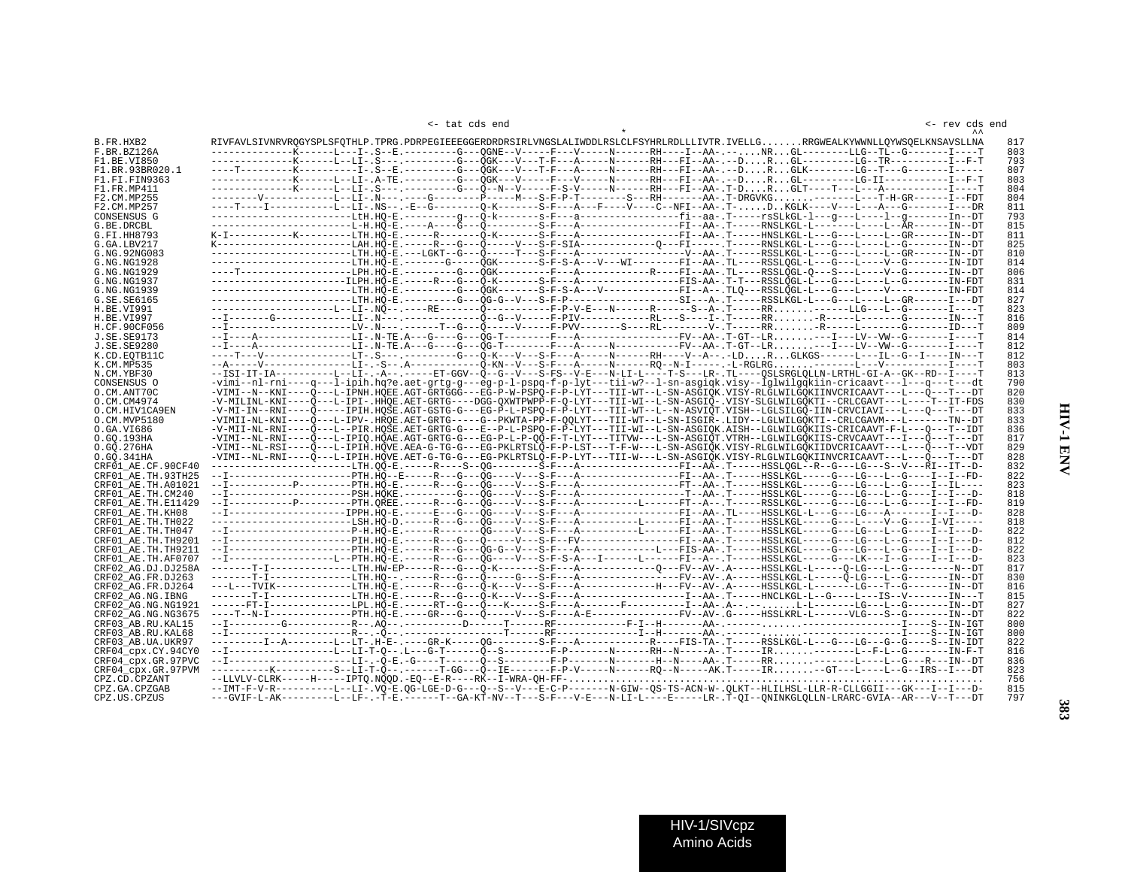<- rev cds end

<- tat cds end <- rev cds end

| B.FR.HXB2                                |  |  | RIVFAVLSIVNRVROGYSPLSFOTHLP.TPRG.PDRPEGIEEEGGERDRDRSIRLVNGSLALIWDDLRSLCLFSYHRLRDLLLIVTR.IVELLGRRGWEALKYWWNLLOYWSOELKNSAVSLLNA          |  | 817 |
|------------------------------------------|--|--|----------------------------------------------------------------------------------------------------------------------------------------|--|-----|
| F.BR.BZ126A                              |  |  | ------------K-----L---I-.S--E.--------G---OGNE--V-----F---V-----RH----I--AA-.--NRGL--------LLG--TL--G-------I----T                     |  | 803 |
| F1.BE.VI850                              |  |  | -------------K-----LI--LI-.S---.--------G---OGK---V---T-F---A------RH---FH--AA-.--DRGL---------LG--TR-----------I--F-T                 |  | 793 |
| F1.BR.93BR020.1                          |  |  | ----T----------K----------I-.S--E.--------G---QGK---V---T-F---A-----RH----RH---FI--AA-.--DRGLK--------LG--T---G--------I-----          |  | 807 |
| F1.FI.FIN9363                            |  |  | --------------K-----L--LI-.A-TE.--------G---QGK---V-----F---V-------RH---FI--AA-.--DRGL---------LG-II------------I--F-T                |  | 803 |
| F1.FR.MP411                              |  |  | --------------K-----L--LI-.S---.-------G---O--N--V-----F-S-V-----N------RH---FI--AA-.T-DRGLT----T---L---A-----------------T            |  | 804 |
| F2.CM.MP255                              |  |  | --------V------------LI--LI- N--- ----G--------P-----M---S-F-P-T--------S---RH-------AA-.T-DRGVKG-------L--T-H-GR-------I--FDT         |  | 804 |
| F2.CM.MP257                              |  |  | ----T----I-----------L--LI-.NS--.-E--G---------O-K-------S-F---A---F----V----C--NFI--AA-.T-DKGLK----V---L---A---G-------I---DR         |  | 811 |
| CONSENSUS G                              |  |  | ----------------------LtH.HO-E.--------q---O-k-------s-F---a----------------fi--aa-.T-----rsSLkGL-l---q---L-----L--q--------In--DT     |  | 793 |
| G.BE.DRCBL                               |  |  |                                                                                                                                        |  | 815 |
| G.FI.HH8793                              |  |  | K-I----------K-------LTH.HO-E.-----R-------O-K-------S-F---A---------------FI--AA-.T-----HNSLKGL-L---G---L----L--GR------IN--DT        |  | 811 |
| G.GA.LBV217                              |  |  |                                                                                                                                        |  | 825 |
| G.NG.92NG083                             |  |  | ---------------------LTH.HÕ-E.---LGKT--G---Õ-----T---S-F---A----------------V--AA-.T-----RSSLKGL-L---G---L----L--GR------IN--DT        |  | 810 |
| G.NG.NG1928                              |  |  | ---------------------LTH.HO-E.-------G-----OGK-------S-F-S-A---V---WI--------FI--AA-.TL----RSSLOGL-L---G---L----V--G-------IN-IDT      |  | 814 |
| G. NG. NG1929                            |  |  |                                                                                                                                        |  | 806 |
| G.NG.NG1937                              |  |  | ---------------------ILPH.HO-E.-----R---G---O-K-------S-F---A---------------FIS-AA-.T-T---RSSLOGL-L----G---L----L--G-------IN-FDT      |  | 831 |
| G.NG.NG1939                              |  |  | ----------------------LTH.HO-E.--------G--QGK------S-F-S-A---V------------FI--A--.TLQ---RSSLQGL-L---G---L----V----------IN-FDT         |  | 814 |
| G.SE.SE6165                              |  |  | ---------------------LTH.HO-E.--------G--OG-G--V---S-F-P------------------SI---A-.T----RSSLKGL-L---G---L-----L--GR------IT---DT        |  | 827 |
| H.BE.VI991                               |  |  | --------------------Li-NO--.---RE------O----------F-P-V-E---N------R------S--A-.T----RR------LLG---L--G-------I----T                   |  | 823 |
| H.BE.VI997                               |  |  |                                                                                                                                        |  | 816 |
| H.CF.90CF056                             |  |  | --I-------------------LV-_N--- ------T--G---O-----V-----F-PVV------S----RL---------V-_T-----RR-R-----L---------------ID---T            |  | 809 |
| J.SE.SE9173                              |  |  | --I----A--------------LI-.N-TE.A---G----G---ÔG-T---------P---A---------------FV--AA-.T-GT--LR---I---LV--VW--G-------I----T             |  | 814 |
| <b>J.SE.SE9280</b>                       |  |  |                                                                                                                                        |  | 812 |
| K.CD.EOTB11C                             |  |  | ----T---V--------------LT-.S---.-------G---0-K---V---S-F---A----------RH----V--A--.-LDRGLKGS------L---IL--G--I----IN---T               |  | 812 |
| K.CM.MP535                               |  |  | --A------V---------------LI-.-S--.A---------------O-KN--V---S-F---A------N------RQ--N-I------.L-RGLRG-------L---V--------------I----T  |  | 803 |
| N.CM.YBF30                               |  |  | --ISI-IT-IA---------L--LI-.-A--.-----ET-GGV--O--G--V---S-FS--V-E---N-LI-L----T-S---LR-.TL----OSLSRGLOLLN-LRTHL-GI-A--GK--RD--I----T    |  | 813 |
| CONSENSUS O                              |  |  | -vimi--nl-rni----q---l-ipih.hq?e.aet-qrtq-q---eq-p-l-pspq-f-p-lyt---tii-w?--l-sn-asqiqk.visy--lqlwilqqkiin-cricaavt---l---q---t---dt   |  | 790 |
| O.CM.ANT70C                              |  |  | -VIMI--N--KNI----O---L-IPNH.HOEE.AGT-GRTGGG---EG-P-W-PSPO-F-P-LYT---TII-WT--L-SN-ASGIOK.VISY-RLGLWILGOKIINVCRICAAVT---L---O---T---DT   |  | 820 |
| O.CM.CM4974                              |  |  | -V-MILINL-KNI----0---L-IPI-.HHOE.AET-GRTG----DGG-OXWTPWPP-F-0-LYT---TII-WI--L-SN-ASGI0-.VISY-SLGLWILGOKTI--CRLCGAVT---L----T--IT-FDS   |  | 830 |
| O.CM.HIV1CA9EN                           |  |  | -V-MI-IN--RNI----0-----IPIH.HOSE.AGT-GSTG-G---EG-P-L-PSPO-F-P-LYT---TII-WT--L--N-ASVIOT.VISH--LGLSILGO-IIN-CRVCIAVI---L---0---T---DT   |  | 833 |
| O.CM.MVP5180                             |  |  | -VIMII-NL-KNI----0---L-IPV-.HROE.AET-GRTG-----G--PKWTA-PP-F-OOLYT---TII-WT--L-SN-ISGIR-.LIDY--LGLWILGOKTI--CRLCGAVM---L-------TN--DT   |  | 833 |
| 0.GA.VI686                               |  |  | -V-MII-NL-RNI----Q---L--PIR.HOSE.AET-GRTG-G---E--P-L-PSPQ-F-P-LVT---TII-WI--L-SN-ASGIOK.AISH--LGLWILGOKIIS-CRICAAVT-F-L---Q---T--IDT   |  | 836 |
| O.GQ.193HA                               |  |  | -VIMI--NL-RNI----O---L-IPIO.HOAE.AGT-GRTG-G---EG-P-L-P-OO-F-T-LYT---TITVW---L-SN-ASGIOT.VTRH--LGLWILGOKIIS-CRVCAAVT---I---O---T---DT   |  | 817 |
| 0.GO.276HA                               |  |  | -VIMI--NL-RSI----0---L-IPIH.HOVE.AEA-G-TG-G---EG-PKLRTSLO-F-P-LST---T-F-W---L-SN-ASGIOK.VISY-RLGLWILGOKIIDVCRICAAVT---L--0---T--VDT    |  | 829 |
| 0.GO.341HA                               |  |  | -VIMI--NL-RNI----0---L-IPIH.HOVE.AET-G-TG-G---EG-PKLRTSLO-F-P-LYT---TII-W---L-SN-ASGIOK.VISY-RLGLWILGOKIINVCRICAAVT---L---0---T---DT   |  | 828 |
| CRF01 AE.CF.90CF40                       |  |  | ----------------------LTH.00-E.-----R----S-0G--------S-F---A----------------FI--AA-.T----HSSLOGL--R--G---LG---S--V---RI--IT--D-        |  | 832 |
| CRF01 AE.TH.93TH25                       |  |  | --I------------------PTH.HO--E----R---G---OG----V---S-F---A----------------FI--AA-.T-----HSSLKGL----G---LG---L--G----I--FD-            |  | 822 |
| CRF01 AE.TH.A01021                       |  |  | --I-----------P-------PTH.HO-E.-----R---G---OG----V---S-F---A-----------------FT--AA-.T-----HSSLKGL-----G---LG---L--G----I--IL----     |  | 823 |
| CRF01 AE.TH.CM240                        |  |  | --I------------------PSH.HOKE.--------G---QG----V---S-F---A-----------------T--AA-.T-----HSSLKGL-----G---LG---L--G----I--I---D-        |  | 818 |
| CRF01 AE.TH.E11429                       |  |  | --I-----------P--------PH.OREE.-----R---G---OG----V---S-F---A---------L------FT--A--.T----RSSLKGL-----G---LG---L--G----I--FD-          |  | 819 |
| CRF01 AE.TH.KH08                         |  |  | --I--------------------IPPH.HO-E.-----E---G---OG----V---S-F---A----------------FI--AA-.TL----HSSLKGL-L---G---LG---A-------I--I---D-    |  | 828 |
| CRF01 AE.TH.TH022                        |  |  |                                                                                                                                        |  | 818 |
| CRF01 AE.TH.TH047                        |  |  | --I-------------------P-H.HO-E.-----R-------OG----V---S-F---A-----------FI---AA-.T----HSSLKGL-----G---LG---L-G---I-I---D-              |  | 822 |
| CRF01 AE.TH.TH9201                       |  |  | --I-------------------PIH.HÕ-E.-----R---G---Q-----V---S-F--FV----------------FI--AA-.T-----HSSLKGL-----G---LG---L-G----I--I---D-       |  | 812 |
| CRF01 AE.TH.TH9211                       |  |  | --I------------------PTH.HO-E.-----R---G---OG-G--V---S-F---A---------------L---FIS-AA-.T-----HSSLKGL-----G---LG---L-G----I---D--       |  | 822 |
| CRF01 AE.TH.AF0707                       |  |  | --I-----------------L--PTH.HO-E.-----R---G---OG----V---S-F-S-A---I------L------FI--A--.T----HSSLKGL-----G---LK---I--G----I---D-        |  | 823 |
| CRF02 AG.DJ.DJ258A                       |  |  | -------T-I-------------LTH.HW-EP----R---G---O-K-------S-F--A------------O---FV--AV-.A----HSSLKGL-L-----O-LG---L--G--------N--DT        |  | 817 |
| CRF02 AG.FR.DJ263                        |  |  | -------T-I-------------LTH.H0--.----R--G---0----G---S-F--A--------------FV--AV-.A----HSSLKGL-L-----0-LG---L--G-------IN--DT            |  | 830 |
| CRF02 AG.FR.DJ264                        |  |  | ---L---TVIK------------LTH.HO-E.-----R---G---O-K---V---S-F---A-----------H---FV--AV-.A-----HSSLKGL-L-------LG---T--G-------IN--DT      |  | 816 |
|                                          |  |  | -------T-I-------------LTH.HÕ-E.-----R---G---Ö-K---V---S-F---A-----------------I--AA-.T-----HNCLKGL-L--G----L---IS--V-------IN---T     |  | 815 |
| CRF02 AG.NG.IBNG                         |  |  |                                                                                                                                        |  |     |
| CRF02 AG.NG.NG1921<br>CRF02 AG.NG.NG3675 |  |  | ----T--N-I---------------PTH.HÕ-E.----GR---G----Õ-----V---S-F---A-E---------------FV--AV-.G----HSSLKRL-L------VLG---S--G-------IN--DT  |  | 827 |
|                                          |  |  |                                                                                                                                        |  | 822 |
| CRF03 AB.RU.KAL15                        |  |  |                                                                                                                                        |  | 800 |
| CRF03 AB.RU.KAL68                        |  |  |                                                                                                                                        |  | 800 |
| CRF03 AB.UA.UKR97                        |  |  | ---------I--A-------LT-.H-E-.---GR-K-----OG--------S-F--A---------R----RIS-TA-.T----RSSLKGL-L---G---LG---G---S--IN-IDT                 |  | 822 |
| CRF04_cpx.CY.94CY0                       |  |  | --I-----------------LI-T-0--.L---G-T------Q--S--------F-P-------RH--N-----A-.T-----IR-------L--F-L--G-------IN-F-T                     |  | 816 |
| CRF04 cpx.GR.97PVC                       |  |  | --I-------------------LI-.-O-E.-G----T------O--S---------F-P--------H--N----AA-.T----RR--------L---C---R---IN--DT                      |  | 836 |
| CRF04_cpx.GR.97PVM                       |  |  |                                                                                                                                        |  | 823 |
| CPZ.CD.CPZANT                            |  |  |                                                                                                                                        |  | 756 |
| CPZ.GA.CPZGAB                            |  |  | --IMT-F-V-R---------LI-.VQ-E.QG-LGE-D-G---Q--S--V---E-C-P-------N-GIW--QS-TS-ACN-W-.QLKT--HLILHSL-LLR-R-CLLGGII---GK---I--I--D-        |  | 815 |
| CPZ.US.CPZUS                             |  |  | ---GVIF-L-AK---------L--LF- .-T-E .------T--GA-KT-NV--T---S-F---V-E---N-LI-L----E----LR- .T-QI--QNINKGLQLLN-LRARC-GVIA--AR---V--T---DT |  | 797 |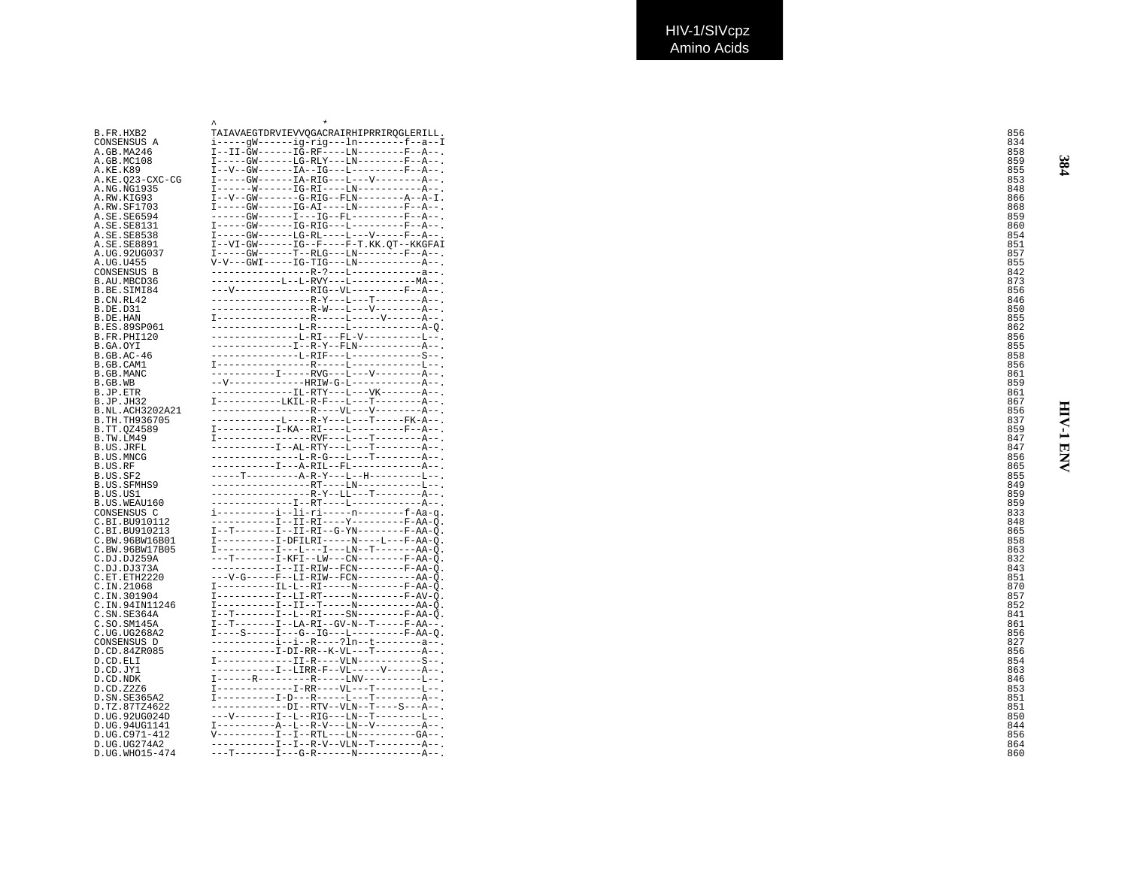| B.FR.HXB2           | TAIAVAEGTDRVIEVVOGACRAIRHIPRRIROGLERILL                                                                                                                                                                                                               | 856 |
|---------------------|-------------------------------------------------------------------------------------------------------------------------------------------------------------------------------------------------------------------------------------------------------|-----|
| CONSENSUS A         | i-----qW------ig-rig---ln--------f--a--I                                                                                                                                                                                                              | 834 |
| A.GB.MA246          | $I--II-GW----IG-RF---LN------F--A--$                                                                                                                                                                                                                  | 858 |
|                     |                                                                                                                                                                                                                                                       |     |
| A.GB.MC108          | $I---GW---LG-RLY---LM------F---A---$                                                                                                                                                                                                                  | 859 |
| A.KE.K89            | $I - -V - -GW - - - - - - IA - - IG - - -L - - - - - - - - - - F - - A - -$                                                                                                                                                                           | 855 |
| A.KE.Q23-CXC-CG     | $I---GW---IA-RIG---L---V------A---$                                                                                                                                                                                                                   | 853 |
| A.NG.NG1935         | $I---W---W---IG-RI---LN---------A---$                                                                                                                                                                                                                 | 848 |
| A.RW.KIG93          | $I - -V - -GW - - - - - - G - RIG - - FLN - - - - - - - A - L$ .                                                                                                                                                                                      | 866 |
| A.RW.SF1703         | $I---GW---IG-AL---LM------F---A---$                                                                                                                                                                                                                   | 868 |
| A.SE.SE6594         | $---GW---I---IG--FL--------F--A--$                                                                                                                                                                                                                    | 859 |
| A.SE.SE8131         | $I---GW---IC-RC-RLG---L------F--A--$                                                                                                                                                                                                                  | 860 |
| A.SE.SE8538         | $I---GW---LG-RL---L---L---V---P---R---A- -$                                                                                                                                                                                                           | 854 |
|                     |                                                                                                                                                                                                                                                       |     |
| A.SE.SE8891         | $I--VI-GW---IG--F---F-T.KK.OT--KKGFAI$                                                                                                                                                                                                                | 851 |
| A.UG.92UG037        | $I---GW---T---T--RLG---LN------F---F---A---$                                                                                                                                                                                                          | 857 |
| A.UG.U455           | $V-V---GW1----IG-TIG---LN---------A--$                                                                                                                                                                                                                | 855 |
| CONSENSUS B         | $-------------R-?---L----------------$                                                                                                                                                                                                                | 842 |
| B.AU.MBCD36         | $---------T_{1}-T_{1}-RVY---T_{2}-------MA--$                                                                                                                                                                                                         | 873 |
| B.BE.SIMI84         | $---V---------RIG--VL------F--F--A--.$                                                                                                                                                                                                                | 856 |
| B.CN.RL42           | $-------------R-Y---T---T------A---$                                                                                                                                                                                                                  | 846 |
| <b>B.DE.D31</b>     | ------------------R-W---L---V---------A--.                                                                                                                                                                                                            | 85C |
| B.DE.HAN            |                                                                                                                                                                                                                                                       | 855 |
| B.ES.89SP061        | ---------------L-R-----L-------------A-0                                                                                                                                                                                                              |     |
|                     | ---------------L-RI---FL-V----------L--.                                                                                                                                                                                                              | 862 |
| B.FR.PHI120         |                                                                                                                                                                                                                                                       | 856 |
| B.GA.OYI            | --------------I--R-Y--FLN------------A--.                                                                                                                                                                                                             | 855 |
| B.GB.AC-46          | ---------------L-RIF---L------------S--.                                                                                                                                                                                                              | 858 |
| B.GB.CAM1           |                                                                                                                                                                                                                                                       | 856 |
| B.GB.MANC           | $---------I---RVG---L---V------A---$                                                                                                                                                                                                                  | 861 |
| B.GB.WB             | $--V----------HRTW-G-I---------A--$                                                                                                                                                                                                                   | 859 |
| B.JP.ETR            | -------------IL-RTY---L---VK-------A--.                                                                                                                                                                                                               | 861 |
| B.JP.JH32           | $I$ -----------LKIL-R-F---L---T--------A--.                                                                                                                                                                                                           | 867 |
| B.NL.ACH3202A21     | ------------------R----VL---V---------A--.                                                                                                                                                                                                            | 856 |
|                     | ------------L----R-Y---L---T-----FK-A--.                                                                                                                                                                                                              |     |
| B.TH.TH936705       |                                                                                                                                                                                                                                                       | 837 |
| B.TT.QZ4589         | $I$ ----------I-KA--RI----L---------F--A--.                                                                                                                                                                                                           | 859 |
| B.TW.LM49           | $T$ ----------------RVF--- $T$ ---T--------A--                                                                                                                                                                                                        | 847 |
| B.US.JRFL           | $---------I--AL-RTY---L---T------A--$                                                                                                                                                                                                                 | 847 |
| B.US.MNCG           | ---------------L-R-G---L---T---------A--.                                                                                                                                                                                                             | 856 |
| B.US.RF             | -----------I---A-RIL--FL-------------A--.                                                                                                                                                                                                             | 865 |
| B.US.SF2            | $---T------A-R-Y---L--H------L--L--$                                                                                                                                                                                                                  | 855 |
| B.US.SFMHS9         | -----------------RT----LN-----------L--.                                                                                                                                                                                                              | 849 |
| B.US.US1            | ------------------R-Y--LL---T---------A--.                                                                                                                                                                                                            | 859 |
| B.US.WEAU160        |                                                                                                                                                                                                                                                       | 859 |
|                     | i----------i--li-ri-----n--------f-Aa-q.                                                                                                                                                                                                              |     |
| CONSENSUS C         |                                                                                                                                                                                                                                                       | 833 |
| C.BI.BU910112       | -----------I--II-RI----Y---------F-AA-0.                                                                                                                                                                                                              | 848 |
| C.BI.BU910213       | $I--T-----I--II-RI--G-YN-----F-AA-0$                                                                                                                                                                                                                  | 865 |
| C.BW.96BW16B01      | $I------I-DFILRI---N---L---F-AA-0.$                                                                                                                                                                                                                   | 858 |
| C.BW.96BW17B05      |                                                                                                                                                                                                                                                       | 863 |
| C.DJ.DJ259A         | ---T-------I-KFI--LW---CN--------F-AA-O.                                                                                                                                                                                                              | 832 |
| C.DJ.DJ373A         | -----------I--II-RIW--FCN--------F-AA-0.                                                                                                                                                                                                              | 843 |
| C.ET.ETH2220        | ---V-G-----F--LI-RIW--FCN----------AA-O                                                                                                                                                                                                               | 851 |
| C.IN.21068          | I----------IL-L--RI-----N--------F-AA-O                                                                                                                                                                                                               | 87C |
| C.IN.301904         | $I$ ----------I--LI-RT-----N--------F-AV-0.                                                                                                                                                                                                           | 857 |
| C.IN.94IN11246      | $I$ ----------I--II--T-----N-----------AA-O                                                                                                                                                                                                           | 852 |
|                     | $I--T------I--L--RI---SN------F-AA-0.$                                                                                                                                                                                                                |     |
| C.SN.SE364A         |                                                                                                                                                                                                                                                       | 841 |
| C.SO.SM145A         | $I--T-----I--LA-RI--GV-N--T---F-AA--.$                                                                                                                                                                                                                | 861 |
| C.UG.UG268A2        | $I---S---I---G---IG---I---------F-AA-0.$                                                                                                                                                                                                              | 856 |
| CONSENSUS D         | $------i-i-i-R---?ln--+---a--.$                                                                                                                                                                                                                       | 827 |
| D.CD.84ZR085        | -----------I-DI-RR--K-VL---T--------A--.                                                                                                                                                                                                              | 856 |
| D.CD.ELI            | $I$ -------------II-R----VLN-----------S--.                                                                                                                                                                                                           | 854 |
| D.CD.JY1            | -----------I--LIRR-F--VL-----V------A--.                                                                                                                                                                                                              | 863 |
| D.CD.NDK            | $I$ -------R----------R-----LNV-----------L--.                                                                                                                                                                                                        | 846 |
| D.CD.Z2Z6           | $T$ -------------T-RR----VI,---T--------T,--                                                                                                                                                                                                          | 853 |
|                     | $I$ -----------I-D---R-----L---T--------A--.                                                                                                                                                                                                          |     |
| D.SN.SE365A2        | $---------DI--RTV--VLN--T---S---A--$                                                                                                                                                                                                                  | 851 |
| D.TZ.87TZ4622       |                                                                                                                                                                                                                                                       | 851 |
| D.UG.92UG024D       | ---V-------I--L--RIG---LN--T--------L--.                                                                                                                                                                                                              | 850 |
| D.UG.94UG1141       |                                                                                                                                                                                                                                                       | 844 |
| D.UG.C971-412       | $V$ ----------I--I--RTL---LN---------GA--.                                                                                                                                                                                                            | 856 |
| D.UG.UG274A2        | $-\mbox{---} \mbox{---} \mbox{---} \mbox{---} \mbox{I} \mbox{---} \mbox{I} \mbox{---} \mbox{R} \mbox{---} \mbox{V} \mbox{---} \mbox{V} \mbox{L} \mbox{N} \mbox{---} \mbox{T} \mbox{---} \mbox{---} \mbox{---} \mbox{--} \mbox{A} \mbox{---} \mbox{.}$ | 864 |
| D. UG. WHO 15 – 474 |                                                                                                                                                                                                                                                       | 860 |